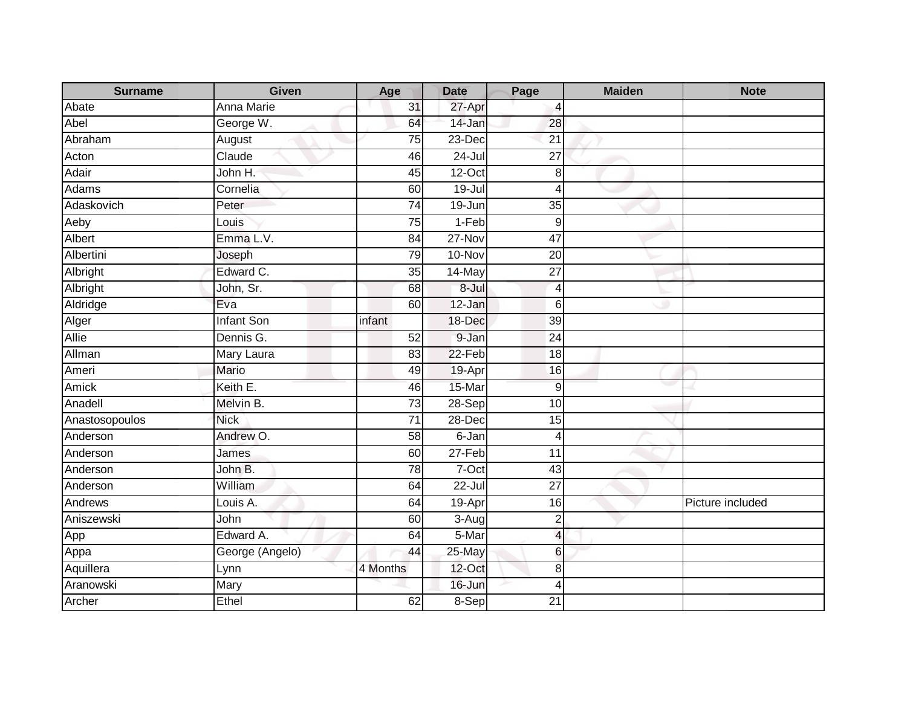| <b>Surname</b> | <b>Given</b>      | Age             | <b>Date</b> | Page                     | <b>Maiden</b> | <b>Note</b>      |
|----------------|-------------------|-----------------|-------------|--------------------------|---------------|------------------|
| Abate          | Anna Marie        | 31              | 27-Apr      | $\overline{a}$           |               |                  |
| Abel           | George W.         | 64              | 14-Jan      | 28                       |               |                  |
| Abraham        | August            | 75              | 23-Dec      | 21                       |               |                  |
| Acton          | Claude            | 46              | $24 -$ Jul  | $\overline{27}$          |               |                  |
| Adair          | John H.           | 45              | $12$ -Oct   | 8                        |               |                  |
| Adams          | Cornelia          | 60              | $19 -$ Jul  | $\overline{4}$           |               |                  |
| Adaskovich     | Peter             | 74              | 19-Jun      | 35                       |               |                  |
| Aeby           | Louis             | 75              | 1-Feb       | 9                        |               |                  |
| Albert         | Emma L.V.         | 84              | $27-Nov$    | 47                       |               |                  |
| Albertini      | Joseph            | 79              | 10-Nov      | $\overline{20}$          |               |                  |
| Albright       | Edward C.         | 35              | 14-May      | $\overline{27}$          |               |                  |
| Albright       | John, Sr.         | 68              | $8 -$ Jul   | $\overline{4}$           |               |                  |
| Aldridge       | Eva               | 60              | 12-Jan      | 6                        |               |                  |
| Alger          | <b>Infant Son</b> | infant          | 18-Dec      | 39                       |               |                  |
| Allie          | Dennis G.         | 52              | 9-Jan       | 24                       |               |                  |
| Allman         | Mary Laura        | 83              | $22-Feb$    | 18                       |               |                  |
| Ameri          | Mario             | 49              | 19-Apr      | 16                       |               |                  |
| Amick          | Keith E.          | 46              | 15-Mar      | 9                        |               |                  |
| Anadell        | Melvin B.         | $\overline{73}$ | $28-Sep$    | 10                       |               |                  |
| Anastosopoulos | <b>Nick</b>       | $\overline{71}$ | 28-Dec      | 15                       |               |                  |
| Anderson       | Andrew O.         | 58              | 6-Jan       | 4                        |               |                  |
| Anderson       | James             | 60              | 27-Feb      | 11                       |               |                  |
| Anderson       | John B.           | 78              | 7-Oct       | 43                       |               |                  |
| Anderson       | William           | 64              | $22 -$ Jul  | $\overline{27}$          |               |                  |
| Andrews        | Louis A.          | 64              | 19-Apr      | 16                       |               | Picture included |
| Aniszewski     | John              | 60              | 3-Aug       | $\overline{2}$           |               |                  |
| App            | Edward A.         | 64              | 5-Mar       | $\overline{\mathcal{L}}$ |               |                  |
| Appa           | George (Angelo)   | 44              | 25-May      | 6                        |               |                  |
| Aquillera      | Lynn              | 4 Months        | 12-Oct      | 8                        |               |                  |
| Aranowski      | Mary              |                 | 16-Jun      | 4                        |               |                  |
| Archer         | Ethel             | 62              | 8-Sep       | $\overline{21}$          |               |                  |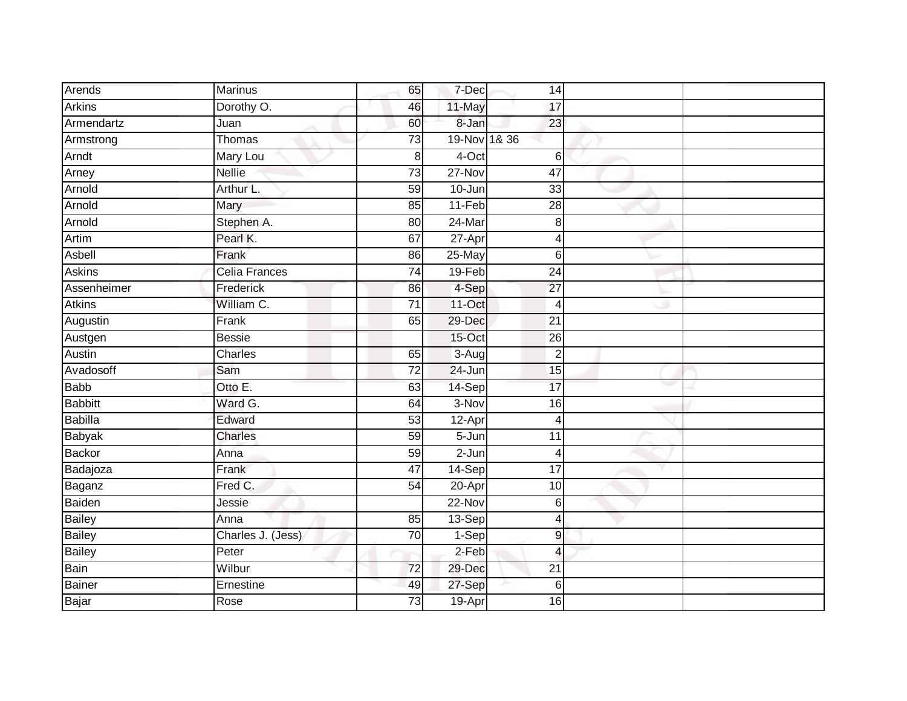| Arends         | <b>Marinus</b>    | 65              | 7-Dec        | 14              |  |
|----------------|-------------------|-----------------|--------------|-----------------|--|
| <b>Arkins</b>  | Dorothy O.        | 46              | 11-May       | 17              |  |
| Armendartz     | Juan              | 60              | 8-Jan        | 23              |  |
| Armstrong      | Thomas            | 73              | 19-Nov 1& 36 |                 |  |
| Arndt          | Mary Lou          | $\,8\,$         | $4$ -Oct     | 6               |  |
| Arney          | <b>Nellie</b>     | $\overline{73}$ | 27-Nov       | $\overline{47}$ |  |
| Arnold         | Arthur L.         | 59              | 10-Jun       | 33              |  |
| Arnold         | Mary              | 85              | $11-Feb$     | $\overline{28}$ |  |
| Arnold         | Stephen A.        | 80              | $24$ -Mar    | 8               |  |
| Artim          | Pearl K.          | 67              | 27-Apr       | $\overline{4}$  |  |
| Asbell         | Frank             | 86              | 25-May       | 6               |  |
| <b>Askins</b>  | Celia Frances     | 74              | 19-Feb       | 24              |  |
| Assenheimer    | Frederick         | 86              | 4-Sep        | 27              |  |
| <b>Atkins</b>  | William C.        | 71              | 11-Oct       | $\overline{4}$  |  |
| Augustin       | Frank             | 65              | 29-Dec       | $\overline{21}$ |  |
| Austgen        | <b>Bessie</b>     |                 | 15-Oct       | 26              |  |
| Austin         | Charles           | 65              | $3-Aug$      | $\overline{2}$  |  |
| Avadosoff      | Sam               | $\overline{72}$ | 24-Jun       | 15              |  |
| <b>Babb</b>    | Otto E.           | 63              | 14-Sep       | $\overline{17}$ |  |
| <b>Babbitt</b> | Ward G.           | 64              | $3-Nov$      | 16              |  |
| <b>Babilla</b> | Edward            | $\overline{53}$ | 12-Apr       | $\overline{4}$  |  |
| <b>Babyak</b>  | Charles           | 59              | $5 - Jun$    | 11              |  |
| <b>Backor</b>  | Anna              | 59              | $2-Jun$      | 4               |  |
| Badajoza       | Frank             | 47              | 14-Sep       | 17              |  |
| Baganz         | Fred C.           | 54              | 20-Apr       | 10              |  |
| Baiden         | Jessie            |                 | 22-Nov       | 6               |  |
| <b>Bailey</b>  | Anna              | 85              | $13-Sep$     | $\overline{4}$  |  |
| <b>Bailey</b>  | Charles J. (Jess) | $\overline{70}$ | $1-Sep$      | $\overline{9}$  |  |
| <b>Bailey</b>  | Peter             |                 | $2-Feb$      | $\overline{4}$  |  |
| Bain           | Wilbur            | $\overline{72}$ | 29-Dec       | $\overline{21}$ |  |
| <b>Bainer</b>  | Ernestine         | 49              | 27-Sep       | 6               |  |
| Bajar          | Rose              | $\overline{73}$ | 19-Apr       | 16              |  |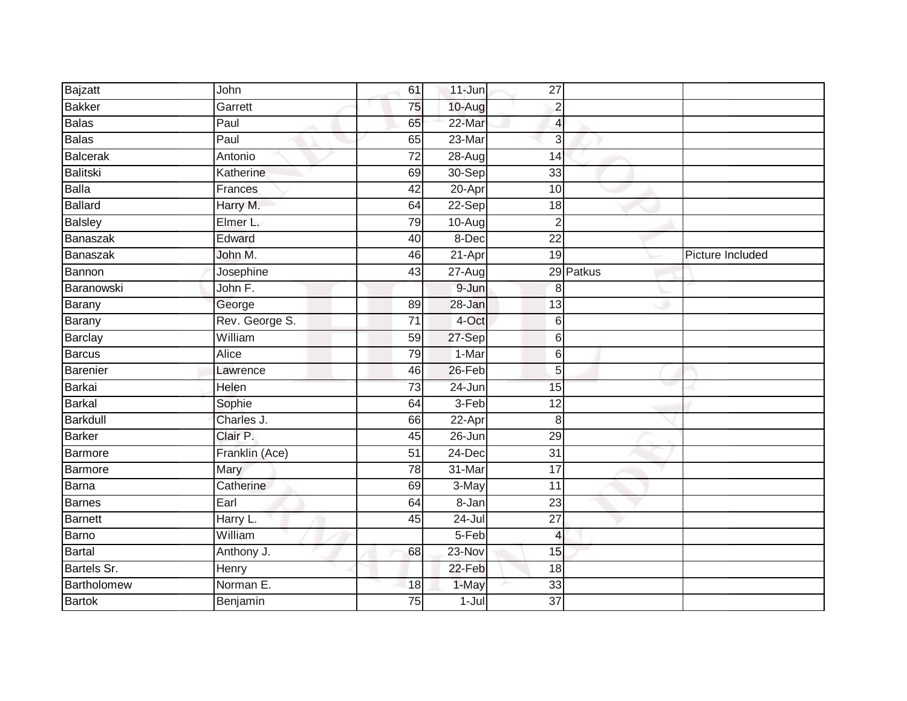| Bajzatt         | John           | 61              | $11$ -Jun  | 27                       |           |                  |
|-----------------|----------------|-----------------|------------|--------------------------|-----------|------------------|
| <b>Bakker</b>   | Garrett        | 75              | 10-Aug     | $\overline{2}$           |           |                  |
| <b>Balas</b>    | Paul           | 65              | 22-Mar     | $\overline{4}$           |           |                  |
| <b>Balas</b>    | Paul           | 65              | 23-Mar     | 3                        |           |                  |
| <b>Balcerak</b> | Antonio        | $\overline{72}$ | 28-Aug     | $\overline{14}$          |           |                  |
| Balitski        | Katherine      | 69              | $30-Sep$   | 33                       |           |                  |
| <b>Balla</b>    | Frances        | 42              | 20-Apr     | 10                       |           |                  |
| <b>Ballard</b>  | Harry M.       | 64              | 22-Sep     | 18                       |           |                  |
| <b>Balsley</b>  | Elmer L.       | 79              | $10-Aug$   | $\overline{2}$           |           |                  |
| <b>Banaszak</b> | Edward         | 40              | 8-Dec      | $\overline{22}$          |           |                  |
| Banaszak        | John M.        | 46              | 21-Apr     | 19                       |           | Picture Included |
| Bannon          | Josephine      | 43              | 27-Aug     |                          | 29 Patkus |                  |
| Baranowski      | John F.        |                 | 9-Jun      | 8                        |           |                  |
| Barany          | George         | 89              | 28-Jan     | 13                       |           |                  |
| Barany          | Rev. George S. | $\overline{71}$ | 4-Oct      | 6                        |           |                  |
| <b>Barclay</b>  | William        | 59              | 27-Sep     | 6                        |           |                  |
| Barcus          | <b>Alice</b>   | 79              | $1-Mar$    | 6                        |           |                  |
| Barenier        | Lawrence       | 46              | 26-Feb     | 5                        |           |                  |
| Barkai          | Helen          | 73              | 24-Jun     | 15                       |           |                  |
| <b>Barkal</b>   | Sophie         | 64              | $3-Feb$    | $\overline{12}$          |           |                  |
| <b>Barkdull</b> | Charles J.     | 66              | $22$ -Apr  | 8                        |           |                  |
| <b>Barker</b>   | Clair P.       | 45              | 26-Jun     | 29                       |           |                  |
| Barmore         | Franklin (Ace) | 51              | 24-Dec     | $\overline{31}$          |           |                  |
| <b>Barmore</b>  | Mary           | 78              | 31-Mar     | $\overline{17}$          |           |                  |
| <b>Barna</b>    | Catherine      | 69              | 3-May      | 11                       |           |                  |
| <b>Barnes</b>   | Earl           | 64              | 8-Jan      | 23                       |           |                  |
| <b>Barnett</b>  | Harry L.       | 45              | $24 -$ Jul | $\overline{27}$          |           |                  |
| Barno           | William        |                 | 5-Feb      | $\overline{\mathcal{L}}$ |           |                  |
| <b>Bartal</b>   | Anthony J.     | 68              | 23-Nov     | 15                       |           |                  |
| Bartels Sr.     | Henry          |                 | 22-Feb     | 18                       |           |                  |
| Bartholomew     | Norman E.      | 18              | 1-May      | 33                       |           |                  |
| <b>Bartok</b>   | Benjamin       | $\overline{75}$ | $1 -$ Jul  | $\overline{37}$          |           |                  |
|                 |                |                 |            |                          |           |                  |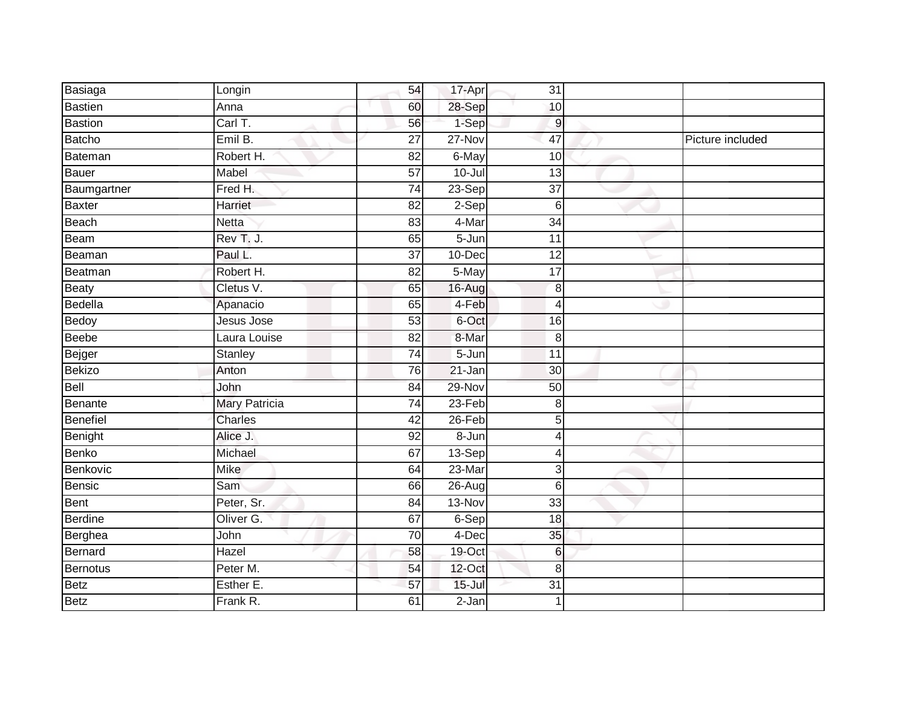| Basiaga        | Longin               | 54              | 17-Apr     | 31              |                  |
|----------------|----------------------|-----------------|------------|-----------------|------------------|
| Bastien        | Anna                 | 60              | 28-Sep     | 10              |                  |
| <b>Bastion</b> | Carl T.              | 56              | 1-Sep      | $\overline{9}$  |                  |
| Batcho         | Emil B.              | $\overline{27}$ | 27-Nov     | $\overline{47}$ | Picture included |
| Bateman        | Robert H.            | $\overline{82}$ | 6-May      | 10              |                  |
| Bauer          | Mabel                | 57              | 10-Jul     | 13              |                  |
| Baumgartner    | Fred H.              | $\overline{74}$ | 23-Sep     | $\overline{37}$ |                  |
| Baxter         | Harriet              | 82              | 2-Sep      | 6               |                  |
| Beach          | <b>Netta</b>         | 83              | 4-Mar      | 34              |                  |
| Beam           | Rev T. J.            | 65              | $5 - Jun$  | 11              |                  |
| Beaman         | Paul L.              | $\overline{37}$ | 10-Dec     | 12              |                  |
| Beatman        | Robert H.            | 82              | 5-May      | 17              |                  |
| <b>Beaty</b>   | Cletus V.            | 65              | 16-Aug     | 8               |                  |
| Bedella        | Apanacio             | 65              | 4-Feb      | 4               |                  |
| Bedoy          | Jesus Jose           | $\overline{53}$ | 6-Oct      | 16              |                  |
| Beebe          | Laura Louise         | 82              | 8-Mar      | $\,8\,$         |                  |
| Bejger         | Stanley              | $\overline{74}$ | $5 - Jun$  | $\overline{11}$ |                  |
| Bekizo         | Anton                | 76              | 21-Jan     | 30              |                  |
| Bell           | John                 | 84              | 29-Nov     | 50              |                  |
| Benante        | <b>Mary Patricia</b> | $\overline{74}$ | $23-Feb$   | 8               |                  |
| Benefiel       | Charles              | 42              | 26-Feb     | 5               |                  |
| Benight        | Alice J.             | 92              | $8 - Jun$  | $\overline{4}$  |                  |
| Benko          | Michael              | 67              | $13-Sep$   | Δ               |                  |
| Benkovic       | <b>Mike</b>          | 64              | 23-Mar     | 3               |                  |
| Bensic         | Sam                  | 66              | 26-Aug     | $6\,$           |                  |
| Bent           | Peter, Sr.           | 84              | 13-Nov     | 33              |                  |
| Berdine        | Oliver G.            | 67              | 6-Sep      | 18              |                  |
| Berghea        | John                 | 70              | 4-Dec      | 35              |                  |
| Bernard        | Hazel                | 58              | 19-Oct     | $6\phantom{1}$  |                  |
| Bernotus       | Peter M.             | 54              | 12-Oct     | 8               |                  |
| <b>Betz</b>    | Esther E.            | 57              | $15 -$ Jul | 31              |                  |
| <b>Betz</b>    | Frank R.             | 61              | 2-Jan      | 1               |                  |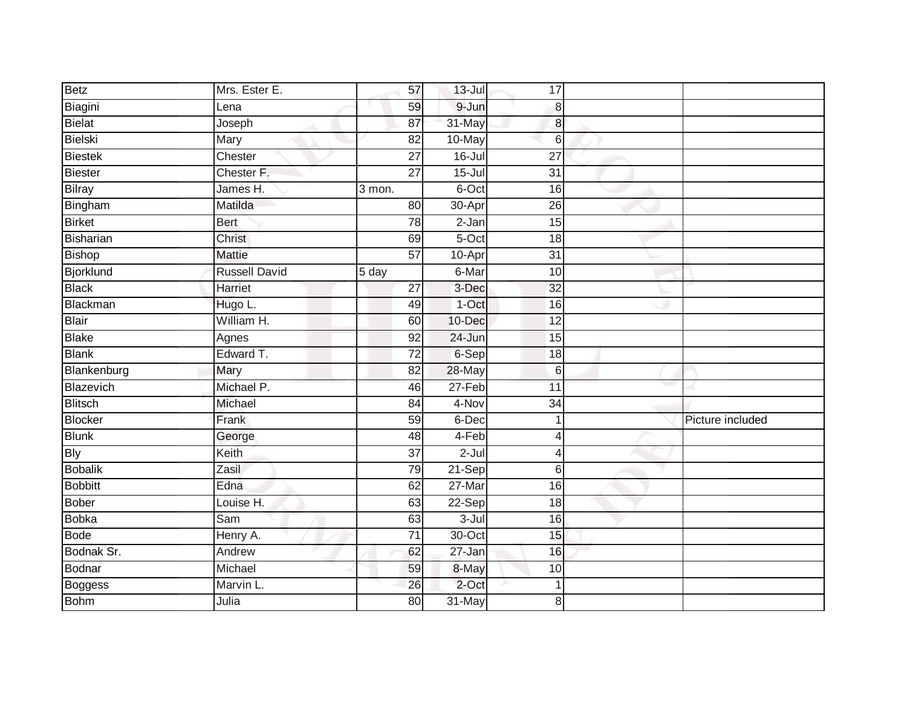| <b>Betz</b>    | Mrs. Ester E.        | 57              | $13 -$ Jul | 17               |                  |
|----------------|----------------------|-----------------|------------|------------------|------------------|
| Biagini        | Lena                 | 59              | 9-Jun      | 8                |                  |
| Bielat         | Joseph               | 87              | 31-May     | $\bf{8}$         |                  |
| <b>Bielski</b> | Mary                 | 82              | 10-May     | $6\phantom{1}6$  |                  |
| <b>Biestek</b> | Chester              | $\overline{27}$ | $16 -$ Jul | $\overline{27}$  |                  |
| Biester        | Chester F.           | $\overline{27}$ | $15 -$ Jul | $\overline{31}$  |                  |
| Bilray         | James H.             | 3 mon.          | 6-Oct      | 16               |                  |
| Bingham        | Matilda              | 80              | 30-Apr     | 26               |                  |
| Birket         | <b>Bert</b>          | 78              | 2-Jan      | 15               |                  |
| Bisharian      | Christ               | 69              | $5-Oct$    | 18               |                  |
| Bishop         | <b>Mattie</b>        | $\overline{57}$ | 10-Apr     | $\overline{31}$  |                  |
| Bjorklund      | <b>Russell David</b> | 5 day           | 6-Mar      | 10               |                  |
| <b>Black</b>   | Harriet              | $\overline{27}$ | 3-Dec      | 32               |                  |
| Blackman       | Hugo L.              | 49              | $1-Oct$    | 16               |                  |
| Blair          | William H.           | 60              | 10-Dec     | $\overline{12}$  |                  |
| Blake          | Agnes                | 92              | 24-Jun     | 15               |                  |
| <b>Blank</b>   | Edward T.            | $\overline{72}$ | 6-Sep      | 18               |                  |
| Blankenburg    | Mary                 | 82              | 28-May     | $6 \overline{6}$ |                  |
| Blazevich      | Michael P.           | 46              | 27-Feb     | 11               |                  |
| <b>Blitsch</b> | Michael              | 84              | 4-Nov      | $\overline{34}$  |                  |
| Blocker        | Frank                | 59              | 6-Dec      | $\mathbf{1}$     | Picture included |
| <b>Blunk</b>   | George               | 48              | $4-Feb$    | 4                |                  |
| <b>Bly</b>     | Keith                | $\overline{37}$ | $2$ -Jul   | $\overline{4}$   |                  |
| <b>Bobalik</b> | Zasil                | 79              | 21-Sep     | $6 \,$           |                  |
| <b>Bobbitt</b> | Edna                 | 62              | 27-Mar     | 16               |                  |
| <b>Bober</b>   | Louise H.            | 63              | 22-Sep     | 18               |                  |
| <b>Bobka</b>   | Sam                  | 63              | $3 -$ Jul  | 16               |                  |
| <b>Bode</b>    | Henry A.             | 71              | 30-Oct     | 15               |                  |
| Bodnak Sr.     | Andrew               | 62              | 27-Jan     | 16               |                  |
| Bodnar         | Michael              | 59              | 8-May      | 10               |                  |
| Boggess        | Marvin L.            | 26              | 2-Oct      | $\mathbf 1$      |                  |
| <b>Bohm</b>    | Julia                | 80              | 31-May     | 8                |                  |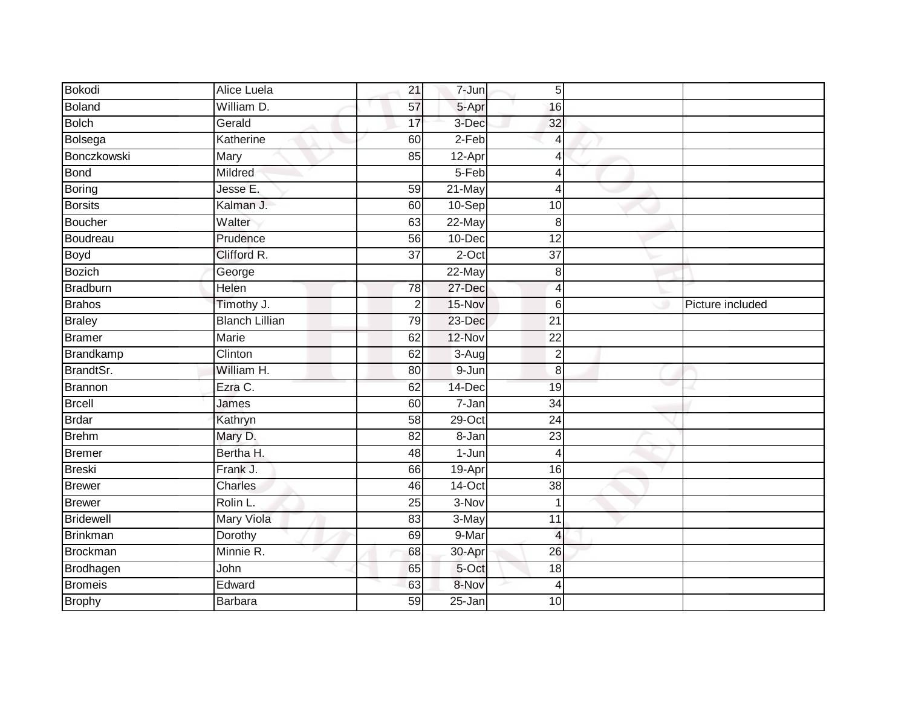| Bokodi           | Alice Luela           | 21              | 7-Jun      | $\sqrt{5}$      |                  |
|------------------|-----------------------|-----------------|------------|-----------------|------------------|
| Boland           | William D.            | 57              | 5-Apr      | 16              |                  |
| <b>Bolch</b>     | Gerald                | 17              | 3-Dec      | 32              |                  |
| Bolsega          | Katherine             | 60              | $2-Feb$    | $\overline{4}$  |                  |
| Bonczkowski      | Mary                  | 85              | 12-Apr     | $\overline{4}$  |                  |
| <b>Bond</b>      | Mildred               |                 | 5-Feb      | 4               |                  |
| Boring           | Jesse E.              | 59              | 21-May     | 4               |                  |
| <b>Borsits</b>   | Kalman J.             | 60              | 10-Sep     | 10              |                  |
| Boucher          | Walter                | 63              | 22-May     | 8               |                  |
| Boudreau         | Prudence              | 56              | 10-Dec     | $\overline{12}$ |                  |
| Boyd             | Clifford R.           | $\overline{37}$ | $2$ -Oct   | $\overline{37}$ |                  |
| <b>Bozich</b>    | George                |                 | 22-May     | 8               |                  |
| <b>Bradburn</b>  | Helen                 | 78              | 27-Dec     | $\overline{4}$  |                  |
| <b>Brahos</b>    | Timothy J.            | $\overline{2}$  | 15-Nov     | 6               | Picture included |
| <b>Braley</b>    | <b>Blanch Lillian</b> | 79              | 23-Dec     | $\overline{21}$ |                  |
| <b>Bramer</b>    | Marie                 | 62              | 12-Nov     | 22              |                  |
| <b>Brandkamp</b> | Clinton               | 62              | $3-Aug$    | $\overline{2}$  |                  |
| BrandtSr.        | William H.            | 80              | $9 - Jun$  | 8               |                  |
| Brannon          | Ezra C.               | 62              | 14-Dec     | 19              |                  |
| <b>Brcell</b>    | James                 | 60              | $7 - Jan$  | $\overline{34}$ |                  |
| <b>Brdar</b>     | Kathryn               | 58              | $29$ -Oct  | 24              |                  |
| <b>Brehm</b>     | Mary D.               | $\overline{82}$ | 8-Jan      | $\overline{23}$ |                  |
| <b>Bremer</b>    | Bertha H.             | 48              | $1-Jun$    | $\overline{4}$  |                  |
| <b>Breski</b>    | Frank J.              | 66              | 19-Apr     | 16              |                  |
| <b>Brewer</b>    | <b>Charles</b>        | 46              | 14-Oct     | $\overline{38}$ |                  |
| <b>Brewer</b>    | Rolin L.              | 25              | $3-Nov$    | $\overline{1}$  |                  |
| <b>Bridewell</b> | <b>Mary Viola</b>     | 83              | 3-May      | $\overline{11}$ |                  |
| <b>Brinkman</b>  | Dorothy               | 69              | 9-Mar      | $\overline{4}$  |                  |
| <b>Brockman</b>  | Minnie R.             | 68              | 30-Apr     | 26              |                  |
| Brodhagen        | John                  | 65              | 5-Oct      | 18              |                  |
| <b>Bromeis</b>   | Edward                | 63              | 8-Nov      | $\overline{4}$  |                  |
| <b>Brophy</b>    | Barbara               | 59              | $25 - Jan$ | 10              |                  |
|                  |                       |                 |            |                 |                  |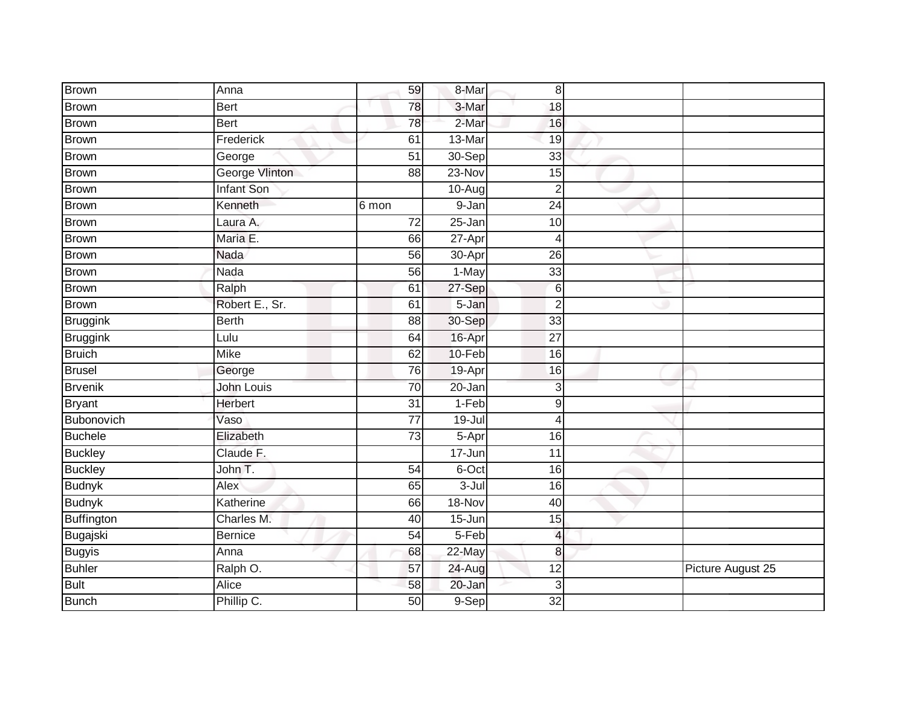| <b>Brown</b>      | Anna                  | 59              | 8-Mar                | 8                        |                   |
|-------------------|-----------------------|-----------------|----------------------|--------------------------|-------------------|
| <b>Brown</b>      | <b>Bert</b>           | 78              | 3-Mar                | 18                       |                   |
| <b>Brown</b>      | <b>Bert</b>           | 78              | 2-Mar                | 16                       |                   |
| <b>Brown</b>      | Frederick             | 61              | 13-Mar               | 19                       |                   |
| <b>Brown</b>      | George                | $\overline{51}$ | 30-Sep               | $\overline{33}$          |                   |
| <b>Brown</b>      | <b>George Vlinton</b> | 88              | $23-Nov$             | 15                       |                   |
| <b>Brown</b>      | <b>Infant Son</b>     |                 | $\overline{1}0$ -Aug | $\overline{2}$           |                   |
| Brown             | Kenneth               | 6 mon           | 9-Jan                | 24                       |                   |
| <b>Brown</b>      | Laura A.              | $\overline{72}$ | 25-Jan               | 10                       |                   |
| <b>Brown</b>      | Maria E.              | 66              | $27 -$ Apr           | 4                        |                   |
| Brown             | Nada                  | 56              | 30-Apr               | 26                       |                   |
| <b>Brown</b>      | Nada                  | 56              | 1-May                | 33                       |                   |
| <b>Brown</b>      | Ralph                 | 61              | 27-Sep               | $6\phantom{1}6$          |                   |
| <b>Brown</b>      | Robert E., Sr.        | 61              | 5-Jan                | $\overline{2}$           |                   |
| <b>Bruggink</b>   | <b>Berth</b>          | $\overline{88}$ | 30-Sep               | 33                       |                   |
| <b>Bruggink</b>   | Lulu                  | 64              | 16-Apr               | 27                       |                   |
| <b>Bruich</b>     | <b>Mike</b>           | 62              | $10-Feb$             | 16                       |                   |
| <b>Brusel</b>     | George                | 76              | 19-Apr               | 16                       |                   |
| <b>Brvenik</b>    | John Louis            | 70              | 20-Jan               | 3                        |                   |
| <b>Bryant</b>     | <b>Herbert</b>        | $\overline{31}$ | $1-Feb$              | $\boldsymbol{9}$         |                   |
| Bubonovich        | Vaso                  | $\overline{77}$ | $19 -$ Jul           | $\overline{4}$           |                   |
| <b>Buchele</b>    | Elizabeth             | $\overline{73}$ | 5-Apr                | 16                       |                   |
| <b>Buckley</b>    | Claude F.             |                 | 17-Jun               | 11                       |                   |
| <b>Buckley</b>    | John T.               | $\overline{54}$ | 6-Oct                | 16                       |                   |
| <b>Budnyk</b>     | Alex                  | 65              | $3 -$ Jul            | 16                       |                   |
| <b>Budnyk</b>     | Katherine             | 66              | 18-Nov               | 40                       |                   |
| <b>Buffington</b> | Charles M.            | 40              | $15 - Jun$           | 15                       |                   |
| Bugajski          | <b>Bernice</b>        | 54              | 5-Feb                | $\overline{\mathcal{L}}$ |                   |
| <b>Bugyis</b>     | Anna                  | 68              | 22-May               | 8                        |                   |
| <b>Buhler</b>     | Ralph O.              | 57              | 24-Aug               | 12                       | Picture August 25 |
| <b>Bult</b>       | Alice                 | 58              | 20-Jan               | 3                        |                   |
| <b>Bunch</b>      | Phillip C.            | 50              | 9-Sep                | $\overline{32}$          |                   |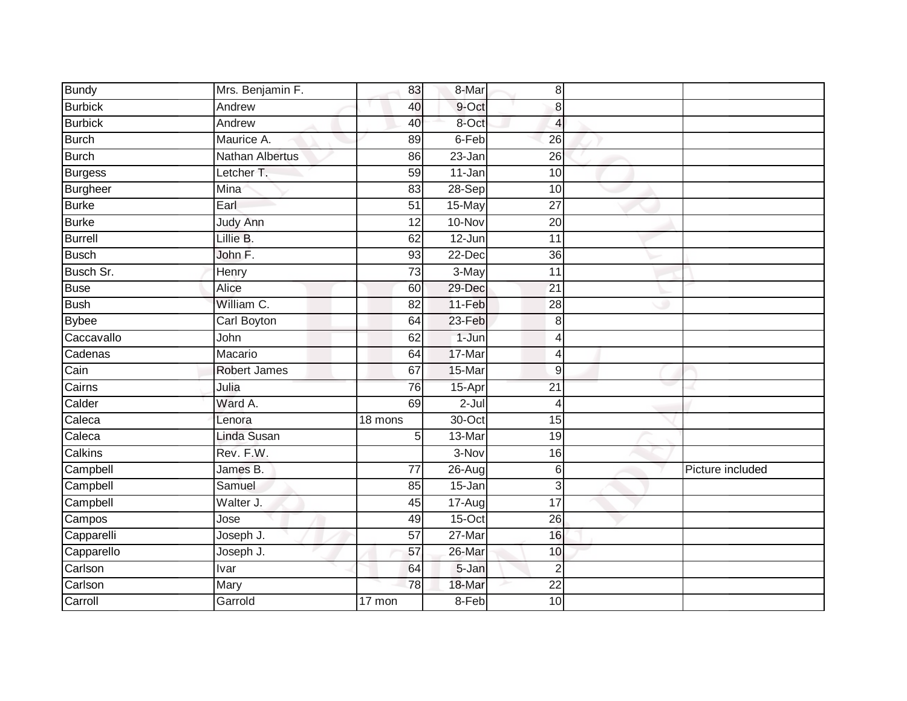| <b>Bundy</b>    | Mrs. Benjamin F.            | 83              | 8-Mar      | 8               |                  |
|-----------------|-----------------------------|-----------------|------------|-----------------|------------------|
| <b>Burbick</b>  | Andrew                      | 40              | 9-Oct      | 8               |                  |
| <b>Burbick</b>  | Andrew                      | 40              | 8-Oct      | $\overline{4}$  |                  |
| Burch           | Maurice A.                  | 89              | 6-Feb      | 26              |                  |
| <b>Burch</b>    | <b>Nathan Albertus</b>      | 86              | 23-Jan     | $\overline{26}$ |                  |
| Burgess         | Letcher T.                  | 59              | 11-Jan     | 10              |                  |
| <b>Burgheer</b> | $\overline{\mathrm{M}}$ ina | 83              | $28-Sep$   | 10              |                  |
| <b>Burke</b>    | Earl                        | 51              | 15-May     | 27              |                  |
| <b>Burke</b>    | Judy Ann                    | 12              | 10-Nov     | 20              |                  |
| Burrell         | Lillie B.                   | 62              | 12-Jun     | 11              |                  |
| Busch           | John F.                     | 93              | 22-Dec     | 36              |                  |
| Busch Sr.       | <b>Henry</b>                | 73              | 3-May      | 11              |                  |
| <b>Buse</b>     | Alice                       | 60              | 29-Dec     | 21              |                  |
| <b>Bush</b>     | William C.                  | 82              | 11-Feb     | 28              |                  |
| <b>Bybee</b>    | Carl Boyton                 | 64              | 23-Feb     | 8               |                  |
| Caccavallo      | John                        | 62              | 1-Jun      | $\overline{4}$  |                  |
| Cadenas         | Macario                     | 64              | 17-Mar     | 4               |                  |
| Cain            | <b>Robert James</b>         | 67              | 15-Mar     | 9               |                  |
| Cairns          | Julia                       | 76              | 15-Apr     | $\overline{21}$ |                  |
| Calder          | Ward A.                     | 69              | $2 -$ Jul  | $\overline{4}$  |                  |
| Caleca          | Lenora                      | 18 mons         | $30$ -Oct  | 15              |                  |
| Caleca          | Linda Susan                 | 5               | 13-Mar     | $\overline{19}$ |                  |
| Calkins         | Rev. F.W.                   |                 | 3-Nov      | 16              |                  |
| Campbell        | James B.                    | $\overline{77}$ | 26-Aug     | $6 \,$          | Picture included |
| Campbell        | Samuel                      | 85              | 15-Jan     | 3               |                  |
| Campbell        | Walter J.                   | 45              | $17 - Aug$ | 17              |                  |
| Campos          | Jose                        | 49              | $15-Oct$   | $\overline{26}$ |                  |
| Capparelli      | Joseph J.                   | 57              | 27-Mar     | 16              |                  |
| Capparello      | Joseph J.                   | 57              | 26-Mar     | 10              |                  |
| Carlson         | Ivar                        | 64              | 5-Jan      | $\overline{2}$  |                  |
| Carlson         | Mary                        | 78              | 18-Mar     | $\overline{22}$ |                  |
| Carroll         | Garrold                     | 17 mon          | $8-Feb$    | $\overline{10}$ |                  |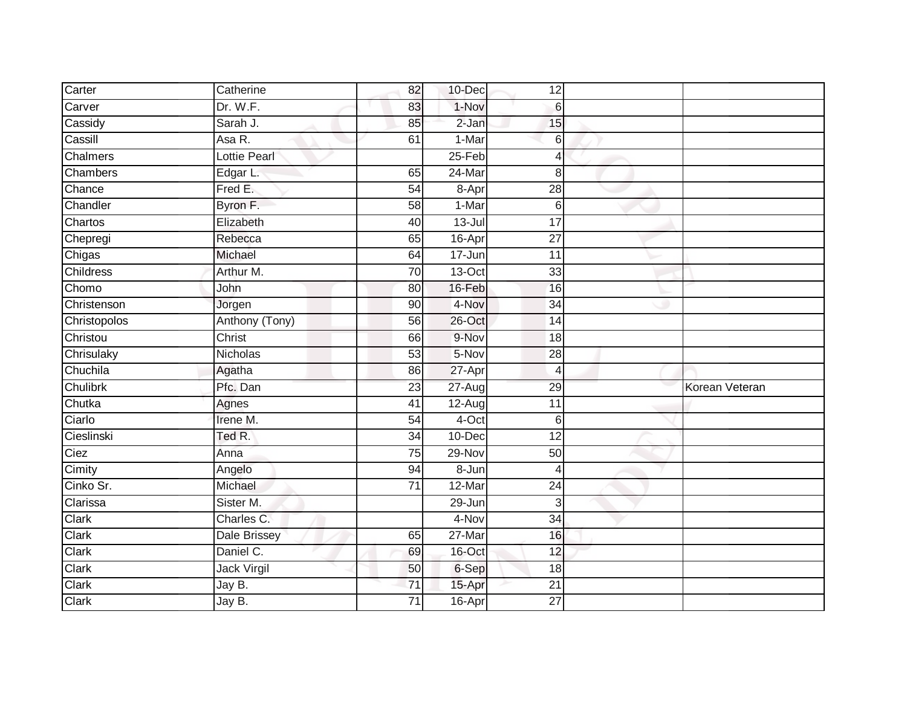| Carter           | Catherine           | 82              | 10-Dec     | 12               |                |
|------------------|---------------------|-----------------|------------|------------------|----------------|
| Carver           | Dr. W.F.            | 83              | 1-Nov      | $6 \overline{6}$ |                |
| Cassidy          | Sarah J.            | 85              | $2-Jan$    | 15               |                |
| Cassill          | Asa R.              | 61              | 1-Mar      | 6                |                |
| Chalmers         | <b>Lottie Pearl</b> |                 | $25-Feb$   | 4                |                |
| Chambers         | Edgar L.            | 65              | $24$ -Mar  | 8                |                |
| Chance           | Fred E.             | 54              | 8-Apr      | $\overline{28}$  |                |
| Chandler         | Byron F.            | 58              | 1-Mar      | 6                |                |
| Chartos          | Elizabeth           | 40              | $13 -$ Jul | $\overline{17}$  |                |
| Chepregi         | Rebecca             | 65              | 16-Apr     | $\overline{27}$  |                |
| Chigas           | Michael             | 64              | 17-Jun     | 11               |                |
| <b>Childress</b> | Arthur M.           | 70              | $13-Oct$   | 33               |                |
| Chomo            | John                | 80              | 16-Feb     | 16               |                |
| Christenson      | Jorgen              | 90              | 4-Nov      | 34               |                |
| Christopolos     | Anthony (Tony)      | 56              | 26-Oct     | $\overline{14}$  |                |
| Christou         | Christ              | 66              | 9-Nov      | 18               |                |
| Chrisulaky       | Nicholas            | 53              | 5-Nov      | 28               |                |
| Chuchila         | Agatha              | 86              | 27-Apr     | 4                |                |
| Chulibrk         | Pfc. Dan            | 23              | 27-Aug     | 29               | Korean Veteran |
| Chutka           | Agnes               | $\overline{41}$ | 12-Aug     | $\overline{11}$  |                |
| Ciarlo           | Irene M.            | 54              | 4-Oct      | 6                |                |
| Cieslinski       | Ted R.              | 34              | $10 - Dec$ | 12               |                |
| Ciez             | Anna                | 75              | 29-Nov     | 50               |                |
| Cimity           | Angelo              | 94              | 8-Jun      | 4                |                |
| Cinko Sr.        | Michael             | 71              | 12-Mar     | 24               |                |
| Clarissa         | Sister M.           |                 | 29-Jun     | $\overline{3}$   |                |
| Clark            | Charles C.          |                 | 4-Nov      | $\overline{34}$  |                |
| Clark            | <b>Dale Brissey</b> | 65              | 27-Mar     | 16               |                |
| Clark            | Daniel C.           | 69              | 16-Oct     | 12               |                |
| Clark            | Jack Virgil         | 50              | 6-Sep      | 18               |                |
| Clark            | Jay B.              | 71              | 15-Apr     | 21               |                |
| Clark            | Jay B.              | $\overline{71}$ | $16$ -Apr  | 27               |                |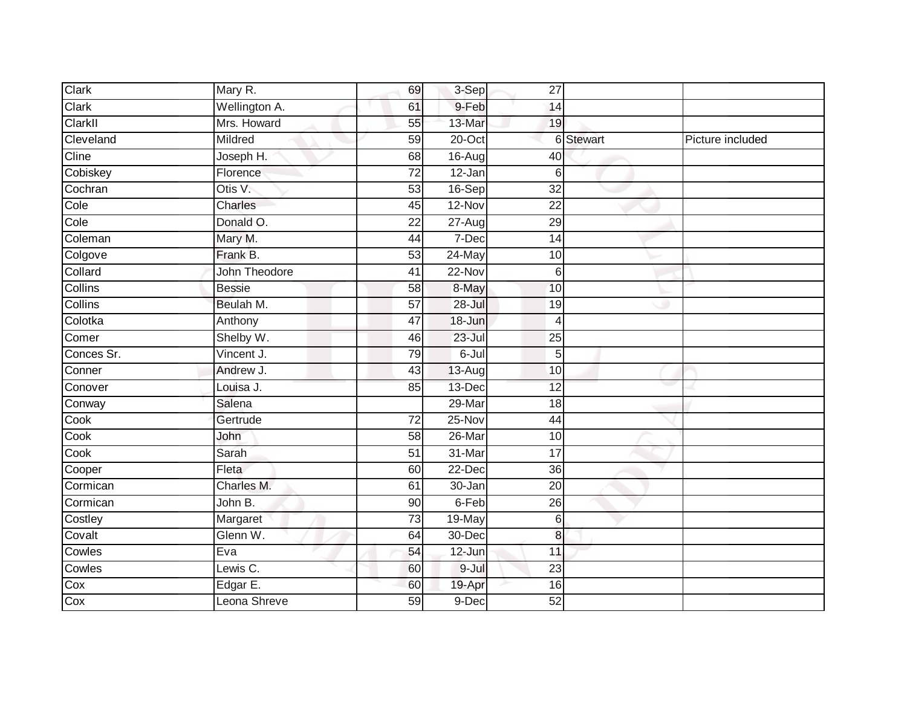| Clark      | Mary R.       | 69              | 3-Sep     | 27               |           |                  |
|------------|---------------|-----------------|-----------|------------------|-----------|------------------|
| Clark      | Wellington A. | 61              | 9-Feb     | 14               |           |                  |
| ClarkII    | Mrs. Howard   | 55              | 13-Mar    | 19               |           |                  |
| Cleveland  | Mildred       | 59              | 20-Oct    |                  | 6 Stewart | Picture included |
| Cline      | Joseph H.     | 68              | 16-Aug    | 40               |           |                  |
| Cobiskey   | Florence      | $\overline{72}$ | 12-Jan    | $6 \,$           |           |                  |
| Cochran    | Otis V.       | 53              | $16-Sep$  | $\overline{32}$  |           |                  |
| Cole       | Charles       | 45              | 12-Nov    | 22               |           |                  |
| Cole       | Donald O.     | $\overline{22}$ | 27-Aug    | 29               |           |                  |
| Coleman    | Mary M.       | 44              | 7-Dec     | 14               |           |                  |
| Colgove    | Frank B.      | 53              | 24-May    | 10               |           |                  |
| Collard    | John Theodore | 41              | 22-Nov    | $6 \overline{6}$ |           |                  |
| Collins    | <b>Bessie</b> | 58              | 8-May     | 10               |           |                  |
| Collins    | Beulah M.     | 57              | 28-Jul    | 19               |           |                  |
| Colotka    | Anthony       | $\overline{47}$ | 18-Jun    | $\overline{4}$   |           |                  |
| Comer      | Shelby W.     | 46              | 23-Jul    | 25               |           |                  |
| Conces Sr. | Vincent J.    | 79              | 6-Jul     | $5\overline{)}$  |           |                  |
| Conner     | Andrew J.     | 43              | 13-Aug    | 10               |           |                  |
| Conover    | Louisa J.     | 85              | 13-Dec    | 12               |           |                  |
| Conway     | Salena        |                 | 29-Mar    | $\overline{18}$  |           |                  |
| Cook       | Gertrude      | 72              | 25-Nov    | 44               |           |                  |
| Cook       | John          | $\overline{58}$ | $26$ -Mar | 10               |           |                  |
| Cook       | Sarah         | 51              | 31-Mar    | 17               |           |                  |
| Cooper     | Fleta         | 60              | 22-Dec    | 36               |           |                  |
| Cormican   | Charles M.    | 61              | 30-Jan    | 20               |           |                  |
| Cormican   | John B.       | 90              | 6-Feb     | 26               |           |                  |
| Costley    | Margaret      | 73              | $19-May$  | $6 \,$           |           |                  |
| Covalt     | Glenn W.      | 64              | 30-Dec    | 8                |           |                  |
| Cowles     | Eva           | 54              | $12$ -Jun | 11               |           |                  |
| Cowles     | Lewis C.      | 60              | 9-Jul     | 23               |           |                  |
| Cox        | Edgar E.      | 60              | 19-Apr    | 16               |           |                  |
| Cox        | Leona Shreve  | 59              | 9-Dec     | 52               |           |                  |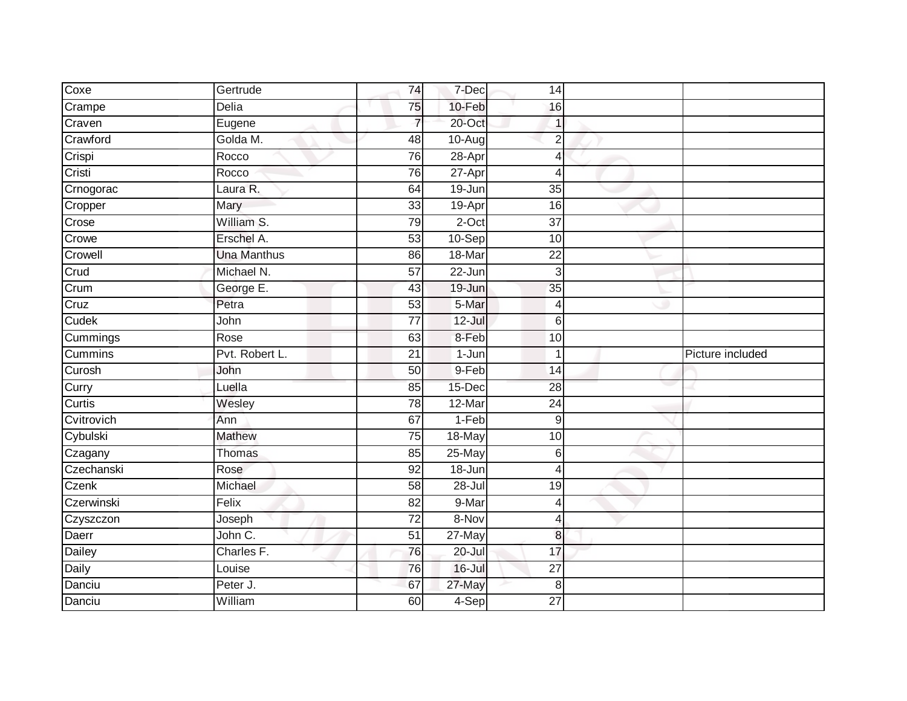| Coxe          | Gertrude           | 74              | 7-Dec      | 14              |                  |
|---------------|--------------------|-----------------|------------|-----------------|------------------|
| Crampe        | Delia              | 75              | 10-Feb     | 16              |                  |
| Craven        | Eugene             | $\overline{7}$  | 20-Oct     |                 |                  |
| Crawford      | Golda M.           | 48              | 10-Aug     | $\overline{2}$  |                  |
| Crispi        | Rocco              | 76              | 28-Apr     | Δ               |                  |
| Cristi        | Rocco              | 76              | 27-Apr     | 4               |                  |
| Crnogorac     | Laura R.           | 64              | $19 - Jun$ | 35              |                  |
| Cropper       | Mary               | 33              | 19-Apr     | 16              |                  |
| Crose         | William S.         | 79              | $2$ -Oct   | 37              |                  |
| Crowe         | Erschel A.         | 53              | $10-Sep$   | 10              |                  |
| Crowell       | <b>Una Manthus</b> | 86              | 18-Mar     | $\overline{22}$ |                  |
| Crud          | Michael N.         | $\overline{57}$ | 22-Jun     | 3               |                  |
| Crum          | George E.          | 43              | $19 - Jun$ | 35              |                  |
| Cruz          | Petra              | 53              | 5-Mar      | 4               |                  |
| Cudek         | John               | $\overline{77}$ | $12 -$ Jul | 6               |                  |
| Cummings      | Rose               | 63              | 8-Feb      | 10              |                  |
| Cummins       | Pvt. Robert L.     | $\overline{21}$ | 1-Jun      |                 | Picture included |
| Curosh        | John               | 50              | 9-Feb      | 14              |                  |
| Curry         | Luella             | 85              | 15-Dec     | 28              |                  |
| Curtis        | Wesley             | 78              | 12-Mar     | $\overline{24}$ |                  |
| Cvitrovich    | Ann                | 67              | 1-Feb      | 9               |                  |
| Cybulski      | <b>Mathew</b>      | 75              | 18-May     | 10              |                  |
| Czagany       | Thomas             | 85              | 25-May     | 6               |                  |
| Czechanski    | Rose               | 92              | 18-Jun     | 4               |                  |
| Czenk         | Michael            | 58              | 28-Jul     | 19              |                  |
| Czerwinski    | Felix              | $\overline{82}$ | 9-Mar      | 4               |                  |
| Czyszczon     | Joseph             | $\overline{72}$ | 8-Nov      | 4               |                  |
| Daerr         | John C.            | 51              | 27-May     | 8               |                  |
| <b>Dailey</b> | Charles F.         | 76              | 20-Jul     | 17              |                  |
| Daily         | Louise             | 76              | 16-Jul     | 27              |                  |
| Danciu        | Peter J.           | 67              | 27-May     | 8               |                  |
| Danciu        | William            | 60              | 4-Sep      | 27              |                  |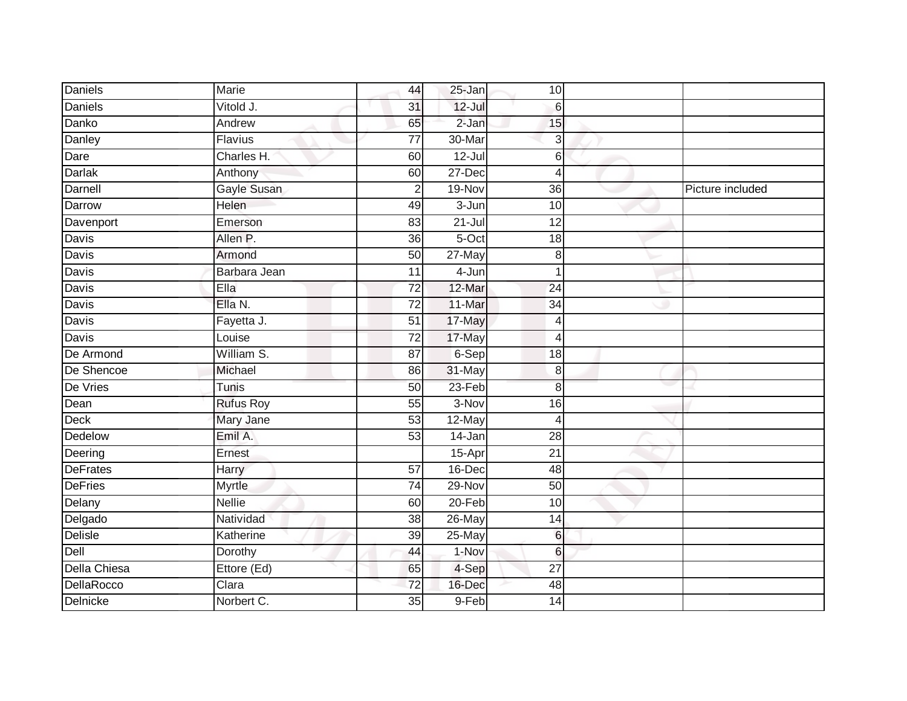| <b>Daniels</b>  | Marie            | 44              | 25-Jan     | 10               |                  |
|-----------------|------------------|-----------------|------------|------------------|------------------|
| <b>Daniels</b>  | Vitold J.        | 31              | $12$ -Jul  | $6 \overline{6}$ |                  |
| Danko           | Andrew           | 65              | $2-Jan$    | 15               |                  |
| Danley          | Flavius          | $\overline{77}$ | 30-Mar     | 3                |                  |
| Dare            | Charles H.       | 60              | $12 -$ Jul | 6                |                  |
| Darlak          | Anthony          | 60              | 27-Dec     | 4                |                  |
| Darnell         | Gayle Susan      | $\overline{2}$  | 19-Nov     | 36               | Picture included |
| Darrow          | Helen            | 49              | 3-Jun      | 10               |                  |
| Davenport       | Emerson          | 83              | $21 -$ Jul | 12               |                  |
| Davis           | Allen P.         | $\overline{36}$ | $5-Oct$    | 18               |                  |
| Davis           | Armond           | $\overline{50}$ | 27-May     | 8                |                  |
| Davis           | Barbara Jean     | 11              | 4-Jun      |                  |                  |
| Davis           | Ella             | $\overline{72}$ | 12-Mar     | $\overline{24}$  |                  |
| Davis           | Ella N.          | 72              | 11-Mar     | 34               |                  |
| <b>Davis</b>    | Fayetta J.       | $\overline{51}$ | 17-May     | 4                |                  |
| Davis           | Louise           | $\overline{72}$ | 17-May     | 4                |                  |
| De Armond       | William S.       | $\overline{87}$ | 6-Sep      | $\overline{18}$  |                  |
| De Shencoe      | Michael          | 86              | 31-May     | 8                |                  |
| De Vries        | Tunis            | 50              | 23-Feb     | 8                |                  |
| Dean            | <b>Rufus Roy</b> | 55              | 3-Nov      | 16               |                  |
| <b>Deck</b>     | Mary Jane        | 53              | 12-May     | Δ                |                  |
| Dedelow         | Emil A.          | 53              | $14$ -Jan  | $\overline{28}$  |                  |
| Deering         | Ernest           |                 | $15-Apr$   | 21               |                  |
| <b>DeFrates</b> | Harry            | 57              | 16-Dec     | 48               |                  |
| <b>DeFries</b>  | <b>Myrtle</b>    | 74              | 29-Nov     | 50               |                  |
| Delany          | <b>Nellie</b>    | 60              | 20-Feb     | $\overline{10}$  |                  |
| Delgado         | Natividad        | 38              | 26-May     | 14               |                  |
| Delisle         | Katherine        | 39              | 25-May     | $6 \overline{6}$ |                  |
| Dell            | Dorothy          | 44              | 1-Nov      | 6                |                  |
| Della Chiesa    | Ettore (Ed)      | 65              | 4-Sep      | $\overline{27}$  |                  |
| DellaRocco      | Clara            | 72              | 16-Dec     | 48               |                  |
| Delnicke        | Norbert C.       | 35              | 9-Feb      | 14               |                  |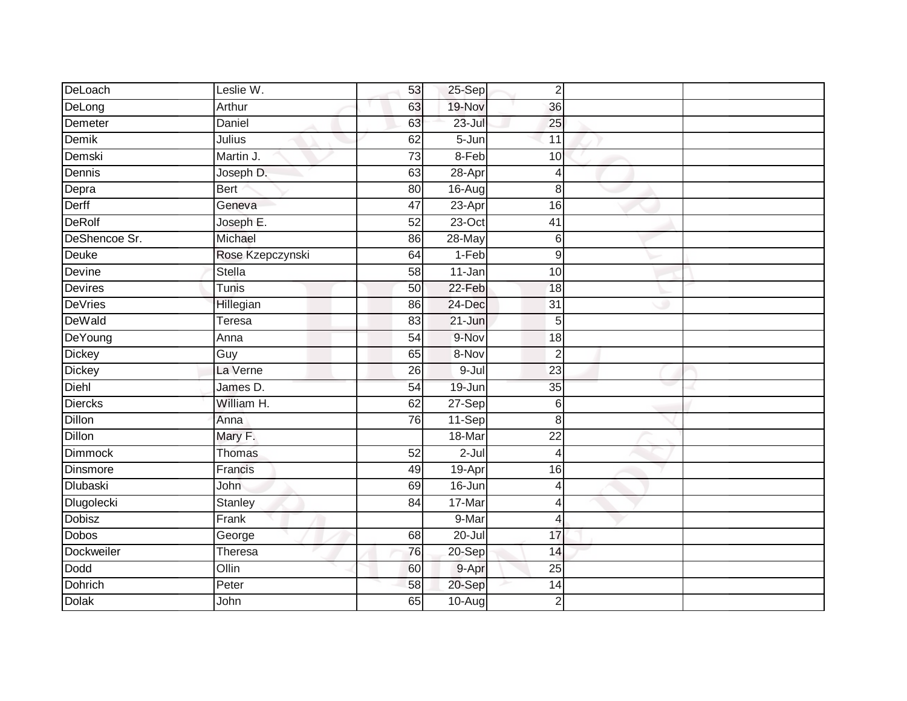| DeLoach           | Leslie W.        | 53              | 25-Sep     | $\overline{2}$   |  |
|-------------------|------------------|-----------------|------------|------------------|--|
| DeLong            | Arthur           | 63              | 19-Nov     | 36               |  |
| Demeter           | <b>Daniel</b>    | 63              | $23 -$ Jul | 25               |  |
| Demik             | Julius           | 62              | $5 - Jun$  | 11               |  |
| Demski            | Martin J.        | $\overline{73}$ | $8-Feb$    | 10               |  |
| Dennis            | Joseph D.        | 63              | 28-Apr     | $\overline{4}$   |  |
| Depra             | <b>Bert</b>      | 80              | $16 - Aug$ | 8                |  |
| Derff             | Geneva           | 47              | $23-Apr$   | 16               |  |
| <b>DeRolf</b>     | Joseph E.        | 52              | 23-Oct     | 41               |  |
| DeShencoe Sr.     | Michael          | 86              | 28-May     | 6                |  |
| Deuke             | Rose Kzepczynski | 64              | $1-Feb$    | $\boldsymbol{9}$ |  |
| Devine            | Stella           | 58              | 11-Jan     | 10               |  |
| Devires           | Tunis            | 50              | 22-Feb     | 18               |  |
| <b>DeVries</b>    | Hillegian        | 86              | 24-Dec     | 31               |  |
| DeWald            | Teresa           | 83              | $21 - Jun$ | 5                |  |
| DeYoung           | Anna             | 54              | 9-Nov      | 18               |  |
| <b>Dickey</b>     | Guy              | 65              | 8-Nov      | $\overline{2}$   |  |
| <b>Dickey</b>     | La Verne         | 26              | $9 -$ Jul  | $\overline{23}$  |  |
| Diehl             | James D.         | 54              | 19-Jun     | 35               |  |
| <b>Diercks</b>    | William H.       | 62              | 27-Sep     | $\,6$            |  |
| <b>Dillon</b>     | Anna             | 76              | 11-Sep     | 8                |  |
| <b>Dillon</b>     | Mary F.          |                 | 18-Mar     | $\overline{22}$  |  |
| <b>Dimmock</b>    | Thomas           | 52              | $2 -$ Jul  | $\overline{4}$   |  |
| Dinsmore          | Francis          | 49              | 19-Apr     | 16               |  |
| <b>Dlubaski</b>   | John             | 69              | 16-Jun     | 4                |  |
| <b>Dlugolecki</b> | Stanley          | 84              | 17-Mar     | 4                |  |
| <b>Dobisz</b>     | Frank            |                 | 9-Mar      | $\overline{4}$   |  |
| Dobos             | George           | 68              | 20-Jul     | 17               |  |
| Dockweiler        | Theresa          | 76              | $20-Sep$   | 14               |  |
| Dodd              | Ollin            | 60              | 9-Apr      | 25               |  |
| <b>Dohrich</b>    | Peter            | 58              | 20-Sep     | 14               |  |
| <b>Dolak</b>      | John             | 65              | 10-Aug     | $\overline{2}$   |  |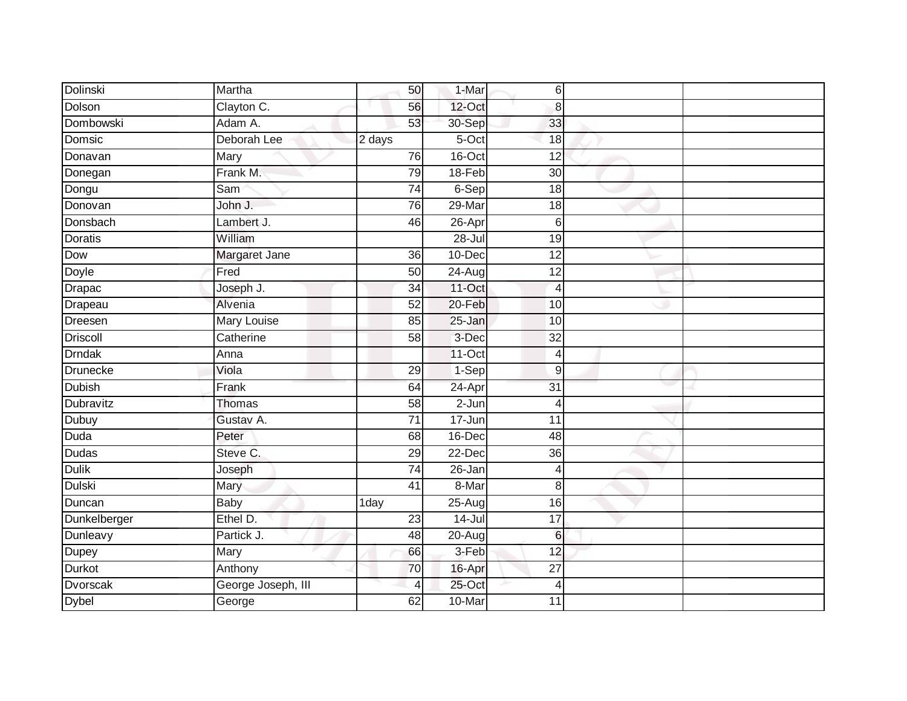| Dolinski        | Martha             | 50              | 1-Mar      | 6                |  |
|-----------------|--------------------|-----------------|------------|------------------|--|
| Dolson          | Clayton C.         | 56              | 12-Oct     | 8                |  |
| Dombowski       | Adam A.            | 53              | 30-Sep     | 33               |  |
| Domsic          | Deborah Lee        | 2 days          | 5-Oct      | 18               |  |
| Donavan         | Mary               | 76              | $16$ -Oct  | 12               |  |
| Donegan         | Frank M.           | 79              | 18-Feb     | 30               |  |
| Dongu           | Sam                | $\overline{74}$ | $6-Sep$    | 18               |  |
| Donovan         | John J.            | 76              | $29$ -Mar  | $\overline{18}$  |  |
| Donsbach        | Lambert J.         | 46              | $26 -$ Apr | 6                |  |
| <b>Doratis</b>  | William            |                 | $28 -$ Jul | 19               |  |
| Dow             | Margaret Jane      | 36              | 10-Dec     | $\overline{12}$  |  |
| Doyle           | Fred               | 50              | $24 - Aug$ | 12               |  |
| <b>Drapac</b>   | Joseph J.          | 34              | 11-Oct     | $\overline{4}$   |  |
| Drapeau         | Alvenia            | 52              | 20-Feb     | 10               |  |
| Dreesen         | <b>Mary Louise</b> | 85              | 25-Jan     | 10               |  |
| Driscoll        | Catherine          | 58              | 3-Dec      | 32               |  |
| <b>Drndak</b>   | Anna               |                 | $11-Oct$   | $\overline{4}$   |  |
| <b>Drunecke</b> | Viola              | 29              | 1-Sep      | $\boldsymbol{9}$ |  |
| <b>Dubish</b>   | Frank              | 64              | 24-Apr     | $\overline{31}$  |  |
| Dubravitz       | <b>Thomas</b>      | $\overline{58}$ | $2 - Jun$  | $\overline{4}$   |  |
| Dubuy           | Gustav A.          | $\overline{71}$ | $17 - Jun$ | $\overline{11}$  |  |
| <b>Duda</b>     | Peter              | 68              | 16-Dec     | 48               |  |
| <b>Dudas</b>    | Steve C.           | 29              | 22-Dec     | 36               |  |
| <b>Dulik</b>    | Joseph             | 74              | 26-Jan     | 4                |  |
| Dulski          | Mary               | 41              | 8-Mar      | 8                |  |
| Duncan          | <b>Baby</b>        | 1day            | 25-Aug     | 16               |  |
| Dunkelberger    | Ethel D.           | $\overline{23}$ | $14 -$ Jul | 17               |  |
| Dunleavy        | Partick J.         | 48              | $20 - Aug$ | $6\phantom{1}6$  |  |
| Dupey           | Mary               | 66              | 3-Feb      | 12               |  |
| <b>Durkot</b>   | Anthony            | 70              | 16-Apr     | $\overline{27}$  |  |
| <b>Dvorscak</b> | George Joseph, III | 4               | 25-Oct     | 4                |  |
| <b>Dybel</b>    | George             | 62              | 10-Mar     | $\overline{11}$  |  |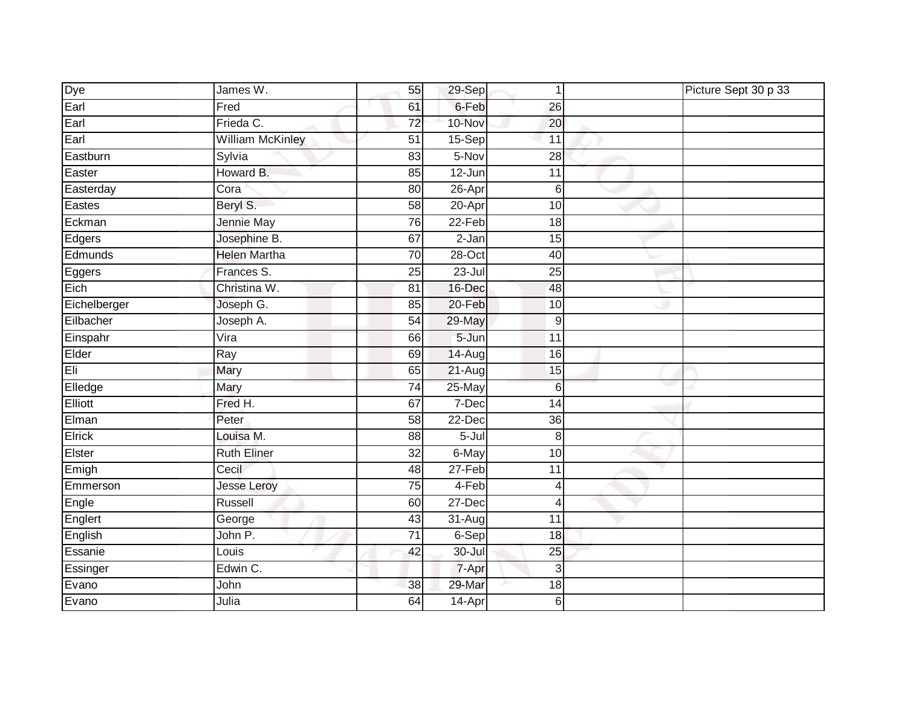| Dye          | James W.                | 55              | $29-Sep$   | 1               | Picture Sept 30 p 33 |
|--------------|-------------------------|-----------------|------------|-----------------|----------------------|
| Earl         | Fred                    | 61              | 6-Feb      | $\overline{26}$ |                      |
| Earl         | Frieda C.               | $\overline{72}$ | 10-Nov     | 20              |                      |
| Earl         | <b>William McKinley</b> | 51              | $15-$ Sep  | 11              |                      |
| Eastburn     | Sylvia                  | 83              | 5-Nov      | $\overline{28}$ |                      |
| Easter       | Howard B.               | 85              | 12-Jun     | $\overline{11}$ |                      |
| Easterday    | Cora                    | 80              | 26-Apr     | 6               |                      |
| Eastes       | Beryl S.                | 58              | 20-Apr     | 10              |                      |
| Eckman       | Jennie May              | 76              | 22-Feb     | 18              |                      |
| Edgers       | Josephine B.            | 67              | $2-Jan$    | 15              |                      |
| Edmunds      | <b>Helen Martha</b>     | 70              | $28 - Oct$ | 40              |                      |
| Eggers       | Frances S.              | 25              | $23 -$ Jul | 25              |                      |
| Eich         | Christina W.            | 81              | 16-Dec     | 48              |                      |
| Eichelberger | Joseph G.               | 85              | $20 - Feb$ | 10              |                      |
| Eilbacher    | Joseph A.               | 54              | 29-May     | 9               |                      |
| Einspahr     | Vira                    | 66              | 5-Jun      | 11              |                      |
| Elder        | Ray                     | 69              | 14-Aug     | 16              |                      |
| Eli          | Mary                    | 65              | $21-Auq$   | 15              |                      |
| Elledge      | Mary                    | 74              | 25-May     | 6               |                      |
| Elliott      | Fred H.                 | 67              | 7-Dec      | 14              |                      |
| Elman        | Peter                   | 58              | 22-Dec     | 36              |                      |
| Elrick       | Louisa M.               | 88              | $5 -$ Jul  | 8               |                      |
| Elster       | <b>Ruth Eliner</b>      | 32              | 6-May      | 10              |                      |
| Emigh        | Cecil                   | 48              | $27-Feb$   | 11              |                      |
| Emmerson     | <b>Jesse Leroy</b>      | 75              | 4-Feb      | 4               |                      |
| Engle        | Russell                 | 60              | 27-Dec     | $\overline{4}$  |                      |
| Englert      | George                  | 43              | 31-Aug     | $\overline{11}$ |                      |
| English      | John P.                 | 71              | $6-Sep$    | 18              |                      |
| Essanie      | Louis                   | 42              | 30-Jul     | 25              |                      |
| Essinger     | Edwin C.                |                 | 7-Apr      | 3               |                      |
| Evano        | John                    | 38              | 29-Mar     | 18              |                      |
| Evano        | Julia                   | 64              | 14-Apr     | 6               |                      |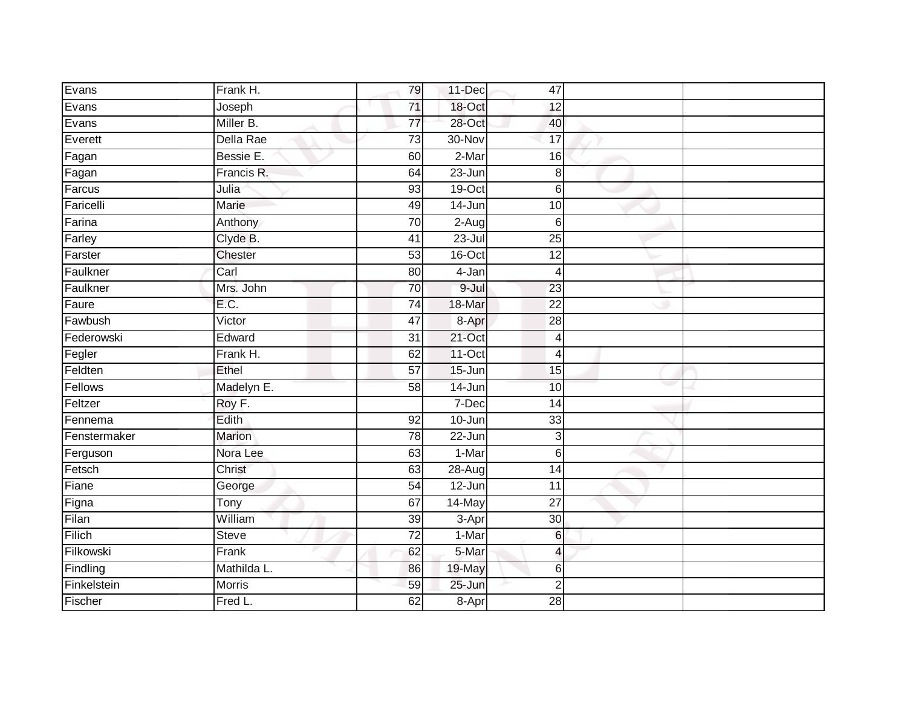| Evans        | Frank H.     | 79              | 11-Dec     | 47                       |  |
|--------------|--------------|-----------------|------------|--------------------------|--|
| Evans        | Joseph       | 71              | 18-Oct     | 12                       |  |
| Evans        | Miller B.    | $\overline{77}$ | 28-Oct     | 40                       |  |
| Everett      | Della Rae    | 73              | 30-Nov     | 17                       |  |
| Fagan        | Bessie E.    | 60              | $2-Mar$    | 16                       |  |
| Fagan        | Francis R.   | 64              | $23 - Jun$ | $\bf 8$                  |  |
| Farcus       | Julia        | 93              | 19-Oct     | $6 \overline{6}$         |  |
| Faricelli    | <b>Marie</b> | 49              | 14-Jun     | 10                       |  |
| Farina       | Anthony      | $\overline{70}$ | $2-Aug$    | 6                        |  |
| Farley       | Clyde B.     | 41              | $23 -$ Jul | 25                       |  |
| Farster      | Chester      | 53              | 16-Oct     | 12                       |  |
| Faulkner     | Carl         | 80              | 4-Jan      | $\overline{4}$           |  |
| Faulkner     | Mrs. John    | 70              | 9-Jul      | 23                       |  |
| Faure        | E.C.         | 74              | 18-Mar     | 22                       |  |
| Fawbush      | Victor       | 47              | 8-Apr      | 28                       |  |
| Federowski   | Edward       | 31              | 21-Oct     | $\overline{4}$           |  |
| Fegler       | Frank H.     | 62              | $11-Oct$   | $\overline{4}$           |  |
| Feldten      | Ethel        | $\overline{57}$ | 15-Jun     | 15                       |  |
| Fellows      | Madelyn E.   | 58              | 14-Jun     | 10                       |  |
| Feltzer      | Roy F.       |                 | $7-Dec$    | $\overline{14}$          |  |
| Fennema      | Edith        | 92              | 10-Jun     | 33                       |  |
| Fenstermaker | Marion       | 78              | 22-Jun     | 3                        |  |
| Ferguson     | Nora Lee     | 63              | $1-Mar$    | $6 \overline{6}$         |  |
| Fetsch       | Christ       | 63              | $28 - Aug$ | 14                       |  |
| Fiane        | George       | 54              | 12-Jun     | 11                       |  |
| Figna        | Tony         | 67              | 14-May     | $\overline{27}$          |  |
| Filan        | William      | $\overline{39}$ | 3-Apr      | $\overline{30}$          |  |
| Filich       | Steve        | $\overline{72}$ | 1-Mar      | $6\phantom{.}6$          |  |
| Filkowski    | Frank        | 62              | 5-Mar      | $\overline{\mathcal{L}}$ |  |
| Findling     | Mathilda L.  | 86              | 19-May     | $6 \,$                   |  |
| Finkelstein  | Morris       | 59              | 25-Jun     | $\overline{2}$           |  |
| Fischer      | Fred L.      | 62              | $8 - Apr$  | $\overline{28}$          |  |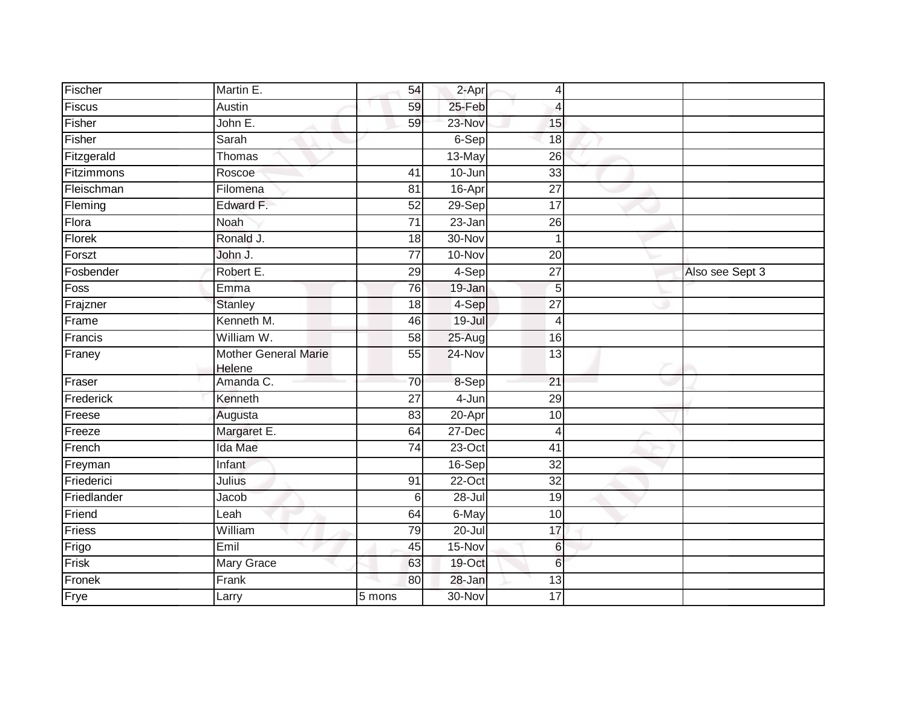| Fischer     | Martin E.                             | 54              | 2-Apr      | 4               |                 |
|-------------|---------------------------------------|-----------------|------------|-----------------|-----------------|
| Fiscus      | Austin                                | 59              | 25-Feb     | $\overline{4}$  |                 |
| Fisher      | John E.                               | 59              | 23-Nov     | 15              |                 |
| Fisher      | Sarah                                 |                 | 6-Sep      | 18              |                 |
| Fitzgerald  | Thomas                                |                 | 13-May     | $\overline{26}$ |                 |
| Fitzimmons  | Roscoe                                | 41              | 10-Jun     | 33              |                 |
| Fleischman  | Filomena                              | 81              | 16-Apr     | $\overline{27}$ |                 |
| Fleming     | Edward F.                             | 52              | $29-Sep$   | 17              |                 |
| Flora       | Noah                                  | 71              | $23 - Jan$ | 26              |                 |
| Florek      | Ronald J.                             | $\overline{18}$ | 30-Nov     | 1               |                 |
| Forszt      | John J.                               | $\overline{77}$ | 10-Nov     | 20              |                 |
| Fosbender   | Robert E.                             | 29              | 4-Sep      | $\overline{27}$ | Also see Sept 3 |
| Foss        | Emma                                  | 76              | 19-Jan     | 5               |                 |
| Frajzner    | <b>Stanley</b>                        | 18              | 4-Sep      | $\overline{27}$ |                 |
| Frame       | Kenneth M.                            | 46              | $19 -$ Jul | 4               |                 |
| Francis     | William W.                            | 58              | 25-Aug     | 16              |                 |
| Franey      | <b>Mother General Marie</b><br>Helene | 55              | 24-Nov     | 13              |                 |
| Fraser      | Amanda C.                             | 70              | 8-Sep      | 21              |                 |
| Frederick   | Kenneth                               | 27              | 4-Jun      | 29              |                 |
| Freese      | Augusta                               | 83              | $20 - Apr$ | 10              |                 |
| Freeze      | Margaret E.                           | 64              | 27-Dec     | $\overline{4}$  |                 |
| French      | Ida Mae                               | $\overline{74}$ | $23$ -Oct  | $\overline{41}$ |                 |
| Freyman     | Infant                                |                 | 16-Sep     | $\overline{32}$ |                 |
| Friederici  | Julius                                | 91              | 22-Oct     | 32              |                 |
| Friedlander | Jacob                                 | 6               | $28 -$ Jul | $\overline{19}$ |                 |
| Friend      | Leah                                  | 64              | 6-May      | 10              |                 |
| Friess      | William                               | 79              | $20 -$ Jul | 17              |                 |
| Frigo       | Emil                                  | 45              | 15-Nov     | 6               |                 |
| Frisk       | <b>Mary Grace</b>                     | 63              | 19-Oct     | $6\phantom{1}$  |                 |
| Fronek      | Frank                                 | 80              | 28-Jan     | 13              |                 |
| Frye        | Larry                                 | 5 mons          | 30-Nov     | 17              |                 |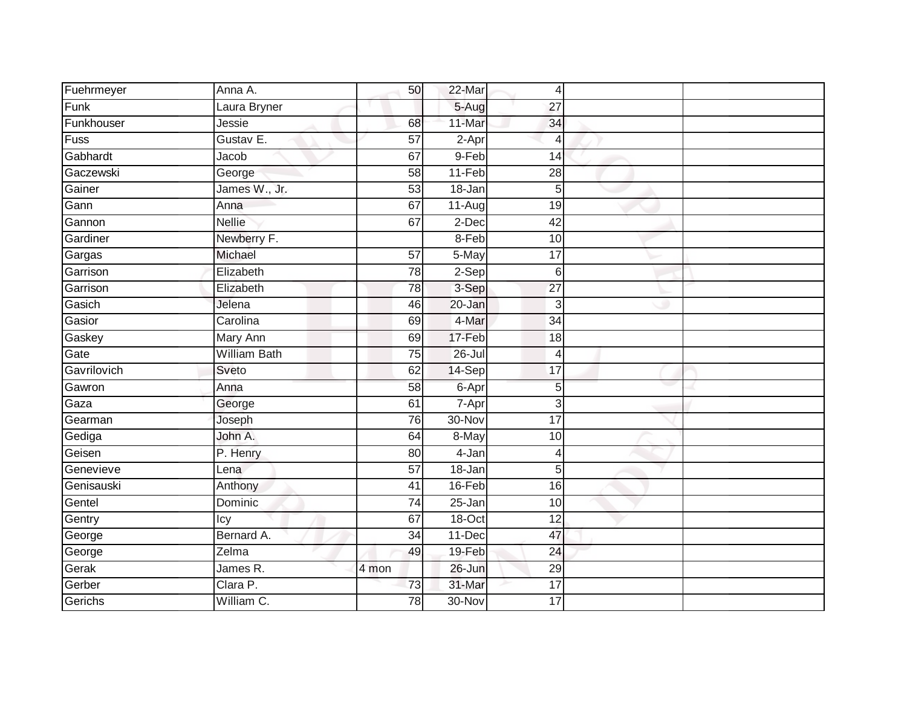| Fuehrmeyer  | Anna A.             | 50              | 22-Mar     | $\overline{4}$  |  |
|-------------|---------------------|-----------------|------------|-----------------|--|
| Funk        | Laura Bryner        |                 | 5-Aug      | 27              |  |
| Funkhouser  | Jessie              | 68              | 11-Mar     | 34              |  |
| <b>Fuss</b> | Gustav E.           | 57              | 2-Apr      | 4               |  |
| Gabhardt    | Jacob               | 67              | 9-Feb      | 14              |  |
| Gaczewski   | George              | 58              | $11-Feb$   | 28              |  |
| Gainer      | James W., Jr.       | 53              | $18 - Jan$ | 5               |  |
| Gann        | Anna                | 67              | $11-Auq$   | 19              |  |
| Gannon      | <b>Nellie</b>       | 67              | $2-Dec$    | 42              |  |
| Gardiner    | Newberry F.         |                 | 8-Feb      | 10              |  |
| Gargas      | Michael             | 57              | 5-May      | 17              |  |
| Garrison    | Elizabeth           | $\overline{78}$ | 2-Sep      | $6\phantom{1}$  |  |
| Garrison    | Elizabeth           | 78              | 3-Sep      | $\overline{27}$ |  |
| Gasich      | Jelena              | 46              | 20-Jan     | 3               |  |
| Gasior      | Carolina            | 69              | 4-Mar      | $\overline{34}$ |  |
| Gaskey      | <b>Mary Ann</b>     | 69              | 17-Feb     | 18              |  |
| Gate        | <b>William Bath</b> | $\overline{75}$ | 26-Jul     | 4               |  |
| Gavrilovich | Sveto               | 62              | 14-Sep     | 17              |  |
| Gawron      | Anna                | 58              | 6-Apr      | 5               |  |
| Gaza        | George              | 61              | 7-Apr      | 3               |  |
| Gearman     | Joseph              | 76              | 30-Nov     | 17              |  |
| Gediga      | John A.             | 64              | 8-May      | 10              |  |
| Geisen      | P. Henry            | 80              | 4-Jan      | Δ               |  |
| Genevieve   | Lena                | 57              | 18-Jan     | 5               |  |
| Genisauski  | Anthony             | 41              | 16-Feb     | 16              |  |
| Gentel      | Dominic             | 74              | 25-Jan     | 10              |  |
| Gentry      | Icy                 | 67              | 18-Oct     | $\overline{12}$ |  |
| George      | Bernard A.          | 34              | 11-Dec     | 47              |  |
| George      | Zelma               | 49              | 19-Feb     | 24              |  |
| Gerak       | James R.            | 4 mon           | 26-Jun     | 29              |  |
| Gerber      | Clara P.            | 73              | 31-Mar     | 17              |  |
| Gerichs     | William C.          | 78              | 30-Nov     | 17              |  |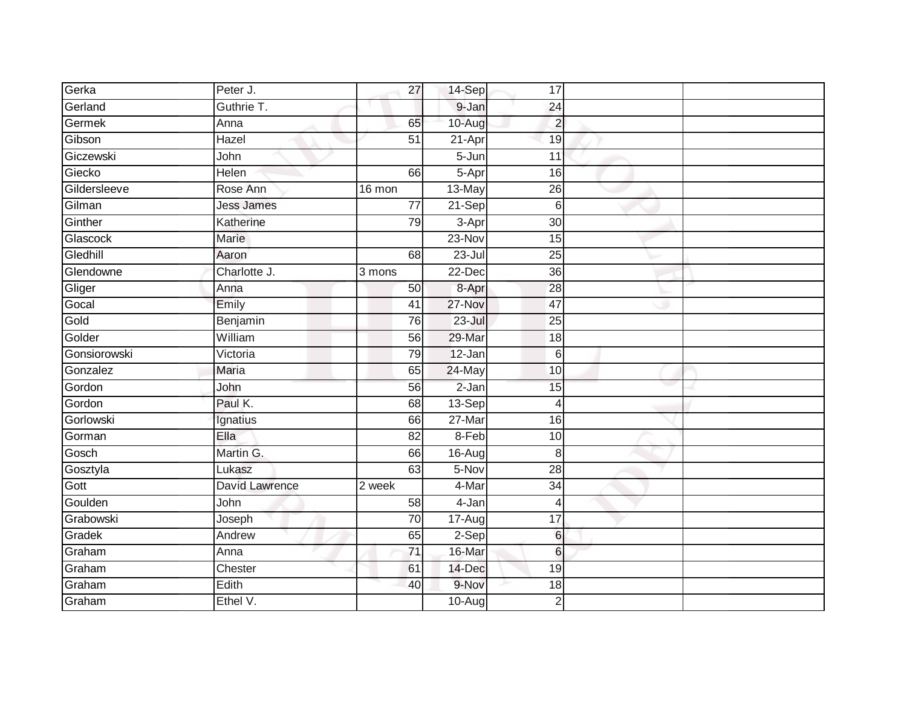| Gerka        | Peter J.          | 27              | 14-Sep              | 17               |  |
|--------------|-------------------|-----------------|---------------------|------------------|--|
| Gerland      | Guthrie T.        |                 | 9-Jan               | 24               |  |
| Germek       | Anna              | 65              | 10-Aug              | $\overline{2}$   |  |
| Gibson       | Hazel             | 51              | 21-Apr              | 19               |  |
| Giczewski    | John              |                 | $5 - Jun$           | $\overline{11}$  |  |
| Giecko       | Helen             | 66              | 5-Apr               | 16               |  |
| Gildersleeve | Rose Ann          | 16 mon          | 13-May              | 26               |  |
| Gilman       | <b>Jess James</b> | $\overline{77}$ | 21-Sep              | $6\phantom{1}6$  |  |
| Ginther      | Katherine         | 79              | $\overline{3}$ -Apr | 30               |  |
| Glascock     | Marie             |                 | 23-Nov              | 15               |  |
| Gledhill     | Aaron             | 68              | 23-Jul              | 25               |  |
| Glendowne    | Charlotte J.      | 3 mons          | 22-Dec              | 36               |  |
| Gliger       | Anna              | 50              | 8-Apr               | 28               |  |
| Gocal        | Emily             | 41              | 27-Nov              | 47               |  |
| Gold         | Benjamin          | 76              | $23 -$ Jul          | 25               |  |
| Golder       | William           | 56              | 29-Mar              | 18               |  |
| Gonsiorowski | Victoria          | 79              | $12 - Jan$          | $6 \overline{6}$ |  |
| Gonzalez     | Maria             | 65              | 24-May              | 10               |  |
| Gordon       | John              | 56              | $2-Jan$             | 15               |  |
| Gordon       | Paul K.           | 68              | $13-Sep$            | $\overline{4}$   |  |
| Gorlowski    | Ignatius          | 66              | 27-Mar              | 16               |  |
| Gorman       | Ella              | 82              | $8-Feb$             | 10               |  |
| Gosch        | Martin G.         | 66              | 16-Aug              | 8                |  |
| Gosztyla     | Lukasz            | 63              | 5-Nov               | 28               |  |
| Gott         | David Lawrence    | 2 week          | 4-Mar               | 34               |  |
| Goulden      | John              | 58              | 4-Jan               | $\overline{4}$   |  |
| Grabowski    | Joseph            | 70              | 17-Aug              | $\overline{17}$  |  |
| Gradek       | Andrew            | 65              | $2-Sep$             | $6\phantom{.}6$  |  |
| Graham       | Anna              | 71              | 16-Mar              | 6                |  |
| Graham       | Chester           | 61              | 14-Dec              | 19               |  |
| Graham       | Edith             | 40              | 9-Nov               | 18               |  |
| Graham       | Ethel V.          |                 | 10-Aug              | $\overline{2}$   |  |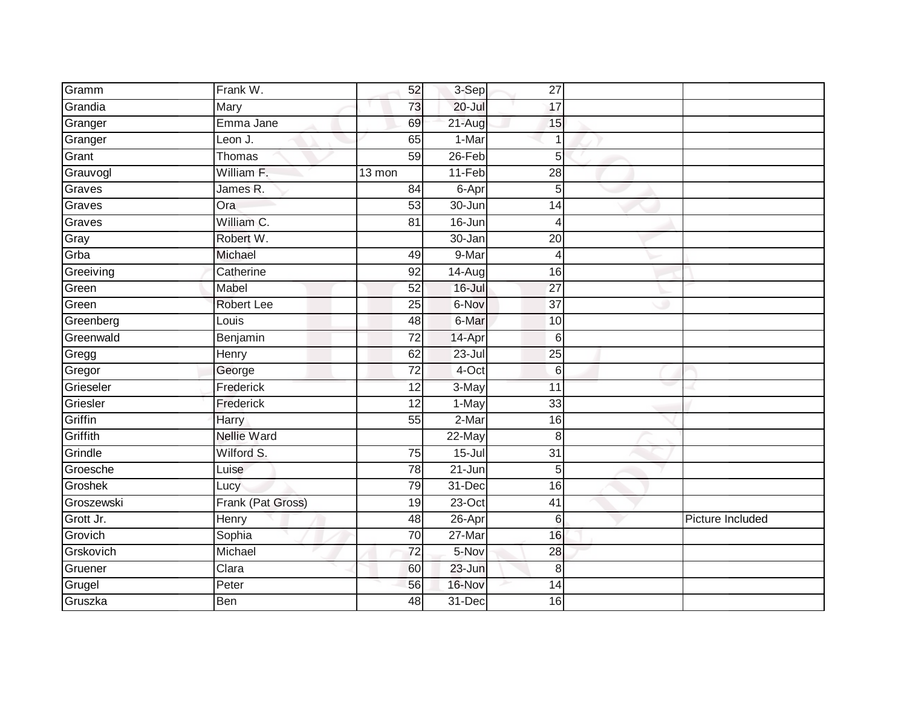| Gramm      | Frank W.           | 52              | 3-Sep      | 27              |                  |
|------------|--------------------|-----------------|------------|-----------------|------------------|
| Grandia    | Mary               | 73              | 20-Jul     | 17              |                  |
| Granger    | Emma Jane          | 69              | 21-Aug     | 15              |                  |
| Granger    | Leon J.            | 65              | 1-Mar      |                 |                  |
| Grant      | Thomas             | 59              | $26$ -Feb  | 5               |                  |
| Grauvogl   | William F.         | 13 mon          | 11-Feb     | 28              |                  |
| Graves     | James R.           | 84              | 6-Apr      | 5               |                  |
| Graves     | Ora                | 53              | 30-Jun     | 14              |                  |
| Graves     | William C.         | 81              | 16-Jun     | 4               |                  |
| Gray       | Robert W.          |                 | 30-Jan     | $\overline{20}$ |                  |
| Grba       | Michael            | 49              | 9-Mar      | 4               |                  |
| Greeiving  | Catherine          | 92              | 14-Aug     | 16              |                  |
| Green      | Mabel              | 52              | 16-Jul     | $\overline{27}$ |                  |
| Green      | Robert Lee         | 25              | 6-Nov      | 37              |                  |
| Greenberg  | Louis              | 48              | 6-Mar      | 10              |                  |
| Greenwald  | Benjamin           | $\overline{72}$ | 14-Apr     | 6               |                  |
| Gregg      | Henry              | 62              | 23-Jul     | 25              |                  |
| Gregor     | George             | 72              | 4-Oct      | 6               |                  |
| Grieseler  | Frederick          | 12              | 3-May      | 11              |                  |
| Griesler   | Frederick          | $\overline{12}$ | 1-May      | 33              |                  |
| Griffin    | Harry              | 55              | 2-Mar      | 16              |                  |
| Griffith   | <b>Nellie Ward</b> |                 | $22$ -May  | 8               |                  |
| Grindle    | Wilford S.         | 75              | $15 -$ Jul | 31              |                  |
| Groesche   | Luise              | $\overline{78}$ | $21 - Jun$ | 5               |                  |
| Groshek    | Lucy               | 79              | 31-Dec     | 16              |                  |
| Groszewski | Frank (Pat Gross)  | 19              | $23-Oct$   | 41              |                  |
| Grott Jr.  | Henry              | 48              | $26 - Apr$ | 6               | Picture Included |
| Grovich    | Sophia             | 70              | 27-Mar     | 16              |                  |
| Grskovich  | Michael            | $\overline{72}$ | 5-Nov      | 28              |                  |
| Gruener    | Clara              | 60              | 23-Jun     | 8               |                  |
| Grugel     | Peter              | 56              | 16-Nov     | 14              |                  |
| Gruszka    | <b>Ben</b>         | 48              | 31-Dec     | 16              |                  |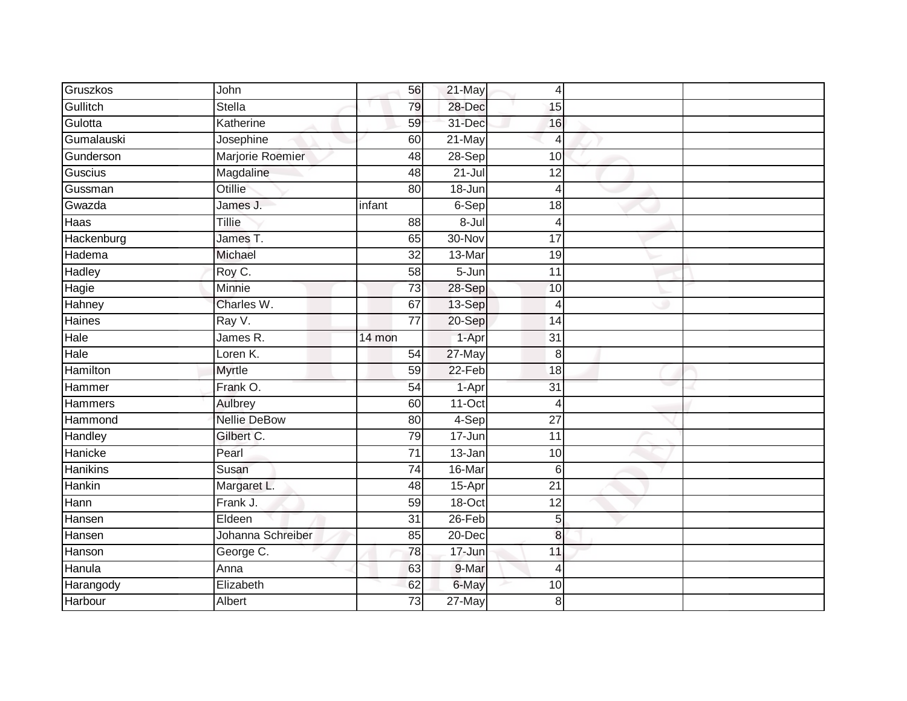| Gruszkos       | John                | 56              | 21-May     | $\overline{4}$  |  |
|----------------|---------------------|-----------------|------------|-----------------|--|
| Gullitch       | Stella              | 79              | 28-Dec     | 15              |  |
| Gulotta        | Katherine           | 59              | 31-Dec     | 16              |  |
| Gumalauski     | Josephine           | 60              | 21-May     | $\overline{4}$  |  |
| Gunderson      | Marjorie Roemier    | 48              | $28-Sep$   | 10              |  |
| Guscius        | Magdaline           | 48              | $21 -$ Jul | 12              |  |
| Gussman        | Otillie             | 80              | 18-Jun     | $\overline{4}$  |  |
| Gwazda         | James J.            | infant          | 6-Sep      | 18              |  |
| Haas           | Tillie              | 88              | $8 -$ Jul  | $\overline{4}$  |  |
| Hackenburg     | James T.            | 65              | 30-Nov     | 17              |  |
| Hadema         | Michael             | 32              | 13-Mar     | 19              |  |
| <b>Hadley</b>  | Roy C.              | 58              | 5-Jun      | 11              |  |
| Hagie          | Minnie              | 73              | 28-Sep     | 10              |  |
| Hahney         | Charles W.          | 67              | 13-Sep     | $\overline{4}$  |  |
| Haines         | Ray V.              | $\overline{77}$ | 20-Sep     | 14              |  |
| Hale           | James R.            | 14 mon          | 1-Apr      | 31              |  |
| Hale           | Loren K.            | 54              | 27-May     | 8               |  |
| Hamilton       | <b>Myrtle</b>       | 59              | $22-Feb$   | 18              |  |
| Hammer         | Frank O.            | 54              | 1-Apr      | 31              |  |
| <b>Hammers</b> | Aulbrey             | 60              | $11-Oct$   | $\overline{4}$  |  |
| Hammond        | <b>Nellie DeBow</b> | 80              | 4-Sep      | $\overline{27}$ |  |
| Handley        | Gilbert C.          | 79              | 17-Jun     | 11              |  |
| Hanicke        | Pearl               | 71              | 13-Jan     | 10              |  |
| Hanikins       | Susan               | 74              | 16-Mar     | $6 \,$          |  |
| Hankin         | Margaret L.         | 48              | 15-Apr     | $\overline{21}$ |  |
| Hann           | Frank J.            | 59              | 18-Oct     | 12              |  |
| Hansen         | Eldeen              | $\overline{31}$ | $26 - Feb$ | $\overline{5}$  |  |
| Hansen         | Johanna Schreiber   | 85              | 20-Dec     | 8               |  |
| Hanson         | George C.           | 78              | 17-Jun     | 11              |  |
| Hanula         | Anna                | 63              | 9-Mar      | $\overline{4}$  |  |
| Harangody      | Elizabeth           | 62              | 6-May      | 10              |  |
| Harbour        | Albert              | $\overline{73}$ | $27$ -May  | 8               |  |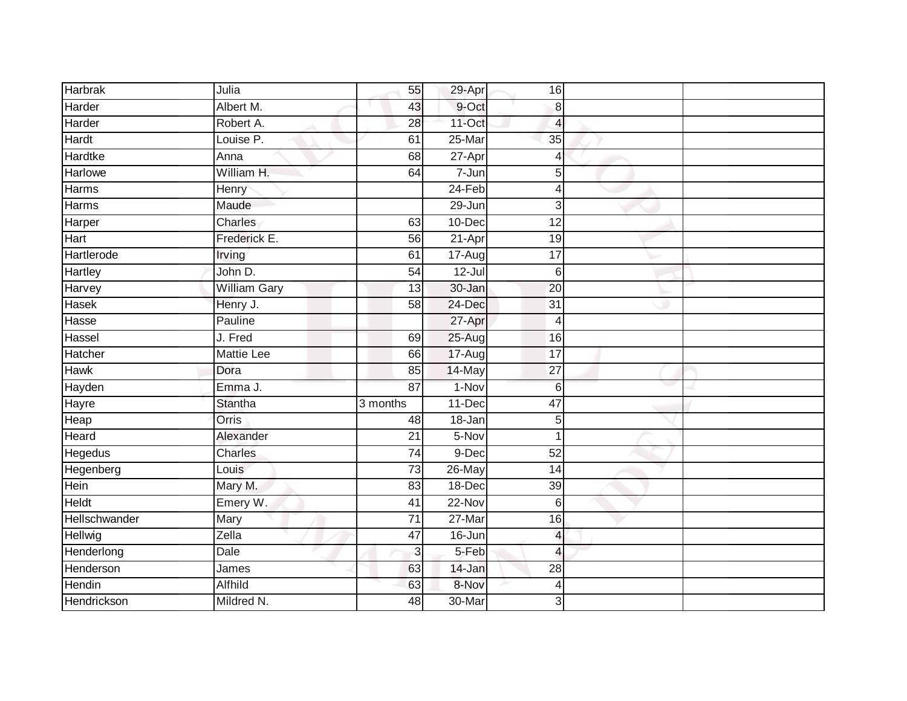| <b>Harbrak</b> | Julia               | 55              | 29-Apr     | 16              |  |
|----------------|---------------------|-----------------|------------|-----------------|--|
| Harder         | Albert M.           | 43              | 9-Oct      | 8               |  |
| Harder         | Robert A.           | 28              | 11-Oct     | 4               |  |
| Hardt          | Louise P.           | 61              | 25-Mar     | $\overline{35}$ |  |
| <b>Hardtke</b> | Anna                | 68              | $27 - Apr$ | $\overline{4}$  |  |
| <b>Harlowe</b> | William H.          | 64              | $7 - Jun$  | 5               |  |
| Harms          | Henry               |                 | $24-Feb$   | 4               |  |
| Harms          | Maude               |                 | 29-Jun     | 3               |  |
| Harper         | <b>Charles</b>      | 63              | 10-Dec     | 12              |  |
| Hart           | Frederick E.        | 56              | 21-Apr     | 19              |  |
| Hartlerode     | Irving              | 61              | 17-Aug     | 17              |  |
| Hartley        | John D.             | 54              | $12 -$ Jul | 6               |  |
| Harvey         | <b>William Gary</b> | 13              | $30 - Jan$ | $\overline{20}$ |  |
| Hasek          | Henry J.            | $\overline{58}$ | 24-Dec     | $\overline{31}$ |  |
| Hasse          | Pauline             |                 | 27-Apr     | 4               |  |
| Hassel         | J. Fred             | 69              | 25-Aug     | 16              |  |
| Hatcher        | <b>Mattie Lee</b>   | 66              | 17-Aug     | $\overline{17}$ |  |
| Hawk           | Dora                | 85              | 14-May     | 27              |  |
| Hayden         | Emma J.             | 87              | 1-Nov      | $6\phantom{1}6$ |  |
| Hayre          | <b>Stantha</b>      | 3 months        | $11 - Dec$ | 47              |  |
| Heap           | Orris               | 48              | 18-Jan     | 5               |  |
| Heard          | Alexander           | $\overline{21}$ | 5-Nov      | $\overline{1}$  |  |
| Hegedus        | <b>Charles</b>      | $\overline{74}$ | $9-Dec$    | $\overline{52}$ |  |
| Hegenberg      | Louis               | $\overline{73}$ | 26-May     | 14              |  |
| Hein           | Mary M.             | 83              | 18-Dec     | 39              |  |
| <b>Heldt</b>   | Emery W.            | 41              | $22-Nov$   | $6\phantom{1}6$ |  |
| Hellschwander  | Mary                | $\overline{71}$ | 27-Mar     | 16              |  |
| Hellwig        | $\overline{Z}$ ella | 47              | 16-Jun     | $\overline{4}$  |  |
| Henderlong     | <b>Dale</b>         | 3               | 5-Feb      | $\overline{4}$  |  |
| Henderson      | James               | 63              | 14-Jan     | 28              |  |
| Hendin         | Alfhild             | 63              | 8-Nov      | $\overline{4}$  |  |
| Hendrickson    | Mildred N.          | 48              | 30-Mar     | 3               |  |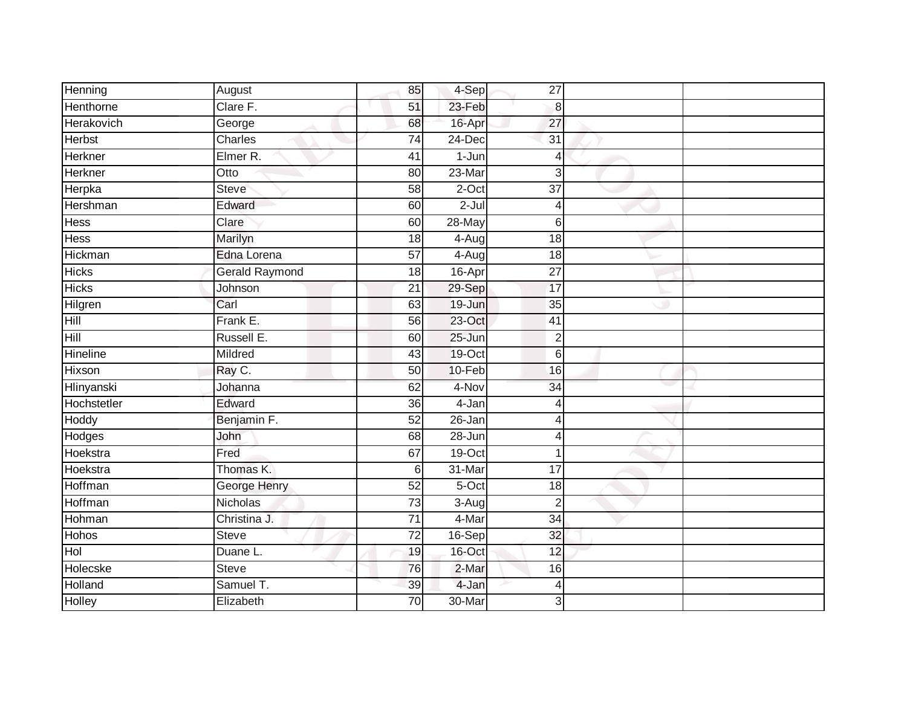| August                | 85              | 4-Sep                 | 27              |  |
|-----------------------|-----------------|-----------------------|-----------------|--|
| Clare F.              | 51              | 23-Feb                | 8               |  |
| George                | 68              | 16-Apr                | 27              |  |
| Charles               | 74              | 24-Dec                | $\overline{31}$ |  |
| Elmer R.              | $\overline{41}$ | $1 - Jun$             | $\overline{4}$  |  |
| Otto                  | 80              | $23-Mar$              | 3               |  |
| <b>Steve</b>          | 58              | 2-Oct                 | 37              |  |
| Edward                | 60              | $2-Jul$               | $\overline{4}$  |  |
| Clare                 | 60              | 28-May                | 6               |  |
| Marilyn               | 18              | $4-Aug$               | $\overline{18}$ |  |
| Edna Lorena           | 57              | $4 - \overline{A}$ ug | 18              |  |
| <b>Gerald Raymond</b> | 18              | 16-Apr                | $\overline{27}$ |  |
| Johnson               | 21              | 29-Sep                | 17              |  |
| Carl                  | 63              | 19-Jun                | 35              |  |
| Frank E.              | 56              | 23-Oct                | 41              |  |
| Russell E.            | 60              | $25 - Jun$            | $\overline{2}$  |  |
| Mildred               | 43              | $19$ -Oct             | 6               |  |
| Ray C.                | $\overline{50}$ | 10-Feb                | 16              |  |
| Johanna               | 62              | 4-Nov                 | 34              |  |
| Edward                | 36              | $4 - Jan$             | $\overline{4}$  |  |
| Benjamin F.           | 52              | 26-Jan                | 4               |  |
| John                  | 68              | 28-Jun                | $\overline{4}$  |  |
| Fred                  | 67              | $19$ -Oct             | 1               |  |
| Thomas K.             | 6               | 31-Mar                | $\overline{17}$ |  |
| <b>George Henry</b>   | $\overline{52}$ | 5-Oct                 | 18              |  |
| Nicholas              | 73              | $3-Aug$               | $\overline{2}$  |  |
| Christina J.          | $\overline{71}$ | 4-Mar                 | $\overline{34}$ |  |
| <b>Steve</b>          | 72              | 16-Sep                | 32              |  |
| Duane L.              | 19              | 16-Oct                | 12              |  |
| <b>Steve</b>          | 76              | 2-Mar                 | 16              |  |
| Samuel T.             | 39              | 4-Jan                 | $\overline{4}$  |  |
| Elizabeth             | $\overline{70}$ | 30-Mar                | 3               |  |
|                       |                 |                       |                 |  |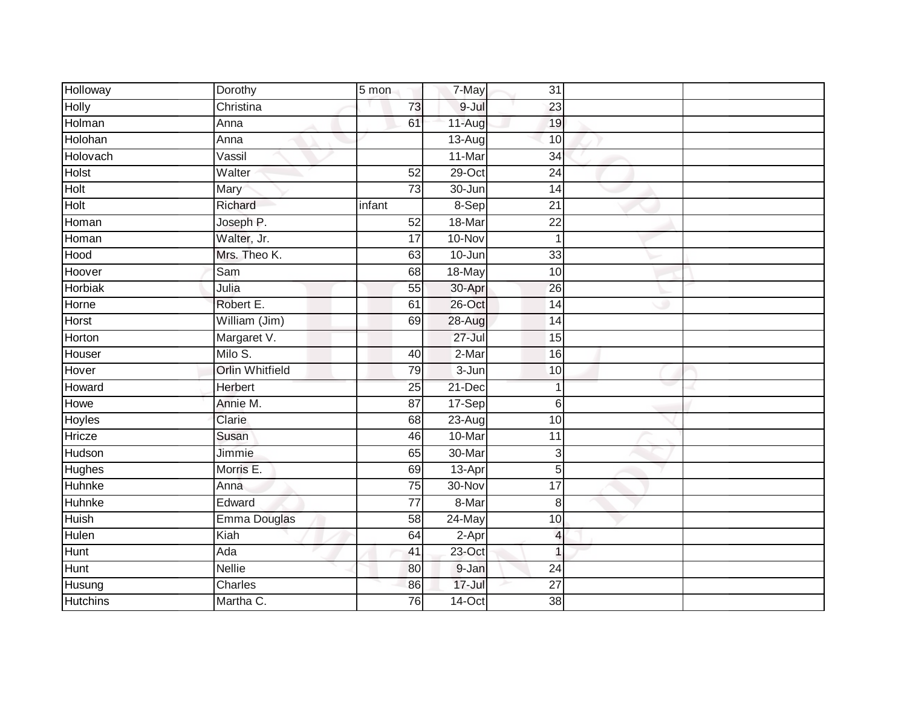| Holloway        | Dorothy                | 5 mon           | 7-May      | 31                       |  |
|-----------------|------------------------|-----------------|------------|--------------------------|--|
| <b>Holly</b>    | Christina              | 73              | 9-Jul      | 23                       |  |
| Holman          | Anna                   | 61              | 11-Aug     | 19                       |  |
| Holohan         | Anna                   |                 | $13-Aug$   | 10                       |  |
| Holovach        | Vassil                 |                 | 11-Mar     | $\overline{34}$          |  |
| Holst           | Walter                 | 52              | 29-Oct     | 24                       |  |
| Holt            | Mary                   | 73              | 30-Jun     | 14                       |  |
| Holt            | Richard                | infant          | 8-Sep      | $\overline{21}$          |  |
| Homan           | Joseph P.              | 52              | 18-Mar     | $\overline{22}$          |  |
| Homan           | Walter, Jr.            | $\overline{17}$ | 10-Nov     | $\mathbf 1$              |  |
| Hood            | Mrs. Theo K.           | 63              | 10-Jun     | 33                       |  |
| Hoover          | Sam                    | 68              | 18-May     | 10                       |  |
| Horbiak         | Julia                  | 55              | 30-Apr     | 26                       |  |
| Horne           | Robert E.              | 61              | 26-Oct     | $\overline{14}$          |  |
| Horst           | William (Jim)          | 69              | 28-Aug     | 14                       |  |
| Horton          | Margaret V.            |                 | $27 -$ Jul | 15                       |  |
| Houser          | Milo S.                | 40              | $2-Mar$    | 16                       |  |
| Hover           | <b>Orlin Whitfield</b> | 79              | $3 - Jun$  | 10                       |  |
| Howard          | Herbert                | $\overline{25}$ | 21-Dec     | 1                        |  |
| Howe            | Annie M.               | 87              | 17-Sep     | 6                        |  |
| <b>Hoyles</b>   | Clarie                 | 68              | $23 - Aug$ | 10                       |  |
| Hricze          | Susan                  | 46              | 10-Mar     | $\overline{11}$          |  |
| Hudson          | Jimmie                 | 65              | 30-Mar     | 3                        |  |
| <b>Hughes</b>   | Morris E.              | 69              | 13-Apr     | 5                        |  |
| Huhnke          | Anna                   | $\overline{75}$ | 30-Nov     | $\overline{17}$          |  |
| Huhnke          | Edward                 | 77              | 8-Mar      | 8                        |  |
| <b>Huish</b>    | Emma Douglas           | 58              | $24$ -May  | 10                       |  |
| Hulen           | Kiah                   | 64              | 2-Apr      | $\overline{\mathcal{L}}$ |  |
| Hunt            | Ada                    | 41              | 23-Oct     | $\overline{1}$           |  |
| Hunt            | <b>Nellie</b>          | 80              | 9-Jan      | 24                       |  |
| Husung          | Charles                | 86              | $17 -$ Jul | $\overline{27}$          |  |
| <b>Hutchins</b> | Martha C.              | 76              | $14$ -Oct  | $\overline{38}$          |  |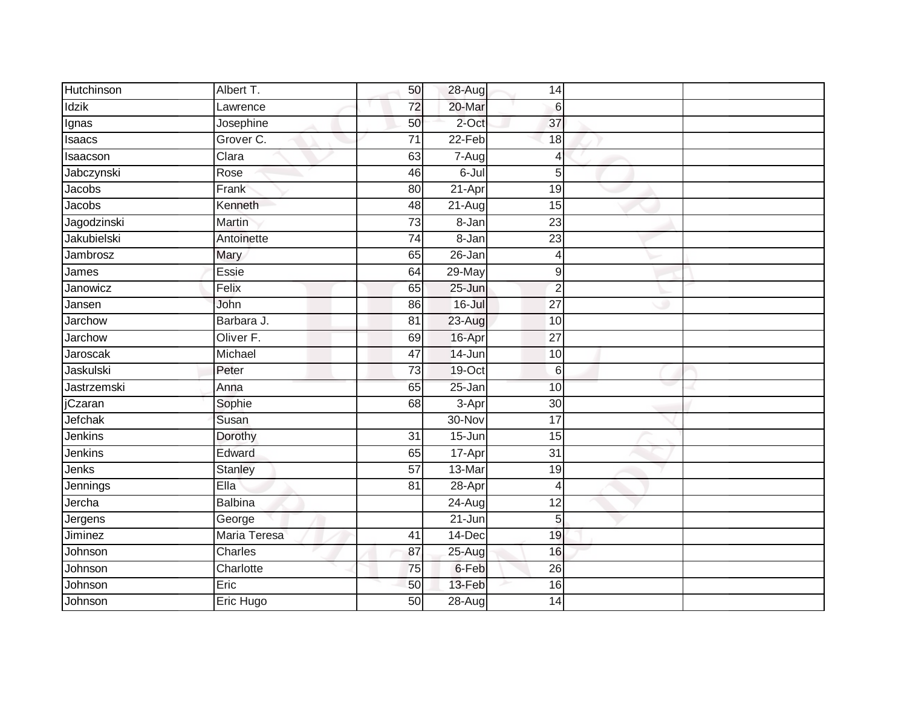| Hutchinson  | Albert T.      | 50              | 28-Aug     | 14              |  |
|-------------|----------------|-----------------|------------|-----------------|--|
| Idzik       | Lawrence       | 72              | 20-Mar     | 6               |  |
| Ignas       | Josephine      | 50              | 2-Oct      | 37              |  |
| Isaacs      | Grover C.      | 71              | 22-Feb     | 18              |  |
| Isaacson    | Clara          | 63              | 7-Aug      | 4               |  |
| Jabczynski  | Rose           | 46              | 6-Jul      | 5               |  |
| Jacobs      | Frank          | 80              | 21-Apr     | 19              |  |
| Jacobs      | Kenneth        | $\overline{48}$ | 21-Aug     | 15              |  |
| Jagodzinski | Martin         | $\overline{73}$ | $8 - Jan$  | 23              |  |
| Jakubielski | Antoinette     | $\overline{74}$ | 8-Jan      | $\overline{23}$ |  |
| Jambrosz    | Mary           | 65              | 26-Jan     | 4               |  |
| James       | Essie          | 64              | 29-May     | 9               |  |
| Janowicz    | Felix          | 65              | 25-Jun     | $\overline{2}$  |  |
| Jansen      | John           | 86              | 16-Jul     | $\overline{27}$ |  |
| Jarchow     | Barbara J.     | $\overline{81}$ | 23-Aug     | 10              |  |
| Jarchow     | Oliver F.      | 69              | 16-Apr     | $\overline{27}$ |  |
| Jaroscak    | Michael        | 47              | 14-Jun     | 10              |  |
| Jaskulski   | Peter          | $\overline{73}$ | 19-Oct     | 6               |  |
| Jastrzemski | Anna           | 65              | 25-Jan     | 10              |  |
| jCzaran     | Sophie         | 68              | 3-Apr      | 30              |  |
| Jefchak     | Susan          |                 | 30-Nov     | 17              |  |
| Jenkins     | Dorothy        | $\overline{31}$ | $15 - Jun$ | 15              |  |
| Jenkins     | Edward         | 65              | 17-Apr     | 31              |  |
| Jenks       | <b>Stanley</b> | $\overline{57}$ | 13-Mar     | 19              |  |
| Jennings    | Ella           | 81              | 28-Apr     | 4               |  |
| Jercha      | <b>Balbina</b> |                 | $24 - Aug$ | $\overline{12}$ |  |
| Jergens     | George         |                 | $21 - Jun$ | 5               |  |
| Jiminez     | Maria Teresa   | 41              | 14-Dec     | 19              |  |
| Johnson     | Charles        | 87              | 25-Aug     | 16              |  |
| Johnson     | Charlotte      | 75              | 6-Feb      | 26              |  |
| Johnson     | Eric           | 50              | 13-Feb     | 16              |  |
| Johnson     | Eric Hugo      | 50              | $28 - Aug$ | 14              |  |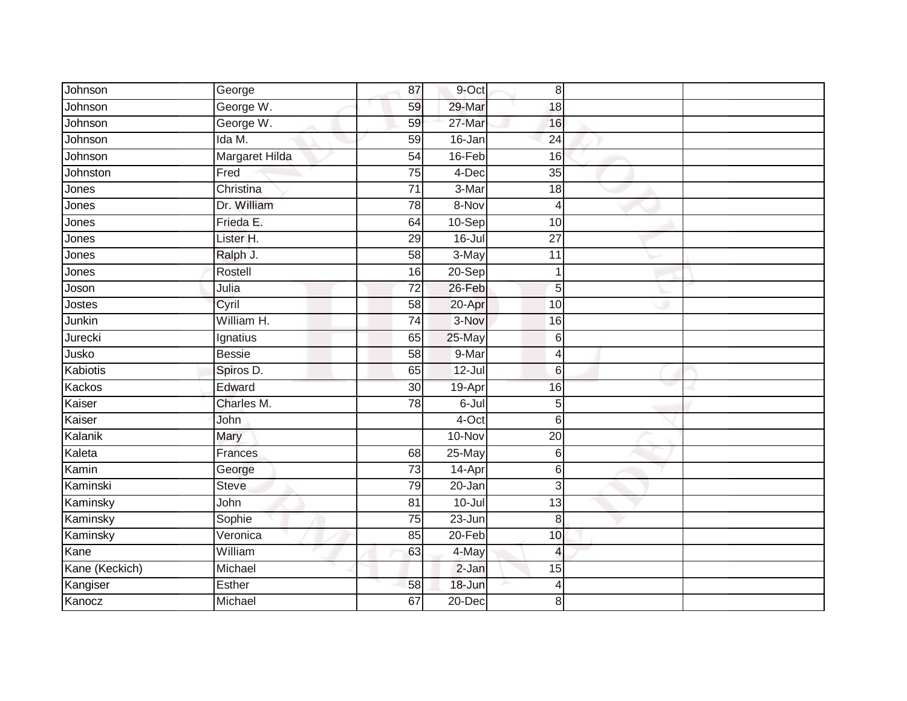| Johnson        | George               | 87              | 9-Oct      | 8               |  |
|----------------|----------------------|-----------------|------------|-----------------|--|
| Johnson        | George W.            | 59              | 29-Mar     | 18              |  |
| Johnson        | George W.            | 59              | 27-Mar     | 16              |  |
| Johnson        | Ida M.               | 59              | 16-Jan     | 24              |  |
| Johnson        | Margaret Hilda       | 54              | $16$ -Feb  | 16              |  |
| Johnston       | Fred                 | 75              | 4-Dec      | $\overline{35}$ |  |
| Jones          | Christina            | $\overline{71}$ | 3-Mar      | 18              |  |
| Jones          | Dr. William          | 78              | 8-Nov      | $\overline{4}$  |  |
| Jones          | Frieda E.            | 64              | 10-Sep     | 10              |  |
| Jones          | Lister <sub>H.</sub> | 29              | $16 -$ Jul | 27              |  |
| Jones          | Ralph J.             | 58              | 3-May      | 11              |  |
| Jones          | Rostell              | 16              | $20-Sep$   | $\mathbf 1$     |  |
| Joson          | Julia                | 72              | 26-Feb     | 5               |  |
| Jostes         | Cyril                | 58              | 20-Apr     | 10              |  |
| Junkin         | William H.           | $\overline{74}$ | 3-Nov      | 16              |  |
| Jurecki        | Ignatius             | 65              | 25-May     | $\,6$           |  |
| Jusko          | <b>Bessie</b>        | $\overline{58}$ | 9-Mar      | $\overline{4}$  |  |
| Kabiotis       | Spiros D.            | 65              | $12 -$ Jul | 6               |  |
| Kackos         | Edward               | 30              | 19-Apr     | 16              |  |
| Kaiser         | Charles M.           | $\overline{78}$ | $6 -$ Jul  | 5               |  |
| Kaiser         | John                 |                 | $4$ -Oct   | 6               |  |
| Kalanik        | Mary                 |                 | 10-Nov     | $\overline{20}$ |  |
| Kaleta         | Frances              | 68              | 25-May     | 6               |  |
| Kamin          | George               | 73              | 14-Apr     | 6               |  |
| Kaminski       | <b>Steve</b>         | 79              | 20-Jan     | 3               |  |
| Kaminsky       | John                 | 81              | $10 -$ Jul | 13              |  |
| Kaminsky       | Sophie               | $\overline{75}$ | $23 - Jun$ | 8               |  |
| Kaminsky       | Veronica             | 85              | 20-Feb     | 10              |  |
| Kane           | William              | 63              | 4-May      | $\overline{4}$  |  |
| Kane (Keckich) | Michael              |                 | $2-Jan$    | 15              |  |
| Kangiser       | Esther               | 58              | 18-Jun     | 4               |  |
| Kanocz         | Michael              | 67              | $20 - Dec$ | 8               |  |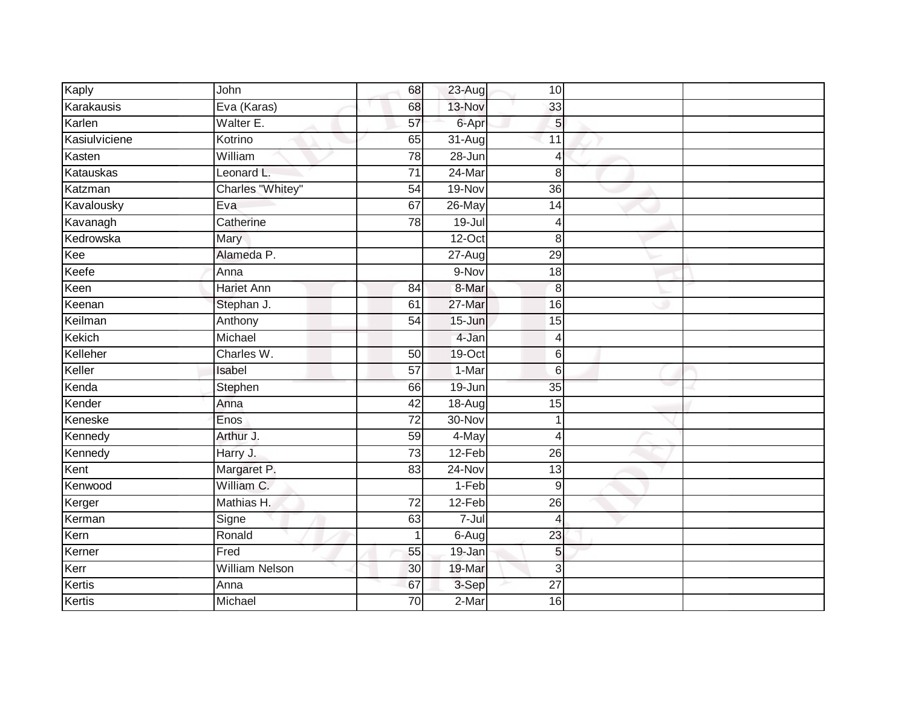| Kaply         | John                  | 68              | 23-Aug               | 10 <sup>1</sup> |  |
|---------------|-----------------------|-----------------|----------------------|-----------------|--|
| Karakausis    | Eva (Karas)           | 68              | 13-Nov               | 33              |  |
| Karlen        | Walter E.             | $\overline{57}$ | 6-Apr                | 5               |  |
| Kasiulviciene | Kotrino               | 65              | $\overline{31}$ -Aug | 11              |  |
| Kasten        | William               | 78              | $28 - Jun$           | $\overline{4}$  |  |
| Katauskas     | Leonard L.            | 71              | $24$ -Mar            | 8               |  |
| Katzman       | Charles "Whitey"      | 54              | 19-Nov               | 36              |  |
| Kavalousky    | Eva                   | 67              | 26-May               | 14              |  |
| Kavanagh      | Catherine             | 78              | 19-Jul               | $\overline{4}$  |  |
| Kedrowska     | Mary                  |                 | $12-Oct$             | 8               |  |
| Kee           | Alameda P.            |                 | 27-Aug               | 29              |  |
| Keefe         | Anna                  |                 | 9-Nov                | 18              |  |
| Keen          | <b>Hariet Ann</b>     | 84              | 8-Mar                | 8               |  |
| Keenan        | Stephan J.            | 61              | 27-Mar               | 16              |  |
| Keilman       | Anthony               | 54              | 15-Jun               | 15              |  |
| Kekich        | Michael               |                 | 4-Jan                | $\overline{4}$  |  |
| Kelleher      | Charles W.            | 50              | $19$ -Oct            | 6               |  |
| Keller        | Isabel                | $\overline{57}$ | $1-Mar$              | $6\phantom{1}6$ |  |
| Kenda         | Stephen               | 66              | $19 - Jun$           | 35              |  |
| Kender        | Anna                  | 42              | 18-Aug               | 15              |  |
| Keneske       | Enos                  | 72              | 30-Nov               | 1               |  |
| Kennedy       | Arthur J.             | 59              | 4-May                | $\overline{4}$  |  |
| Kennedy       | Harry J.              | 73              | 12-Feb               | 26              |  |
| Kent          | Margaret P.           | 83              | $24-Nov$             | 13              |  |
| Kenwood       | William C.            |                 | $1-Feb$              | 9               |  |
| Kerger        | Mathias H.            | 72              | $12-Feb$             | 26              |  |
| Kerman        | Signe                 | 63              | $7 -$ Jul            | $\overline{4}$  |  |
| Kern          | Ronald                |                 | 6-Aug                | 23              |  |
| Kerner        | Fred                  | 55              | 19-Jan               | 5               |  |
| Kerr          | <b>William Nelson</b> | 30              | 19-Mar               | 3               |  |
| Kertis        | Anna                  | 67              | 3-Sep                | $\overline{27}$ |  |
| Kertis        | Michael               | $\overline{70}$ | $2-Mar$              | 16              |  |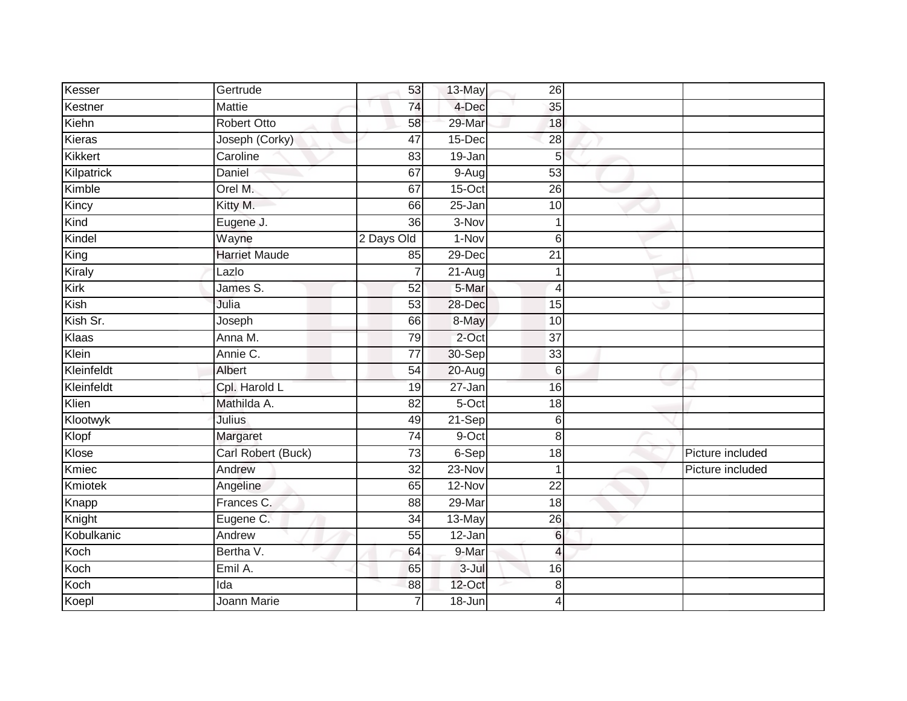| Kesser         | Gertrude             | 53              | 13-May     | $\overline{26}$         |                  |
|----------------|----------------------|-----------------|------------|-------------------------|------------------|
| Kestner        | <b>Mattie</b>        | 74              | 4-Dec      | 35                      |                  |
| Kiehn          | <b>Robert Otto</b>   | 58              | 29-Mar     | $\overline{18}$         |                  |
| Kieras         | Joseph (Corky)       | $\overline{47}$ | 15-Dec     | $\overline{28}$         |                  |
| <b>Kikkert</b> | Caroline             | 83              | 19-Jan     | 5                       |                  |
| Kilpatrick     | Daniel               | 67              | $9-Aug$    | 53                      |                  |
| Kimble         | Orel M.              | 67              | $15$ -Oct  | 26                      |                  |
| Kincy          | Kitty M.             | 66              | 25-Jan     | 10                      |                  |
| Kind           | Eugene J.            | 36              | 3-Nov      |                         |                  |
| Kindel         | Wayne                | 2 Days Old      | $1-Nov$    | $6 \,$                  |                  |
| King           | <b>Harriet Maude</b> | 85              | 29-Dec     | $\overline{21}$         |                  |
| Kiraly         | Lazlo                | $\overline{7}$  | $21-Aug$   |                         |                  |
| Kirk           | James S.             | 52              | 5-Mar      | $\overline{4}$          |                  |
| Kish           | Julia                | 53              | 28-Dec     | 15                      |                  |
| Kish Sr.       | Joseph               | 66              | 8-May      | $\overline{10}$         |                  |
| Klaas          | Anna M.              | 79              | $2$ -Oct   | 37                      |                  |
| Klein          | Annie C.             | $\overline{77}$ | 30-Sep     | $\overline{33}$         |                  |
| Kleinfeldt     | Albert               | 54              | 20-Aug     | 6                       |                  |
| Kleinfeldt     | Cpl. Harold L        | 19              | 27-Jan     | 16                      |                  |
| Klien          | Mathilda A.          | 82              | $5-Oct$    | $\overline{18}$         |                  |
| Klootwyk       | Julius               | 49              | 21-Sep     | 6                       |                  |
| Klopf          | Margaret             | 74              | 9-Oct      | 8                       |                  |
| Klose          | Carl Robert (Buck)   | 73              | 6-Sep      | 18                      | Picture included |
| Kmiec          | Andrew               | $\overline{32}$ | 23-Nov     |                         | Picture included |
| Kmiotek        | Angeline             | 65              | 12-Nov     | 22                      |                  |
| Knapp          | Frances C.           | 88              | 29-Mar     | 18                      |                  |
| Knight         | Eugene C.            | $\overline{34}$ | 13-May     | $\overline{26}$         |                  |
| Kobulkanic     | Andrew               | 55              | 12-Jan     | $6\phantom{1}$          |                  |
| Koch           | Bertha V.            | 64              | 9-Mar      | $\overline{\mathbf{4}}$ |                  |
| Koch           | Emil A.              | 65              | 3-Jul      | 16                      |                  |
| Koch           | Ida                  | 88              | 12-Oct     | 8                       |                  |
| Koepl          | Joann Marie          | $\overline{7}$  | $18 - Jun$ | $\overline{4}$          |                  |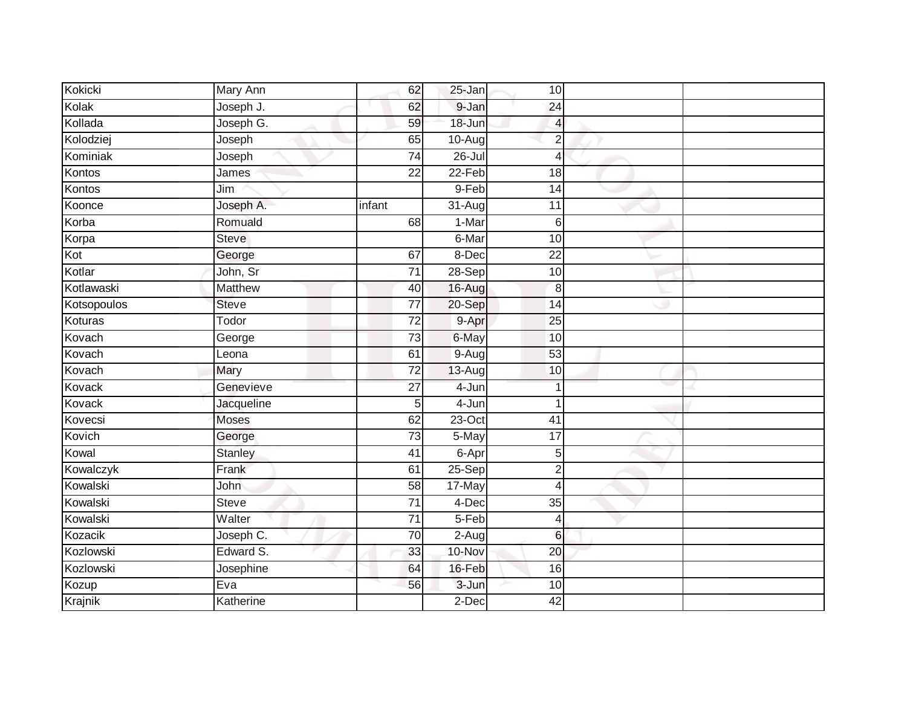| Kokicki     | Mary Ann     | 62              | 25-Jan     | 10 <sup>1</sup>  |  |
|-------------|--------------|-----------------|------------|------------------|--|
| Kolak       | Joseph J.    | 62              | 9-Jan      | 24               |  |
| Kollada     | Joseph G.    | 59              | 18-Jun     | $\overline{4}$   |  |
| Kolodziej   | Joseph       | 65              | $10-Aug$   | $\overline{2}$   |  |
| Kominiak    | Joseph       | $\overline{74}$ | $26 -$ Jul | $\overline{4}$   |  |
| Kontos      | James        | 22              | $22-Feb$   | 18               |  |
| Kontos      | Jim          |                 | 9-Feb      | 14               |  |
| Koonce      | Joseph A.    | infant          | 31-Aug     | $\overline{11}$  |  |
| Korba       | Romuald      | 68              | 1-Mar      | 6                |  |
| Korpa       | <b>Steve</b> |                 | 6-Mar      | 10               |  |
| Kot         | George       | 67              | 8-Dec      | 22               |  |
| Kotlar      | John, Sr     | 71              | 28-Sep     | 10               |  |
| Kotlawaski  | Matthew      | 40              | 16-Aug     | 8                |  |
| Kotsopoulos | <b>Steve</b> | 77              | 20-Sep     | 14               |  |
| Koturas     | Todor        | $\overline{72}$ | 9-Apr      | $\overline{25}$  |  |
| Kovach      | George       | 73              | 6-May      | 10               |  |
| Kovach      | Leona        | 61              | $9-Aug$    | 53               |  |
| Kovach      | Mary         | $\overline{72}$ | $13-Aug$   | 10               |  |
| Kovack      | Genevieve    | $\overline{27}$ | 4-Jun      |                  |  |
| Kovack      | Jacqueline   | 5               | $4 - Jun$  | 1                |  |
| Kovecsi     | <b>Moses</b> | 62              | $23$ -Oct  | 41               |  |
| Kovich      | George       | 73              | 5-May      | 17               |  |
| Kowal       | Stanley      | 41              | 6-Apr      | 5                |  |
| Kowalczyk   | Frank        | 61              | 25-Sep     | $\boldsymbol{2}$ |  |
| Kowalski    | John         | 58              | 17-May     | $\overline{4}$   |  |
| Kowalski    | <b>Steve</b> | 71              | 4-Dec      | 35               |  |
| Kowalski    | Walter       | $\overline{71}$ | $5-Feb$    | $\overline{4}$   |  |
| Kozacik     | Joseph C.    | 70              | $2-Aug$    | $6\phantom{1}6$  |  |
| Kozlowski   | Edward S.    | 33              | 10-Nov     | 20               |  |
| Kozlowski   | Josephine    | 64              | 16-Feb     | 16               |  |
| Kozup       | Eva          | 56              | 3-Jun      | 10               |  |
| Krajnik     | Katherine    |                 | $2$ -Dec   | 42               |  |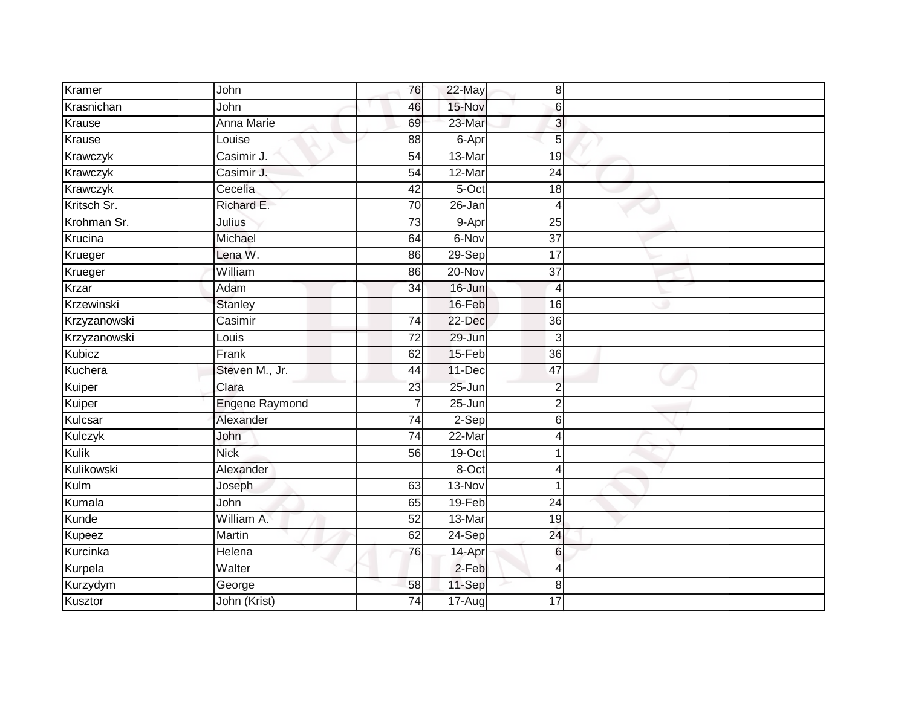| Kramer        | John                  | 76              | 22-May     | 8 <sup>1</sup>  |  |
|---------------|-----------------------|-----------------|------------|-----------------|--|
| Krasnichan    | John                  | 46              | 15-Nov     | 6               |  |
| Krause        | <b>Anna Marie</b>     | 69              | 23-Mar     | $\overline{3}$  |  |
| Krause        | Louise                | 88              | 6-Apr      | 5               |  |
| Krawczyk      | Casimir J.            | 54              | 13-Mar     | 19              |  |
| Krawczyk      | Casimir J.            | $\overline{54}$ | 12-Mar     | $\overline{24}$ |  |
| Krawczyk      | Cecelia               | 42              | 5-Oct      | 18              |  |
| Kritsch Sr.   | Richard E.            | 70              | 26-Jan     | $\overline{4}$  |  |
| Krohman Sr.   | Julius                | 73              | 9-Apr      | 25              |  |
| Krucina       | Michael               | 64              | 6-Nov      | $\overline{37}$ |  |
| Krueger       | Lena W.               | 86              | 29-Sep     | 17              |  |
| Krueger       | William               | 86              | 20-Nov     | 37              |  |
| Krzar         | Adam                  | 34              | 16-Jun     | $\overline{4}$  |  |
| Krzewinski    | <b>Stanley</b>        |                 | 16-Feb     | 16              |  |
| Krzyzanowski  | Casimir               | $\overline{74}$ | 22-Dec     | $\overline{36}$ |  |
| Krzyzanowski  | Louis                 | 72              | 29-Jun     | 3               |  |
| <b>Kubicz</b> | Frank                 | 62              | 15-Feb     | $\overline{36}$ |  |
| Kuchera       | Steven M., Jr.        | 44              | 11-Dec     | 47              |  |
| Kuiper        | Clara                 | 23              | 25-Jun     | $\overline{2}$  |  |
| Kuiper        | <b>Engene Raymond</b> | $\overline{7}$  | $25 - Jun$ | $\overline{2}$  |  |
| Kulcsar       | Alexander             | 74              | $2-Sep$    | 6               |  |
| Kulczyk       | John                  | $\overline{74}$ | 22-Mar     | 4               |  |
| Kulik         | <b>Nick</b>           | 56              | $19$ -Oct  |                 |  |
| Kulikowski    | Alexander             |                 | 8-Oct      | 4               |  |
| Kulm          | Joseph                | 63              | 13-Nov     |                 |  |
| Kumala        | John                  | 65              | 19-Feb     | 24              |  |
| Kunde         | William A.            | 52              | 13-Mar     | 19              |  |
| Kupeez        | Martin                | 62              | $24-Sep$   | 24              |  |
| Kurcinka      | Helena                | 76              | 14-Apr     | 6               |  |
| Kurpela       | Walter                |                 | 2-Feb      | $\overline{4}$  |  |
| Kurzydym      | George                | 58              | 11-Sep     | 8               |  |
| Kusztor       | John (Krist)          | $\overline{74}$ | 17-Aug     | 17              |  |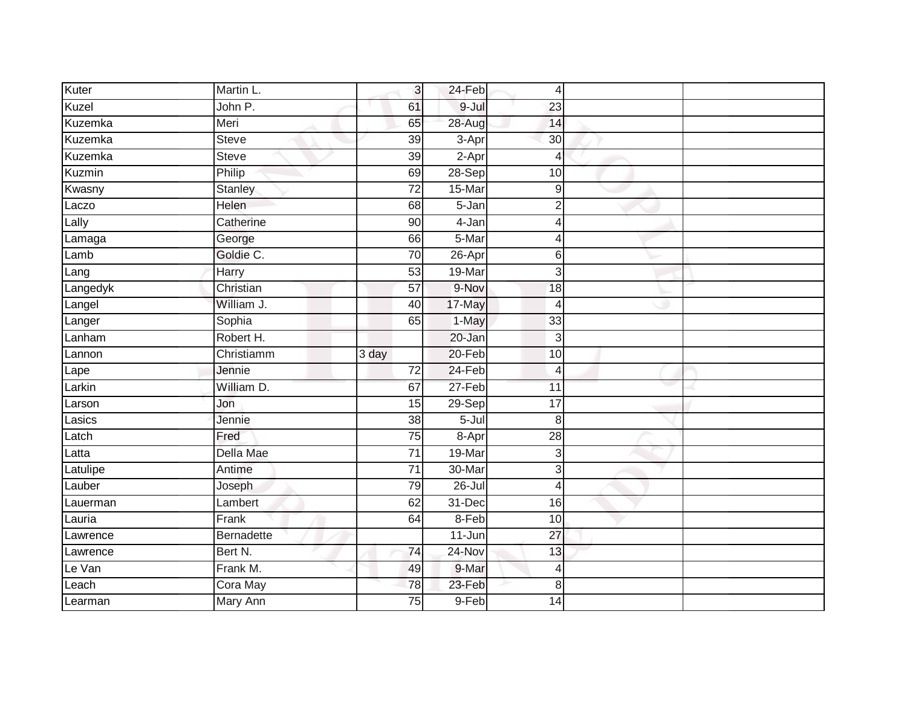| Kuter            | Martin L.            | 3                     | 24-Feb          | 4               |  |
|------------------|----------------------|-----------------------|-----------------|-----------------|--|
| Kuzel            | John P.              | 61                    | 9-Jul           | 23              |  |
| <b>Kuzemka</b>   | Meri                 | 65                    | 28-Aug          | 14              |  |
| Kuzemka          | <b>Steve</b>         | 39                    | 3-Apr           | 30              |  |
| Kuzemka          | <b>Steve</b>         | $\overline{39}$       | $2-Apr$         | $\overline{4}$  |  |
| Kuzmin           | Philip               | 69                    | 28-Sep          | 10              |  |
| Kwasny           | Stanley              | 72                    | 15-Mar          | 9               |  |
| Laczo            | Helen                | 68                    | 5-Jan           | $\overline{2}$  |  |
| Lally            | Catherine            | 90                    | 4-Jan           | $\overline{4}$  |  |
| Lamaga           | George               | 66                    | 5-Mar           | $\overline{4}$  |  |
| Lamb             | Goldie C.            | 70                    | 26-Apr          | 6               |  |
| Lang             | Harry                | 53                    | 19-Mar          | 3               |  |
| Langedyk         | Christian            | 57                    | 9-Nov           | 18              |  |
| Langel           | William J.           | 40                    | 17-May          | $\overline{4}$  |  |
| Langer           | Sophia               | 65                    | 1-May           | 33              |  |
| Lanham           | Robert H.            |                       | 20-Jan          | 3               |  |
|                  |                      |                       |                 |                 |  |
| Lannon           | Christiamm           | 3 day                 | $20 - Feb$      | 10              |  |
| Lape             | Jennie               | $\overline{72}$       | 24-Feb          | $\overline{4}$  |  |
| Larkin           | William D.           | 67                    | 27-Feb          | 11              |  |
| Larson           | Jon                  | 15                    | $29-Sep$        | $\overline{17}$ |  |
| Lasics           | Jennie               | 38                    | $5 -$ Jul       | 8               |  |
| Latch            | Fred                 | 75                    | 8-Apr           | $\overline{28}$ |  |
| Latta            | Della Mae            | 71                    | 19-Mar          | 3               |  |
| Latulipe         | Antime               | $\overline{71}$       | 30-Mar          | 3               |  |
| Lauber           | Joseph               | 79                    | $26 -$ Jul      | $\overline{4}$  |  |
| Lauerman         | Lambert              | 62                    | $31 - Dec$      | 16              |  |
| Lauria           | Frank                | 64                    | 8-Feb           | 10              |  |
| Lawrence         | Bernadette           |                       | 11-Jun          | 27              |  |
| Lawrence         | Bert N.              | 74                    | 24-Nov          | 13              |  |
| Le Van           | Frank M.             | 49                    | 9-Mar           | 4               |  |
| Leach<br>Learman | Cora May<br>Mary Ann | 78<br>$\overline{75}$ | 23-Feb<br>9-Feb | 8               |  |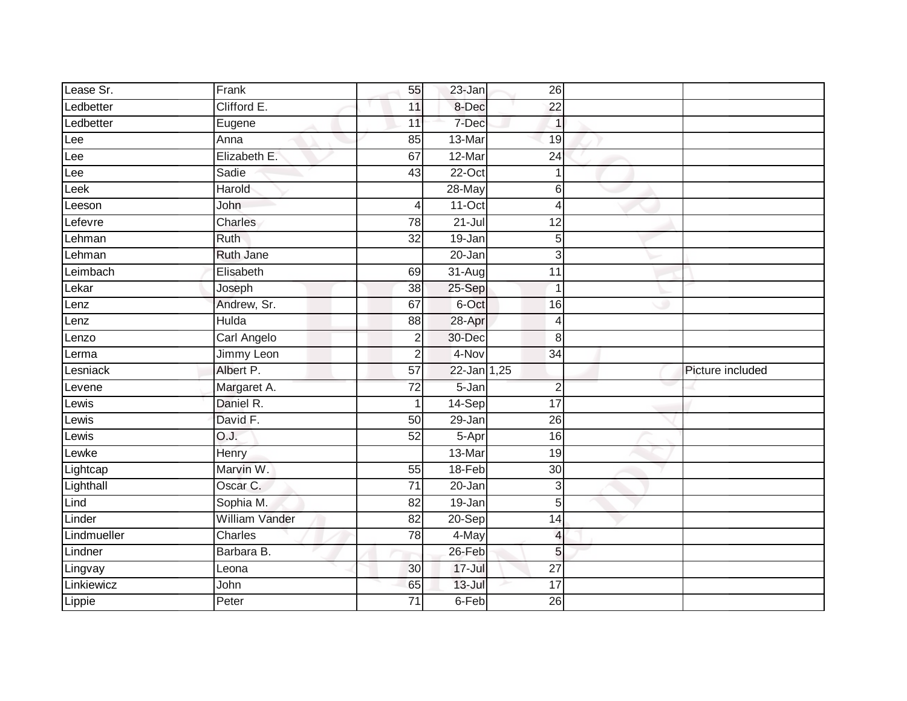| Lease Sr.   | Frank            | 55              | 23-Jan      | 26              |                  |
|-------------|------------------|-----------------|-------------|-----------------|------------------|
| Ledbetter   | Clifford E.      | 11              | 8-Dec       | $\overline{22}$ |                  |
| Ledbetter   | Eugene           | 11              | 7-Dec       | $\mathbf{1}$    |                  |
| Lee         | Anna             | 85              | 13-Mar      | 19              |                  |
| Lee         | Elizabeth E.     | 67              | 12-Mar      | $\overline{24}$ |                  |
| Lee         | Sadie            | 43              | 22-Oct      | 1               |                  |
| Leek        | Harold           |                 | $28 - May$  | 6               |                  |
| Leeson      | John             | 4               | $11-Oct$    | $\overline{4}$  |                  |
| Lefevre     | <b>Charles</b>   | 78              | $21 -$ Jul  | 12              |                  |
| Lehman      | Ruth             | 32              | 19-Jan      | 5               |                  |
| Lehman      | <b>Ruth Jane</b> |                 | 20-Jan      | 3               |                  |
| Leimbach    | Elisabeth        | 69              | 31-Aug      | 11              |                  |
| Lekar       | Joseph           | 38              | $25-Sep$    | $\overline{1}$  |                  |
| Lenz        | Andrew, Sr.      | 67              | 6-Oct       | 16              |                  |
| Lenz        | <b>Hulda</b>     | 88              | 28-Apr      | $\overline{4}$  |                  |
| Lenzo       | Carl Angelo      | $\overline{2}$  | 30-Dec      | 8               |                  |
| Lerma       | Jimmy Leon       | $\overline{2}$  | 4-Nov       | $\overline{34}$ |                  |
| Lesniack    | Albert P.        | $\overline{57}$ | 22-Jan 1,25 |                 | Picture included |
| Levene      | Margaret A.      | $\overline{72}$ | 5-Jan       | $\overline{2}$  |                  |
| Lewis       | Daniel R.        | $\overline{1}$  | 14-Sep      | $\overline{17}$ |                  |
| Lewis       | David F.         | $\overline{50}$ | 29-Jan      | $\overline{26}$ |                  |
| Lewis       | O.J.             | $\overline{52}$ | 5-Apr       | 16              |                  |
| Lewke       | Henry            |                 | 13-Mar      | 19              |                  |
| Lightcap    | Marvin W.        | 55              | 18-Feb      | 30              |                  |
| Lighthall   | Oscar C.         | $\overline{71}$ | 20-Jan      | 3               |                  |
| Lind        | Sophia M.        | 82              | $19 - Jan$  | 5               |                  |
| Linder      | William Vander   | $\overline{82}$ | $20-Sep$    | $\overline{14}$ |                  |
| Lindmueller | Charles          | $\overline{78}$ | 4-May       | $\overline{4}$  |                  |
| Lindner     | Barbara B.       |                 | 26-Feb      | 5               |                  |
| Lingvay     | Leona            | 30              | $17 -$ Jul  | $\overline{27}$ |                  |
| Linkiewicz  | John             | 65              | $13 -$ Jul  | $\overline{17}$ |                  |
| Lippie      | Peter            | $\overline{71}$ | $6$ -Feb    | $\overline{26}$ |                  |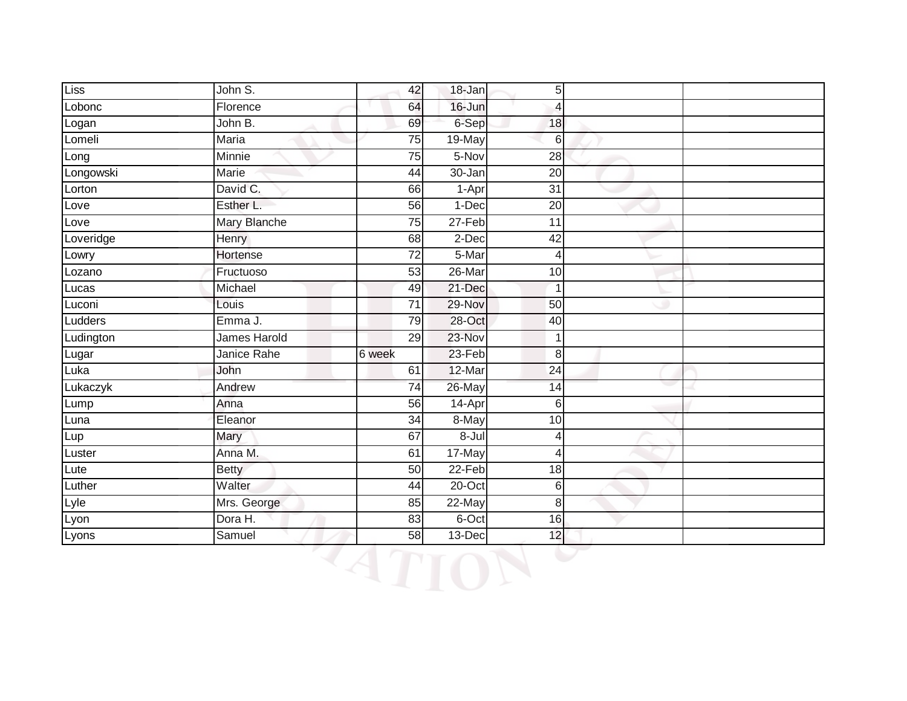| Liss      | John S.      | 42              | 18-Jan    | 5 <sup>1</sup> |  |
|-----------|--------------|-----------------|-----------|----------------|--|
| Lobonc    | Florence     | 64              | 16-Jun    | 4              |  |
| Logan     | John B.      | 69              | 6-Sep     | 18             |  |
| Lomeli    | Maria        | 75              | 19-May    | $6 \mid$       |  |
| Long      | Minnie       | 75              | 5-Nov     | 28             |  |
| Longowski | Marie        | 44              | 30-Jan    | 20             |  |
| Lorton    | David C.     | 66              | 1-Apr     | 31             |  |
| Love      | Esther L.    | 56              | 1-Dec     | 20             |  |
| Love      | Mary Blanche | 75              | 27-Feb    | 11             |  |
| Loveridge | Henry        | 68              | 2-Dec     | 42             |  |
| Lowry     | Hortense     | 72              | 5-Mar     | 4              |  |
| Lozano    | Fructuoso    | 53              | 26-Mar    | 10             |  |
| Lucas     | Michael      | 49              | 21-Dec    | $\mathbf{1}$   |  |
| Luconi    | Louis        | 71              | 29-Nov    | 50             |  |
| Ludders   | Emma J.      | 79              | 28-Oct    | 40             |  |
| Ludington | James Harold | 29              | 23-Nov    | $\mathbf{1}$   |  |
| Lugar     | Janice Rahe  | 6 week          | 23-Feb    | 8 <sup>1</sup> |  |
| Luka      | John         | 61              | 12-Mar    | 24             |  |
| Lukaczyk  | Andrew       | 74              | 26-May    | 14             |  |
| Lump      | Anna         | 56              | 14-Apr    | 6              |  |
| Luna      | Eleanor      | $\overline{34}$ | 8-May     | 10             |  |
| Lup       | Mary         | 67              | $8 -$ Jul | $\overline{4}$ |  |
| Luster    | Anna M.      | 61              | 17-May    | 4              |  |
| Lute      | <b>Betty</b> | 50              | $22-Feb$  | 18             |  |
| Luther    | Walter       | 44              | 20-Oct    | 6              |  |
| Lyle      | Mrs. George  | 85              | 22-May    | 8 <sup>1</sup> |  |
| Lyon      | Dora H.      | 83              | 6-Oct     | 16             |  |
| Lyons     | Samuel       | 58              | $13$ -Dec | 12             |  |

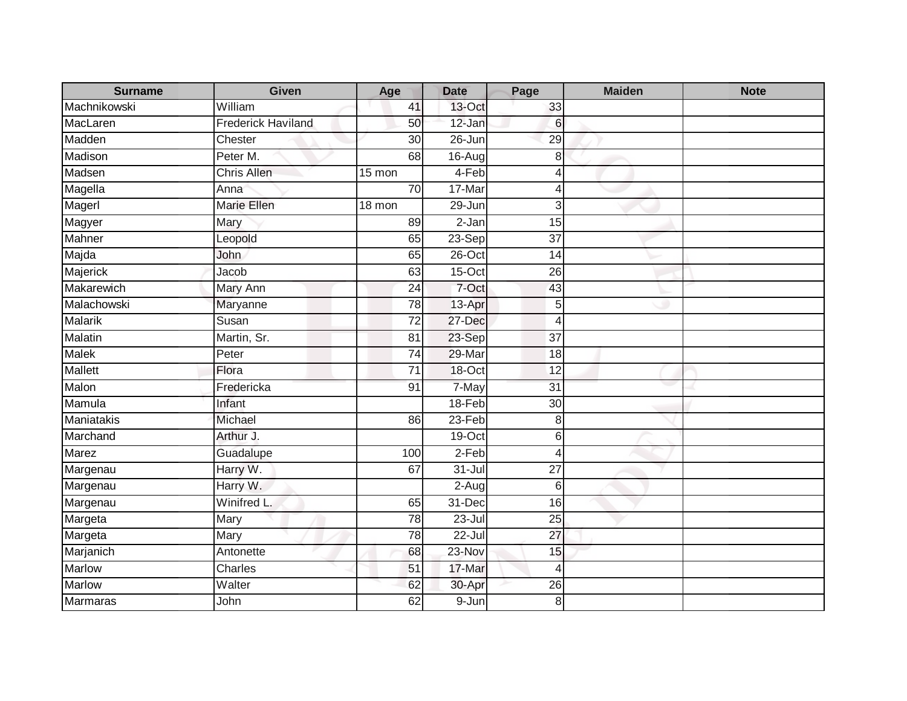| <b>Surname</b>  | <b>Given</b>              | Age             | <b>Date</b> | Page            | <b>Maiden</b> | <b>Note</b> |
|-----------------|---------------------------|-----------------|-------------|-----------------|---------------|-------------|
| Machnikowski    | William                   | 41              | 13-Oct      | 33              |               |             |
| MacLaren        | <b>Frederick Haviland</b> | 50              | 12-Jan      | 6               |               |             |
| Madden          | Chester                   | 30              | 26-Jun      | 29              |               |             |
| Madison         | Peter M.                  | 68              | $16 - Aug$  | 8               |               |             |
| Madsen          | <b>Chris Allen</b>        | 15 mon          | 4-Feb       | 4               |               |             |
| Magella         | Anna                      | 70              | 17-Mar      | 4               |               |             |
| Magerl          | Marie Ellen               | 18 mon          | 29-Jun      | 3               |               |             |
| Magyer          | Mary                      | 89              | 2-Jan       | 15              |               |             |
| Mahner          | Leopold                   | 65              | 23-Sep      | $\overline{37}$ |               |             |
| Majda           | John                      | 65              | 26-Oct      | 14              |               |             |
| Majerick        | Jacob                     | 63              | $15$ -Oct   | 26              |               |             |
| Makarewich      | Mary Ann                  | 24              | 7-Oct       | 43              |               |             |
| Malachowski     | Maryanne                  | 78              | 13-Apr      | 5               |               |             |
| <b>Malarik</b>  | Susan                     | $\overline{72}$ | 27-Dec      | $\overline{4}$  |               |             |
| Malatin         | Martin, Sr.               | 81              | 23-Sep      | $\overline{37}$ |               |             |
| <b>Malek</b>    | Peter                     | $\overline{74}$ | 29-Mar      | 18              |               |             |
| <b>Mallett</b>  | Flora                     | 71              | 18-Oct      | 12              |               |             |
| Malon           | Fredericka                | 91              | 7-May       | $\overline{31}$ |               |             |
| Mamula          | Infant                    |                 | 18-Feb      | 30              |               |             |
| Maniatakis      | Michael                   | 86              | $23-Feb$    | 8               |               |             |
| Marchand        | Arthur J.                 |                 | $19-Oct$    | $\,$ 6 $\,$     |               |             |
| Marez           | Guadalupe                 | 100             | $2-Feb$     | $\overline{4}$  |               |             |
| Margenau        | Harry W.                  | 67              | $31 -$ Jul  | 27              |               |             |
| Margenau        | Harry W.                  |                 | $2-Aug$     | 6               |               |             |
| Margenau        | Winifred L.               | 65              | 31-Dec      | 16              |               |             |
| Margeta         | Mary                      | 78              | $23 -$ Jul  | $\overline{25}$ |               |             |
| Margeta         | Mary                      | 78              | $22 -$ Jul  | 27              |               |             |
| Marjanich       | Antonette                 | 68              | 23-Nov      | 15              |               |             |
| <b>Marlow</b>   | <b>Charles</b>            | 51              | 17-Mar      | 4               |               |             |
| Marlow          | Walter                    | 62              | 30-Apr      | 26              |               |             |
| <b>Marmaras</b> | John                      | 62              | $9 - Jun$   | 8               |               |             |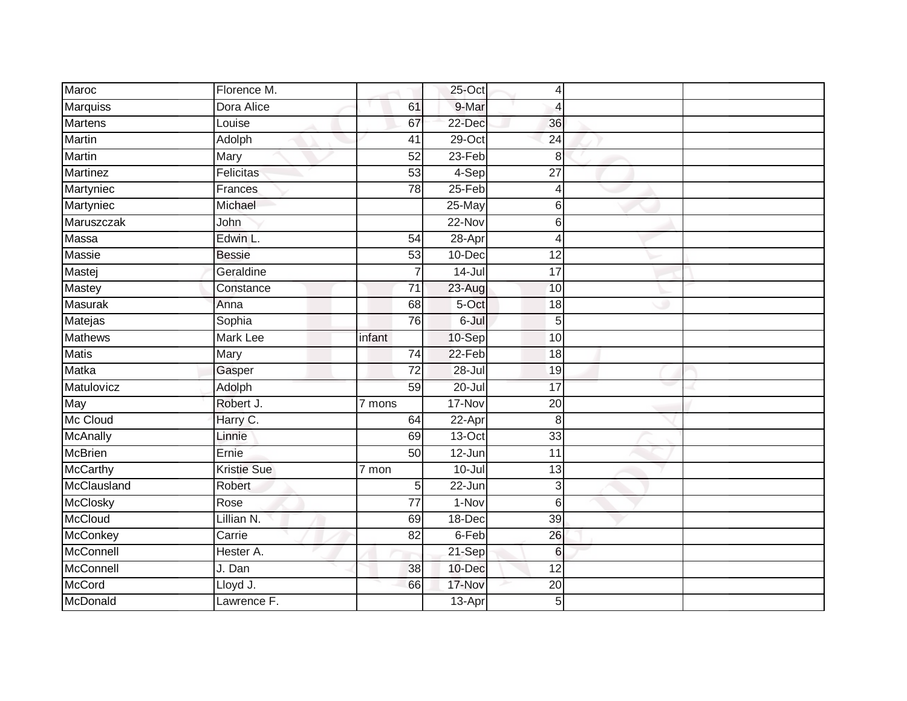| Maroc           | Florence M.        |                 | 25-Oct     | 4               |  |
|-----------------|--------------------|-----------------|------------|-----------------|--|
| Marquiss        | Dora Alice         | 61              | 9-Mar      | $\overline{4}$  |  |
| <b>Martens</b>  | Louise             | 67              | 22-Dec     | 36              |  |
| Martin          | Adolph             | 41              | $29$ -Oct  | 24              |  |
| Martin          | Mary               | 52              | $23-Feb$   | 8               |  |
| Martinez        | Felicitas          | 53              | $4-Sep$    | $\overline{27}$ |  |
| Martyniec       | Frances            | 78              | 25-Feb     | $\overline{4}$  |  |
| Martyniec       | Michael            |                 | 25-May     | 6               |  |
| Maruszczak      | John               |                 | $22-Nov$   | $6 \,$          |  |
| Massa           | Edwin L.           | 54              | 28-Apr     | 4               |  |
| Massie          | <b>Bessie</b>      | 53              | 10-Dec     | 12              |  |
| Mastej          | Geraldine          | 7               | $14 -$ Jul | 17              |  |
| <b>Mastey</b>   | Constance          | 71              | 23-Aug     | 10              |  |
| Masurak         | Anna               | 68              | 5-Oct      | 18              |  |
| Matejas         | Sophia             | 76              | 6-Jul      | 5               |  |
| Mathews         | Mark Lee           | infant          | 10-Sep     | 10              |  |
| <b>Matis</b>    | <b>Mary</b>        | $\overline{74}$ | $22-Feb$   | $\overline{18}$ |  |
| Matka           | Gasper             | $\overline{72}$ | $28 -$ Jul | 19              |  |
| Matulovicz      | Adolph             | 59              | $20 -$ Jul | $\overline{17}$ |  |
| May             | Robert J.          | 7 mons          | 17-Nov     | $\overline{20}$ |  |
| Mc Cloud        | Harry C.           | 64              | 22-Apr     | 8               |  |
| <b>McAnally</b> | Linnie             | 69              | $13-Oct$   | 33              |  |
| <b>McBrien</b>  | Ernie              | 50              | 12-Jun     | 11              |  |
| <b>McCarthy</b> | <b>Kristie Sue</b> | 7 mon           | $10 -$ Jul | 13              |  |
| McClausland     | Robert             | 5               | 22-Jun     | 3               |  |
| McClosky        | Rose               | 77              | $1-Nov$    | 6               |  |
| McCloud         | Lillian N.         | 69              | $18 - Dec$ | 39              |  |
| McConkey        | Carrie             | 82              | 6-Feb      | 26              |  |
| McConnell       | Hester A.          |                 | 21-Sep     | $6\phantom{1}6$ |  |
| McConnell       | J. Dan             | 38              | 10-Dec     | 12              |  |
| McCord          | Lloyd J.           | 66              | 17-Nov     | 20              |  |
| McDonald        | Lawrence F.        |                 | 13-Apr     | 5               |  |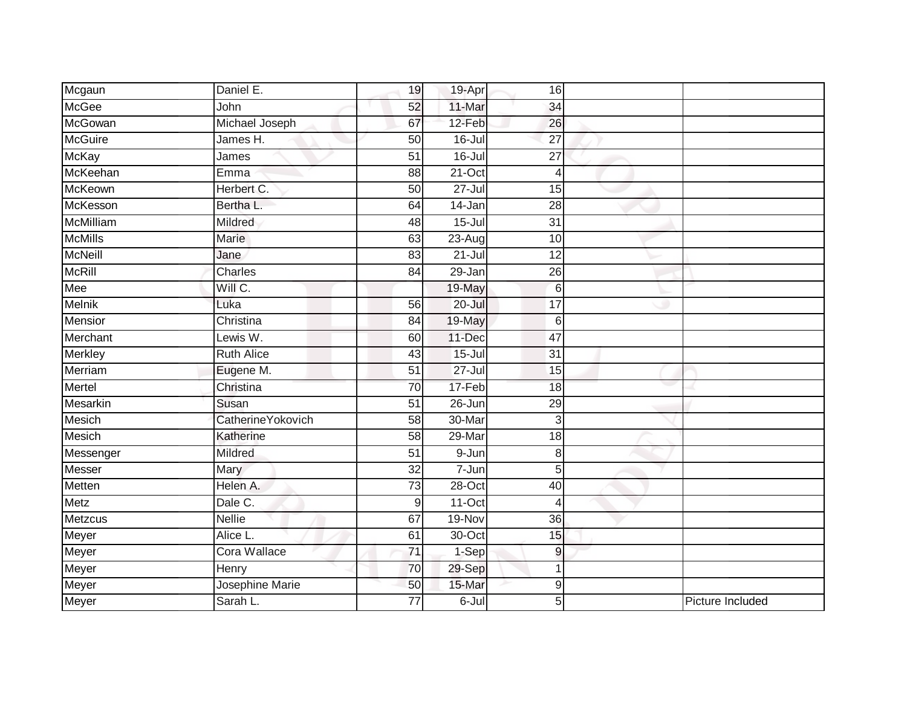| Mcgaun         | Daniel E.                 | 19              | 19-Apr     | 16              |                  |
|----------------|---------------------------|-----------------|------------|-----------------|------------------|
| <b>McGee</b>   | John                      | 52              | 11-Mar     | 34              |                  |
| McGowan        | Michael Joseph            | 67              | 12-Feb     | 26              |                  |
| <b>McGuire</b> | James H.                  | 50              | 16-Jul     | 27              |                  |
| McKay          | James                     | $\overline{51}$ | $16 -$ Jul | $\overline{27}$ |                  |
| McKeehan       | Emma                      | 88              | $21-Oct$   | 4               |                  |
| McKeown        | Herbert C.                | 50              | $27 -$ Jul | 15              |                  |
| McKesson       | Bertha L.                 | 64              | 14-Jan     | 28              |                  |
| McMilliam      | Mildred                   | 48              | $15 -$ Jul | 31              |                  |
| <b>McMills</b> | Marie                     | 63              | $23 - Aug$ | 10              |                  |
| McNeill        | Jane                      | $\overline{83}$ | $21 -$ Jul | $\overline{12}$ |                  |
| <b>McRill</b>  | Charles                   | 84              | 29-Jan     | 26              |                  |
| Mee            | Will C.                   |                 | 19-May     | $6\phantom{1}6$ |                  |
| <b>Melnik</b>  | Luka                      | 56              | $20 -$ Jul | $\overline{17}$ |                  |
| Mensior        | Christina                 | 84              | 19-May     | $6\phantom{1}6$ |                  |
| Merchant       | Lewis W.                  | 60              | 11-Dec     | 47              |                  |
| Merkley        | <b>Ruth Alice</b>         | 43              | $15 -$ Jul | $\overline{31}$ |                  |
| Merriam        | Eugene M.                 | 51              | $27 -$ Jul | 15              |                  |
| Mertel         | Christina                 | 70              | 17-Feb     | 18              |                  |
| Mesarkin       | Susan                     | 51              | $26 - Jun$ | 29              |                  |
| Mesich         | <b>Catherine Yokovich</b> | 58              | 30-Mar     | $\mathbf{3}$    |                  |
| <b>Mesich</b>  | Katherine                 | $\overline{58}$ | 29-Mar     | $\overline{18}$ |                  |
| Messenger      | Mildred                   | 51              | 9-Jun      | 8               |                  |
| <b>Messer</b>  | Mary                      | $\overline{32}$ | 7-Jun      | $5\overline{)}$ |                  |
| Metten         | Helen A.                  | 73              | 28-Oct     | 40              |                  |
| Metz           | Dale C.                   | 9               | $11-Oct$   | $\overline{4}$  |                  |
| Metzcus        | <b>Nellie</b>             | 67              | $19-Nov$   | $\overline{36}$ |                  |
| Meyer          | Alice L.                  | 61              | 30-Oct     | 15              |                  |
| Meyer          | Cora Wallace              | $\overline{71}$ | $1-Sep$    | 9               |                  |
| Meyer          | Henry                     | 70              | 29-Sep     | 1               |                  |
| Meyer          | Josephine Marie           | 50              | 15-Mar     | $\overline{9}$  |                  |
| Meyer          | Sarah L.                  | 77              | $6 -$ Jul  | 5               | Picture Included |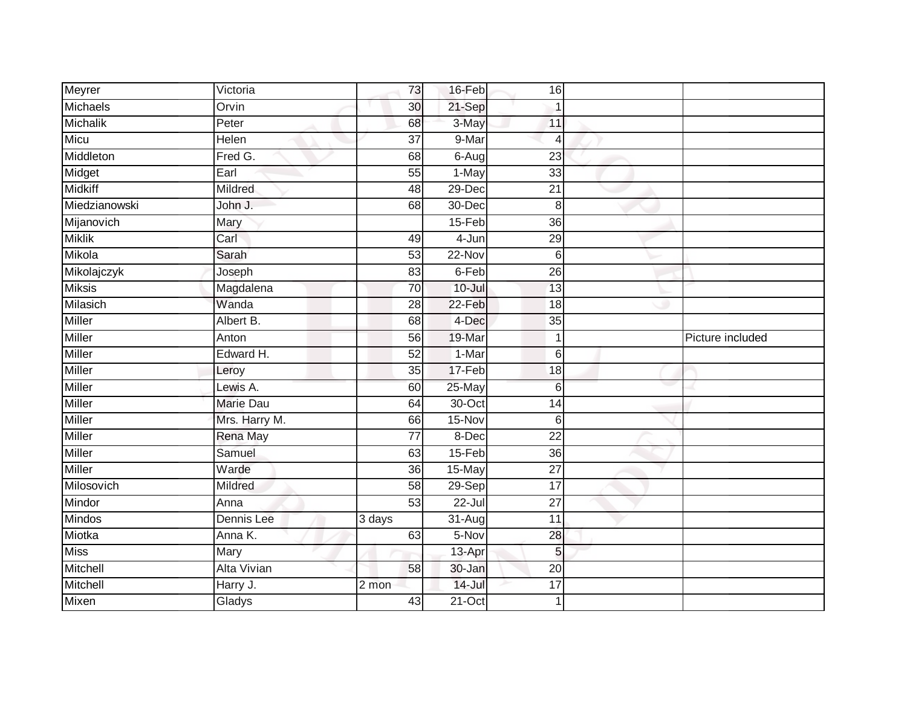| Meyrer         | Victoria           | 73              | 16-Feb     | 16              |                  |
|----------------|--------------------|-----------------|------------|-----------------|------------------|
| Michaels       | Orvin              | 30              | 21-Sep     | $\mathbf{1}$    |                  |
| Michalik       | Peter              | 68              | 3-May      | 11              |                  |
| Micu           | Helen              | $\overline{37}$ | 9-Mar      | $\overline{4}$  |                  |
| Middleton      | Fred G.            | 68              | $6-Aug$    | $\overline{23}$ |                  |
| Midget         | Earl               | 55              | 1-May      | 33              |                  |
| <b>Midkiff</b> | Mildred            | 48              | 29-Dec     | 21              |                  |
| Miedzianowski  | John J.            | 68              | 30-Dec     | 8               |                  |
| Mijanovich     | Mary               |                 | $15-Feb$   | 36              |                  |
| <b>Miklik</b>  | Carl               | 49              | 4-Jun      | 29              |                  |
| Mikola         | Sarah              | 53              | $22-Nov$   | $6\phantom{1}6$ |                  |
| Mikolajczyk    | Joseph             | 83              | 6-Feb      | $\overline{26}$ |                  |
| <b>Miksis</b>  | Magdalena          | 70              | $10 -$ Jul | 13              |                  |
| Milasich       | Wanda              | 28              | $22-Feb$   | 18              |                  |
| Miller         | Albert B.          | 68              | 4-Dec      | 35              |                  |
| <b>Miller</b>  | Anton              | 56              | 19-Mar     | $\mathbf 1$     | Picture included |
| Miller         | Edward H.          | 52              | 1-Mar      | $6 \,$          |                  |
| <b>Miller</b>  | Leroy              | $\overline{35}$ | 17-Feb     | 18              |                  |
| Miller         | Lewis A.           | 60              | 25-May     | $6\phantom{1}6$ |                  |
| <b>Miller</b>  | <b>Marie Dau</b>   | 64              | 30-Oct     | 14              |                  |
| Miller         | Mrs. Harry M.      | 66              | 15-Nov     | 6               |                  |
| Miller         | <b>Rena May</b>    | $\overline{77}$ | 8-Dec      | $\overline{22}$ |                  |
| <b>Miller</b>  | Samuel             | 63              | $15-Feb$   | 36              |                  |
| Miller         | Warde              | $\overline{36}$ | 15-May     | $\overline{27}$ |                  |
| Milosovich     | Mildred            | $\overline{58}$ | $29-Sep$   | $\overline{17}$ |                  |
| Mindor         | Anna               | $\overline{53}$ | $22 -$ Jul | 27              |                  |
| Mindos         | Dennis Lee         | 3 days          | 31-Aug     | $\overline{11}$ |                  |
| Miotka         | Anna K.            | 63              | 5-Nov      | 28              |                  |
| <b>Miss</b>    | Mary               |                 | 13-Apr     | 5               |                  |
| Mitchell       | <b>Alta Vivian</b> | 58              | $30 - Jan$ | 20              |                  |
| Mitchell       | Harry J.           | 2 mon           | $14 -$ Jul | 17              |                  |
| Mixen          | Gladys             | 43              | $21-Oct$   | $\mathbf 1$     |                  |
|                |                    |                 |            |                 |                  |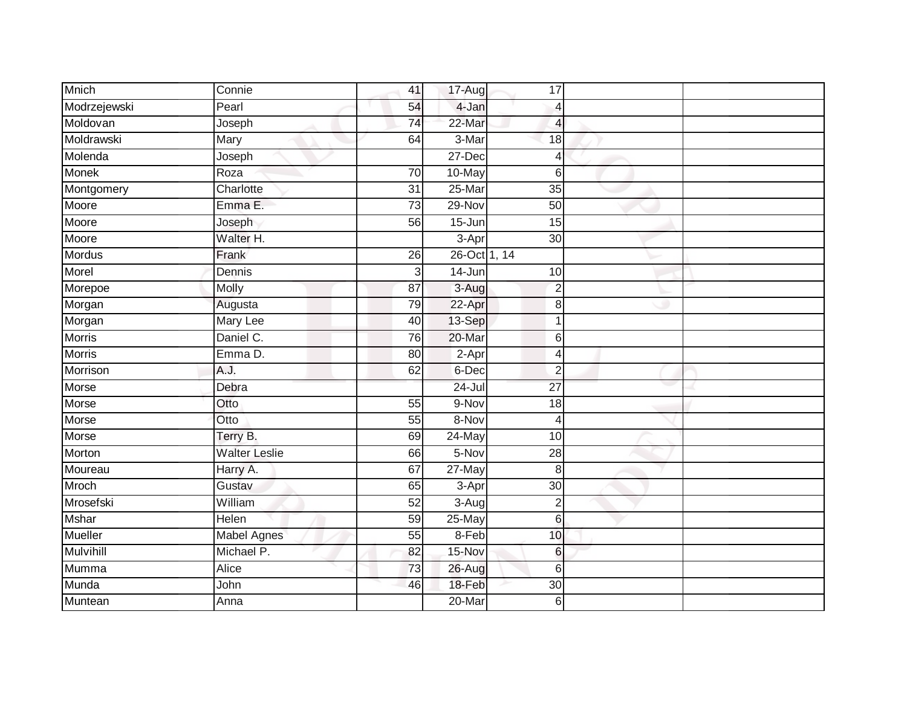| Mnich            | Connie                   | 41              | 17-Aug       | 17              |  |
|------------------|--------------------------|-----------------|--------------|-----------------|--|
| Modrzejewski     | Pearl                    | 54              | 4-Jan        | $\overline{4}$  |  |
| Moldovan         | Joseph                   | $\overline{74}$ | 22-Mar       | 4               |  |
| Moldrawski       | Mary                     | 64              | 3-Mar        | 18              |  |
| Molenda          | Joseph                   |                 | $27 - Dec$   | $\overline{4}$  |  |
| <b>Monek</b>     | $\overline{\text{Roza}}$ | $\overline{70}$ | 10-May       | 6               |  |
| Montgomery       | Charlotte                | $\overline{31}$ | $25$ -Mar    | 35              |  |
| Moore            | Emma E.                  | 73              | 29-Nov       | 50              |  |
| Moore            | Joseph                   | 56              | $15 - Jun$   | 15              |  |
| Moore            | Walter H.                |                 | 3-Apr        | 30              |  |
| Mordus           | Frank                    | 26              | 26-Oct 1, 14 |                 |  |
| Morel            | Dennis                   | 3               | 14-Jun       | 10              |  |
| Morepoe          | Molly                    | 87              | $3-Aug$      | $\overline{2}$  |  |
| Morgan           | Augusta                  | 79              | 22-Apr       | 8               |  |
| Morgan           | <b>Mary Lee</b>          | 40              | 13-Sep       | $\mathbf 1$     |  |
| <b>Morris</b>    | Daniel C.                | 76              | 20-Mar       | 6               |  |
| <b>Morris</b>    | Emma D.                  | 80              | $2-Apr$      | $\overline{4}$  |  |
| Morrison         | A.J.                     | 62              | 6-Dec        | $\overline{2}$  |  |
| Morse            | Debra                    |                 | 24-Jul       | 27              |  |
| Morse            | Otto                     | $\overline{55}$ | 9-Nov        | $\overline{18}$ |  |
| Morse            | Otto                     | 55              | 8-Nov        | $\overline{4}$  |  |
| Morse            | Terry B.                 | 69              | 24-May       | 10              |  |
| Morton           | <b>Walter Leslie</b>     | 66              | 5-Nov        | $\overline{28}$ |  |
| Moureau          | Harry A.                 | 67              | 27-May       | 8               |  |
| Mroch            | Gustav                   | 65              | 3-Apr        | 30              |  |
| Mrosefski        | William                  | 52              | $3-Aug$      | $\overline{2}$  |  |
| <b>Mshar</b>     | Helen                    | 59              | $25$ -May    | $6\phantom{1}$  |  |
| Mueller          | Mabel Agnes              | 55              | 8-Feb        | 10              |  |
| <b>Mulvihill</b> | Michael P.               | 82              | 15-Nov       | 6               |  |
| Mumma            | Alice                    | 73              | 26-Aug       | 6               |  |
| Munda            | John                     | 46              | 18-Feb       | 30              |  |
| Muntean          | Anna                     |                 | 20-Mar       | 6               |  |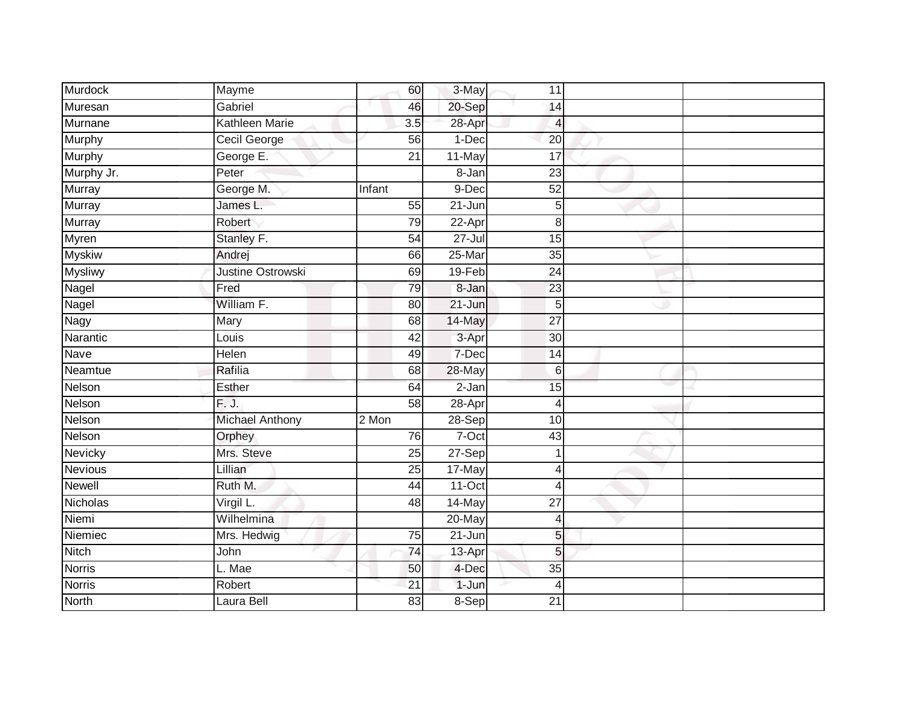| Murdock        | Mayme                    | 60              | 3-May      | 11              |  |
|----------------|--------------------------|-----------------|------------|-----------------|--|
| Muresan        | Gabriel                  | 46              | 20-Sep     | 14              |  |
| Murnane        | Kathleen Marie           | 3.5             | 28-Apr     | 4               |  |
| Murphy         | Cecil George             | 56              | 1-Dec      | 20              |  |
| Murphy         | George E.                | $\overline{21}$ | 11-May     | 17              |  |
| Murphy Jr.     | Peter                    |                 | 8-Jan      | 23              |  |
| Murray         | George M.                | Infant          | 9-Dec      | 52              |  |
| Murray         | James L.                 | 55              | 21-Jun     | 5               |  |
| Murray         | Robert                   | 79              | 22-Apr     | 8               |  |
| Myren          | Stanley F.               | 54              | $27 -$ Jul | $\overline{15}$ |  |
| <b>Myskiw</b>  | Andrej                   | 66              | 25-Mar     | 35              |  |
| Mysliwy        | <b>Justine Ostrowski</b> | 69              | $19-Feb$   | 24              |  |
| Nagel          | Fred                     | 79              | 8-Jan      | 23              |  |
| Nagel          | William F.               | 80              | $21 - Jun$ | 5               |  |
| Nagy           | Mary                     | 68              | 14-May     | $\overline{27}$ |  |
| Narantic       | Louis                    | 42              | 3-Apr      | 30 <sup>°</sup> |  |
| <b>Nave</b>    | <b>Helen</b>             | 49              | 7-Dec      | $\overline{14}$ |  |
| Neamtue        | Rafilia                  | 68              | 28-May     | $6 \,$          |  |
| Nelson         | Esther                   | 64              | $2 - Jan$  | 15              |  |
| Nelson         | F.J.                     | 58              | $28 - Apr$ | $\overline{4}$  |  |
| Nelson         | Michael Anthony          | 2 Mon           | $28-Sep$   | 10              |  |
| Nelson         | Orphey                   | 76              | $7-Oct$    | 43              |  |
| Nevicky        | Mrs. Steve               | 25              | 27-Sep     | 1               |  |
| <b>Nevious</b> | Lillian                  | $\overline{25}$ | 17-May     | $\overline{4}$  |  |
| <b>Newell</b>  | Ruth M.                  | 44              | $11-Oct$   | $\overline{4}$  |  |
| Nicholas       | Virgil L.                | 48              | 14-May     | 27              |  |
| Niemi          | Wilhelmina               |                 | 20-May     | 4               |  |
| Niemiec        | Mrs. Hedwig              | 75              | 21-Jun     | 5               |  |
| Nitch          | John                     | 74              | 13-Apr     | 5               |  |
| <b>Norris</b>  | L. Mae                   | 50              | 4-Dec      | 35              |  |
| Norris         | Robert                   | 21              | 1-Jun      | $\overline{4}$  |  |
| <b>North</b>   | Laura Bell               | $\overline{83}$ | 8-Sep      | $\overline{21}$ |  |
|                |                          |                 |            |                 |  |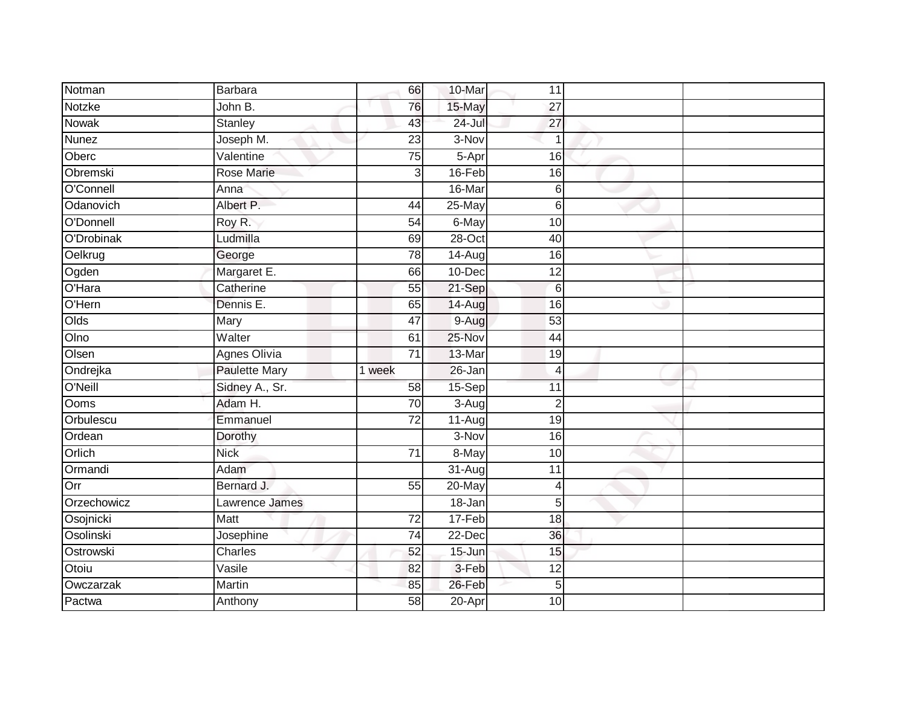| Notman       | <b>Barbara</b>       | 66              | 10-Mar     | 11              |  |
|--------------|----------------------|-----------------|------------|-----------------|--|
| Notzke       | John B.              | 76              | 15-May     | 27              |  |
| <b>Nowak</b> | Stanley              | 43              | $24 -$ Jul | 27              |  |
| <b>Nunez</b> | Joseph M.            | 23              | 3-Nov      | $\overline{1}$  |  |
| Oberc        | Valentine            | $\overline{75}$ | 5-Apr      | 16              |  |
| Obremski     | <b>Rose Marie</b>    | 3               | 16-Feb     | 16              |  |
| O'Connell    | Anna                 |                 | 16-Mar     | 6               |  |
| Odanovich    | Albert P.            | 44              | $25$ -May  | 6               |  |
| O'Donnell    | Roy R.               | 54              | 6-May      | 10              |  |
| O'Drobinak   | Ludmilla             | 69              | 28-Oct     | 40              |  |
| Oelkrug      | George               | 78              | 14-Aug     | 16              |  |
| Ogden        | Margaret E.          | 66              | 10-Dec     | 12              |  |
| O'Hara       | Catherine            | 55              | 21-Sep     | $6\phantom{1}6$ |  |
| O'Hern       | Dennis E.            | 65              | 14-Aug     | 16              |  |
| Olds         | Mary                 | 47              | 9-Aug      | 53              |  |
| Olno         | Walter               | 61              | 25-Nov     | 44              |  |
| Olsen        | <b>Agnes Olivia</b>  | $\overline{71}$ | 13-Mar     | 19              |  |
| Ondrejka     | <b>Paulette Mary</b> | 1 week          | 26-Jan     | $\overline{4}$  |  |
| O'Neill      | Sidney A., Sr.       | 58              | 15-Sep     | 11              |  |
| <b>Ooms</b>  | Adam H.              | $\overline{70}$ | $3-Aug$    | $\overline{2}$  |  |
| Orbulescu    | Emmanuel             | $\overline{72}$ | $11-Aug$   | 19              |  |
| Ordean       | Dorothy              |                 | 3-Nov      | 16              |  |
| Orlich       | <b>Nick</b>          | 71              | 8-May      | 10              |  |
| Ormandi      | Adam                 |                 | 31-Aug     | 11              |  |
| Orr          | Bernard J.           | 55              | 20-May     | $\overline{4}$  |  |
| Orzechowicz  | Lawrence James       |                 | 18-Jan     | 5               |  |
| Osojnicki    | Matt                 | $\overline{72}$ | 17-Feb     | 18              |  |
| Osolinski    | Josephine            | $\overline{74}$ | 22-Dec     | 36              |  |
| Ostrowski    | Charles              | 52              | 15-Jun     | 15              |  |
| Otoiu        | Vasile               | 82              | 3-Feb      | 12              |  |
| Owczarzak    | Martin               | 85              | 26-Feb     | 5               |  |
| Pactwa       | Anthony              | $\overline{58}$ | $20 - Apr$ | 10              |  |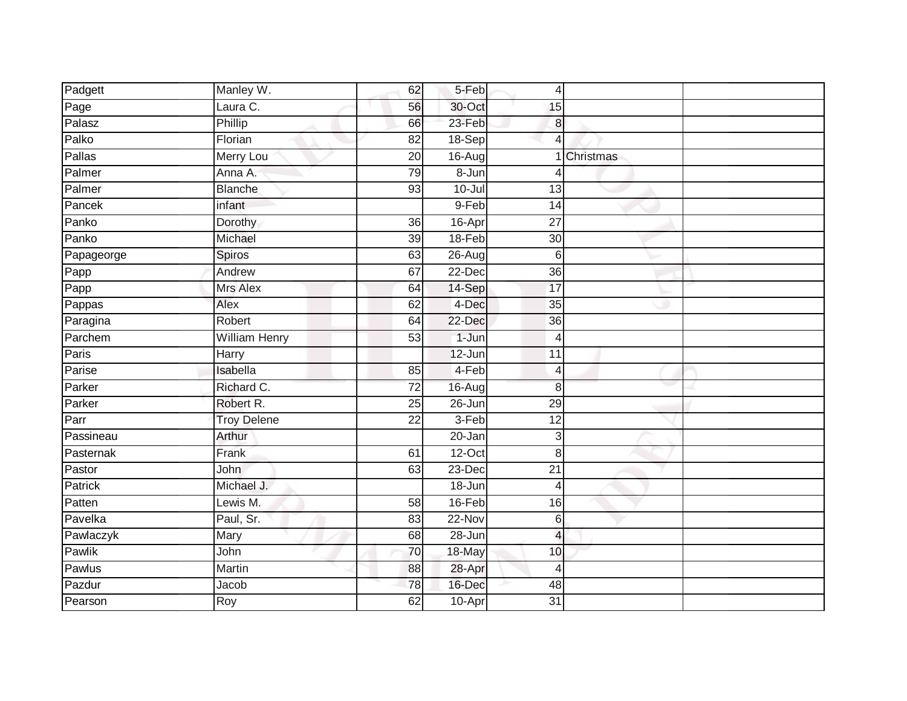| Padgett       | Manley W.            | 62              | 5-Feb      | 4               |           |  |
|---------------|----------------------|-----------------|------------|-----------------|-----------|--|
| Page          | Laura C.             | 56              | 30-Oct     | 15              |           |  |
| Palasz        | Phillip              | 66              | 23-Feb     | 8               |           |  |
| Palko         | Florian              | 82              | $18-Sep$   | $\overline{4}$  |           |  |
| <b>Pallas</b> | <b>Merry Lou</b>     | $\overline{20}$ | 16-Aug     |                 | Christmas |  |
| Palmer        | Anna A.              | 79              | 8-Jun      | 4               |           |  |
| Palmer        | <b>Blanche</b>       | 93              | $10 -$ Jul | 13              |           |  |
| Pancek        | infant               |                 | 9-Feb      | 14              |           |  |
| Panko         | Dorothy              | 36              | 16-Apr     | 27              |           |  |
| Panko         | Michael              | $\overline{39}$ | 18-Feb     | 30              |           |  |
| Papageorge    | Spiros               | 63              | 26-Aug     | $\,6$           |           |  |
| Papp          | Andrew               | 67              | 22-Dec     | 36              |           |  |
| Papp          | Mrs Alex             | 64              | 14-Sep     | 17              |           |  |
| Pappas        | Alex                 | 62              | 4-Dec      | 35              |           |  |
| Paragina      | Robert               | 64              | 22-Dec     | $\overline{36}$ |           |  |
| Parchem       | <b>William Henry</b> | 53              | 1-Jun      | 4               |           |  |
| Paris         | <b>Harry</b>         |                 | 12-Jun     | 11              |           |  |
| Parise        | Isabella             | 85              | 4-Feb      | $\overline{4}$  |           |  |
| Parker        | Richard C.           | 72              | 16-Augl    | 8               |           |  |
| Parker        | Robert R.            | 25              | 26-Jun     | 29              |           |  |
| Parr          | <b>Troy Delene</b>   | $\overline{22}$ | $3-Feb$    | 12              |           |  |
| Passineau     | Arthur               |                 | 20-Jan     | 3               |           |  |
| Pasternak     | Frank                | 61              | $12$ -Oct  | 8               |           |  |
| Pastor        | John                 | 63              | 23-Dec     | $\overline{21}$ |           |  |
| Patrick       | Michael J.           |                 | 18-Jun     | 4               |           |  |
| Patten        | Lewis M.             | 58              | 16-Feb     | 16              |           |  |
| Pavelka       | Paul, Sr.            | 83              | $22-Nov$   | $\,$ 6 $\,$     |           |  |
| Pawlaczyk     | Mary                 | 68              | 28-Jun     | $\overline{4}$  |           |  |
| Pawlik        | John                 | 70              | 18-May     | 10              |           |  |
| Pawlus        | Martin               | 88              | 28-Apr     | $\overline{4}$  |           |  |
| Pazdur        | Jacob                | 78              | 16-Dec     | 48              |           |  |
| Pearson       | Roy                  | 62              | 10-Apr     | $\overline{31}$ |           |  |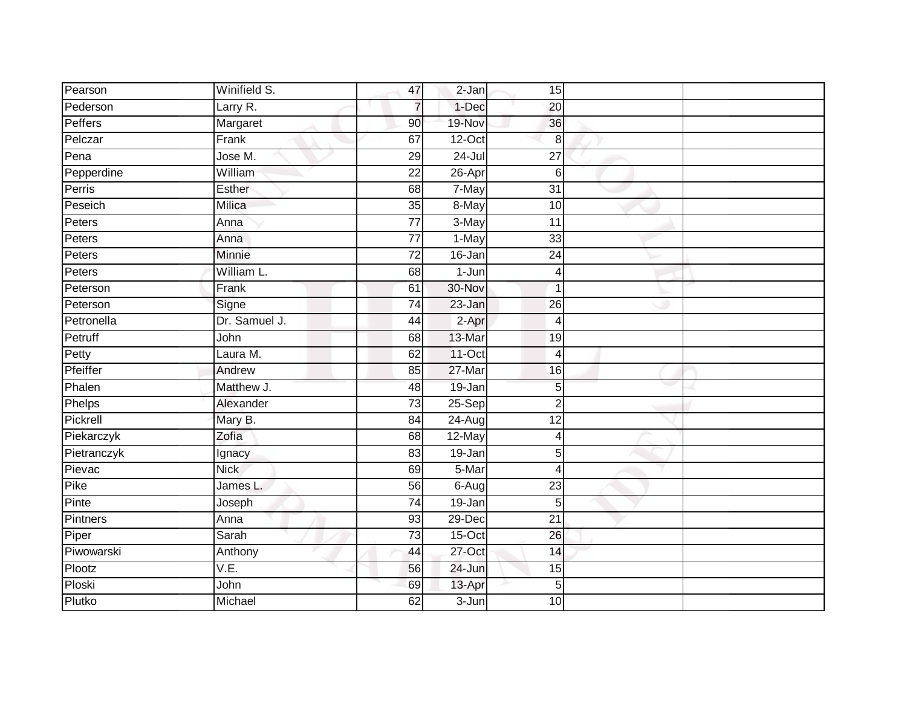| Pearson     | Winifield S.  | 47              | 2-Jan                  | 15              |  |
|-------------|---------------|-----------------|------------------------|-----------------|--|
| Pederson    | Larry R.      | $\overline{7}$  | 1-Dec                  | 20              |  |
| Peffers     | Margaret      | 90              | 19-Nov                 | 36              |  |
| Pelczar     | Frank         | 67              | $12$ -Oct              | 8               |  |
| Pena        | Jose M.       | 29              | $24 -$ Jul             | $\overline{27}$ |  |
| Pepperdine  | William       | $\overline{22}$ | 26-Apr                 | 6               |  |
| Perris      | Esther        | 68              | 7-May                  | $\overline{31}$ |  |
| Peseich     | Milica        | 35              | 8-May                  | 10              |  |
| Peters      | Anna          | 77              | 3-May                  | 11              |  |
| Peters      | Anna          | $\overline{77}$ | 1-May                  | 33              |  |
| Peters      | Minnie        | 72              | $16 - Jan$             | 24              |  |
| Peters      | William L.    | 68              | $1-Jun$                | $\overline{4}$  |  |
| Peterson    | Frank         | 61              | 30-Nov                 | -1              |  |
| Peterson    | Signe         | 74              | 23-Jan                 | 26              |  |
| Petronella  | Dr. Samuel J. | 44              | $2-Apr$                | $\overline{4}$  |  |
| Petruff     | John          | 68              | 13-Mar                 | 19              |  |
| Petty       | Laura M.      | 62              | $11-Oct$               | $\overline{4}$  |  |
| Pfeiffer    | Andrew        | 85              | 27-Mar                 | 16              |  |
| Phalen      | Matthew J.    | 48              | 19-Jan                 | 5               |  |
| Phelps      | Alexander     | $\overline{73}$ | $25-Sep$               | $\overline{2}$  |  |
| Pickrell    | Mary B.       | 84              | 24-Aug                 | 12              |  |
| Piekarczyk  | Zofia         | 68              | 12-May                 | 4               |  |
| Pietranczyk | Ignacy        | 83              | $19 - Jan$             | 5               |  |
| Pievac      | <b>Nick</b>   | 69              | 5-Mar                  | $\overline{4}$  |  |
| Pike        | James L.      | 56              | $6 - \overline{A}$ ugl | 23              |  |
| Pinte       | Joseph        | 74              | 19-Jan                 | 5               |  |
| Pintners    | Anna          | 93              | $29$ -Dec              | $\overline{21}$ |  |
| Piper       | Sarah         | 73              | $15$ -Oct              | 26              |  |
| Piwowarski  | Anthony       | 44              | 27-Oct                 | 14              |  |
| Plootz      | V.E.          | 56              | 24-Jun                 | 15              |  |
| Ploski      | John          | 69              | 13-Apr                 | 5               |  |
| Plutko      | Michael       | 62              | $3 - Jun$              | 10              |  |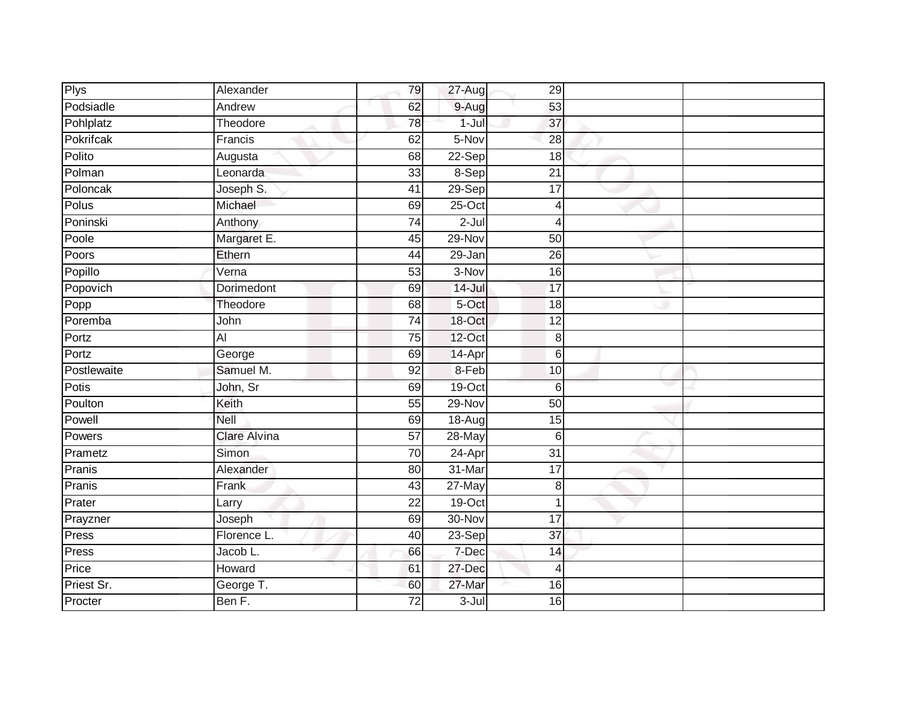| <b>Plys</b> | Alexander           | 79              | 27-Aug     | 29              |  |
|-------------|---------------------|-----------------|------------|-----------------|--|
| Podsiadle   | Andrew              | 62              | 9-Aug      | 53              |  |
| Pohlplatz   | Theodore            | 78              | $1 -$ Jul  | 37              |  |
| Pokrifcak   | Francis             | 62              | 5-Nov      | $\overline{28}$ |  |
| Polito      | Augusta             | 68              | $22-Sep$   | $\overline{18}$ |  |
| Polman      | Leonarda            | 33              | 8-Sep      | $\overline{21}$ |  |
| Poloncak    | Joseph S.           | 41              | 29-Sep     | $\overline{17}$ |  |
| Polus       | Michael             | 69              | 25-Oct     | 4               |  |
| Poninski    | Anthony             | $\overline{74}$ | $2-Jul$    | 4               |  |
| Poole       | Margaret E.         | 45              | $29-Nov$   | 50              |  |
| Poors       | Ethern              | 44              | 29-Jan     | $\overline{26}$ |  |
| Popillo     | Verna               | 53              | 3-Nov      | 16              |  |
| Popovich    | Dorimedont          | 69              | $14 -$ Jul | $\overline{17}$ |  |
| Popp        | Theodore            | 68              | 5-Oct      | 18              |  |
| Poremba     | John                | $\overline{74}$ | 18-Oct     | $\overline{12}$ |  |
| Portz       | $\overline{AI}$     | $\overline{75}$ | 12-Oct     | 8               |  |
| Portz       | George              | 69              | 14-Apr     | 6               |  |
| Postlewaite | Samuel M.           | 92              | 8-Feb      | 10              |  |
| Potis       | John, Sr            | 69              | 19-Oct     | 6               |  |
| Poulton     | Keith               | 55              | $29-Nov$   | $\overline{50}$ |  |
| Powell      | Nell                | 69              | 18-Aug     | 15              |  |
| Powers      | <b>Clare Alvina</b> | $\overline{57}$ | $28 - May$ | $6\phantom{1}6$ |  |
| Prametz     | Simon               | 70              | 24-Apr     | 31              |  |
| Pranis      | Alexander           | 80              | 31-Mar     | 17              |  |
| Pranis      | Frank               | 43              | 27-May     | 8               |  |
| Prater      | Larry               | $\overline{22}$ | 19-Oct     | 1               |  |
| Prayzner    | Joseph              | 69              | 30-Nov     | $\overline{17}$ |  |
| Press       | Florence L.         | 40              | 23-Sep     | 37              |  |
| Press       | Jacob L.            | 66              | 7-Dec      | 14              |  |
| Price       | Howard              | 61              | 27-Dec     | 4               |  |
| Priest Sr.  | George T.           | 60              | 27-Mar     | 16              |  |
| Procter     | Ben F.              | $\overline{72}$ | $3 -$ Jul  | 16              |  |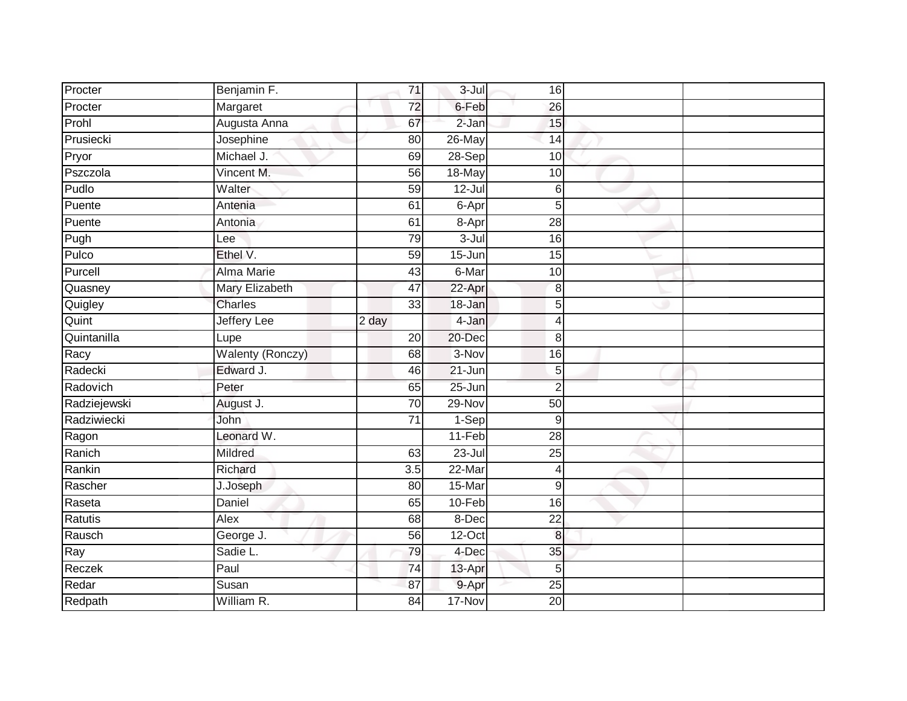| Procter      | Benjamin F.             | 71                 | $3 -$ Jul  | 16              |  |
|--------------|-------------------------|--------------------|------------|-----------------|--|
| Procter      | Margaret                | 72                 | 6-Feb      | 26              |  |
| Prohl        | Augusta Anna            | 67                 | $2 - Jan$  | 15              |  |
| Prusiecki    | Josephine               | 80                 | 26-May     | 14              |  |
| Pryor        | Michael J.              | 69                 | $28-Sep$   | 10              |  |
| Pszczola     | Vincent M.              | 56                 | 18-May     | 10              |  |
| Pudlo        | Walter                  | 59                 | $12 -$ Jul | 6               |  |
| Puente       | Antenia                 | 61                 | 6-Apr      | 5               |  |
| Puente       | Antonia                 | 61                 | 8-Apr      | 28              |  |
| Pugh         | Lee                     | 79                 | $3 -$ Jul  | $\overline{16}$ |  |
| Pulco        | Ethel V.                | 59                 | 15-Jun     | 15              |  |
| Purcell      | Alma Marie              | 43                 | 6-Mar      | 10              |  |
| Quasney      | Mary Elizabeth          | 47                 | 22-Apr     | 8               |  |
| Quigley      | Charles                 | 33                 | 18-Jan     | 5               |  |
| Quint        | <b>Jeffery Lee</b>      | $\overline{2}$ day | 4-Jan      | $\overline{4}$  |  |
| Quintanilla  | Lupe                    | 20                 | 20-Dec     | 8               |  |
| Racy         | <b>Walenty (Ronczy)</b> | 68                 | 3-Nov      | $\overline{16}$ |  |
| Radecki      | Edward J.               | 46                 | $21 - Jun$ | 5               |  |
| Radovich     | Peter                   | 65                 | 25-Jun     | $\overline{2}$  |  |
| Radziejewski | August J.               | $\overline{70}$    | $29-Nov$   | 50              |  |
| Radziwiecki  | John                    | $\overline{71}$    | $1-Sep$    | 9               |  |
| Ragon        | Leonard W.              |                    | $11-Feb$   | 28              |  |
| Ranich       | <b>Mildred</b>          | 63                 | 23-Jul     | 25              |  |
| Rankin       | Richard                 | 3.5                | $22$ -Mar  | $\overline{4}$  |  |
| Rascher      | J.Joseph                | 80                 | 15-Mar     | $\overline{9}$  |  |
| Raseta       | Daniel                  | 65                 | 10-Feb     | 16              |  |
| Ratutis      | Alex                    | 68                 | 8-Dec      | $\overline{22}$ |  |
| Rausch       | George J.               | 56                 | 12-Oct     | 8               |  |
| Ray          | Sadie L.                | 79                 | 4-Dec      | 35              |  |
| Reczek       | Paul                    | 74                 | 13-Apr     | 5               |  |
| Redar        | Susan                   | 87                 | 9-Apr      | $\overline{25}$ |  |
| Redpath      | William R.              | $\overline{84}$    | 17-Nov     | $\overline{20}$ |  |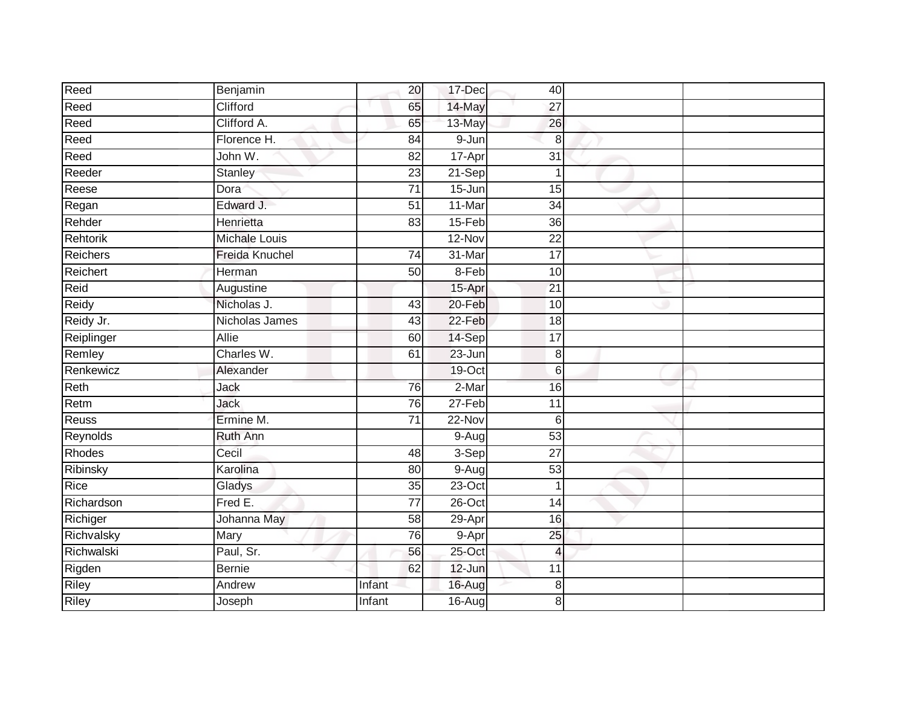|                      |                 | 17-Dec     | 40              |  |
|----------------------|-----------------|------------|-----------------|--|
| Clifford             | 65              | 14-May     | 27              |  |
| Clifford A.          | 65              | 13-May     | 26              |  |
| Florence H.          | 84              | 9-Jun      | 8               |  |
| John W.              | $\overline{82}$ | 17-Apr     | $\overline{31}$ |  |
| <b>Stanley</b>       | 23              | $21-Sep$   | 1               |  |
| Dora                 | 71              | 15-Jun     | 15              |  |
| Edward J.            | 51              | 11-Mar     | 34              |  |
| Henrietta            | 83              | 15-Feb     | 36              |  |
| <b>Michale Louis</b> |                 | 12-Nov     | $\overline{22}$ |  |
| Freida Knuchel       | 74              | 31-Mar     | $\overline{17}$ |  |
| Herman               | 50              | 8-Feb      | 10              |  |
| Augustine            |                 | 15-Apr     | 21              |  |
| Nicholas J.          | 43              | 20-Feb     | 10              |  |
| Nicholas James       | 43              | 22-Feb     | 18              |  |
| Allie                | 60              | 14-Sep     | 17              |  |
| Charles W.           | 61              | $23 - Jun$ | $\,8\,$         |  |
| Alexander            |                 | $19$ -Oct  | $\,$ 6          |  |
| Jack                 | 76              | $2-Mar$    | 16              |  |
| <b>Jack</b>          | 76              | $27-Feb$   | $\overline{11}$ |  |
| Ermine M.            | 71              | 22-Nov     | 6               |  |
| <b>Ruth Ann</b>      |                 | $9-Aug$    | 53              |  |
| Cecil                | 48              | 3-Sep      | 27              |  |
| Karolina             | 80              | $9-Aug$    | $\overline{53}$ |  |
| Gladys               | $\overline{35}$ | 23-Oct     | $\overline{1}$  |  |
| Fred E.              | 77              | $26$ -Oct  | 14              |  |
| Johanna May          | 58              | 29-Apr     | 16              |  |
| Mary                 | 76              | 9-Apr      | 25              |  |
| Paul, Sr.            | 56              | 25-Oct     | $\overline{4}$  |  |
| <b>Bernie</b>        | 62              | $12$ -Jun  | 11              |  |
| Andrew               | Infant          | 16-Aug     | 8               |  |
| Joseph               | Infant          | 16-Aug     | 8               |  |
|                      | Benjamin        | 20         |                 |  |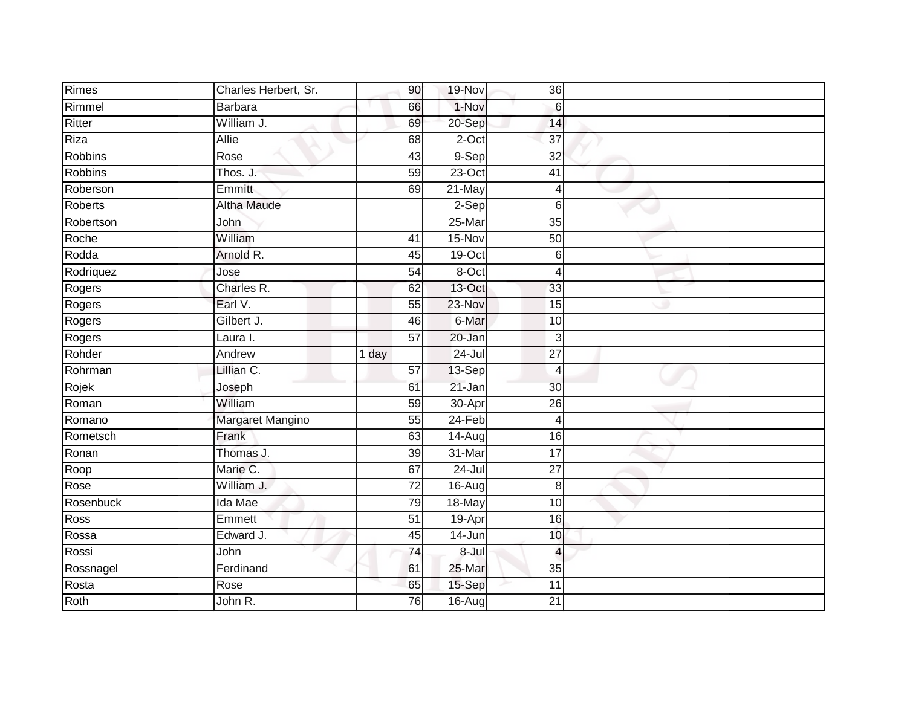| Rimes          | Charles Herbert, Sr. | 90              | 19-Nov           | 36                    |  |
|----------------|----------------------|-----------------|------------------|-----------------------|--|
| Rimmel         | <b>Barbara</b>       | 66              | 1-Nov            | $6\phantom{1}6$       |  |
| Ritter         | William J.           | 69              | 20-Sep           | 14                    |  |
| Riza           | Allie                | 68              | 2-Oct            | 37                    |  |
| <b>Robbins</b> | Rose                 | 43              | $9-Sep$          | $\overline{32}$       |  |
| <b>Robbins</b> | Thos. J.             | 59              | $23$ -Oct        | 41                    |  |
| Roberson       | Emmitt               | 69              | 21-May           | 4                     |  |
| Roberts        | <b>Altha Maude</b>   |                 | $2-Sep$          | 6                     |  |
| Robertson      | John                 |                 | 25-Mar           | 35                    |  |
| Roche          | William              | 41              | 15-Nov           | 50                    |  |
| Rodda          | Arnold R.            | 45              | 19-Oct           | $6\phantom{1}6$       |  |
| Rodriquez      | Jose                 | 54              | 8-Oct            | $\overline{4}$        |  |
| Rogers         | Charles R.           | 62              | 13-Oct           | 33                    |  |
| Rogers         | Earl V.              | 55              | 23-Nov           | 15                    |  |
| Rogers         | Gilbert J.           | 46              | 6-Mar            | $\overline{10}$       |  |
| Rogers         | Laura I.             | 57              | 20-Jan           | 3                     |  |
|                |                      |                 |                  |                       |  |
| Rohder         | Andrew               | 1 day           | $24 -$ Jul       | $\overline{27}$       |  |
| Rohrman        | Lillian C.           | 57              | 13-Sep           | $\overline{4}$        |  |
| Rojek          | Joseph               | 61              | 21-Jan           | 30                    |  |
| Roman          | William              | 59              | 30-Apr           | 26                    |  |
| Romano         | Margaret Mangino     | 55              | $24-Feb$         | $\overline{4}$        |  |
| Rometsch       | Frank                | 63              | $14 - Aug$       | 16                    |  |
| Ronan          | Thomas J.            | 39              | 31-Mar           | 17                    |  |
| Roop           | Marie C.             | 67              | $24 -$ Jul       | $\overline{27}$       |  |
| Rose           | William J.           | 72              | $16 - Aug$       | 8                     |  |
| Rosenbuck      | Ida Mae              | 79              | 18-May           | 10                    |  |
| Ross           | Emmett               | $\overline{51}$ | 19-Apr           | 16                    |  |
| Rossa          | Edward J.            | 45              | 14-Jun           | 10                    |  |
| Rossi          | John                 | 74              | $8 -$ Jul        | $\overline{4}$        |  |
| Rossnagel      | Ferdinand            | 61              | 25-Mar           | 35                    |  |
| Rosta<br>Roth  | Rose<br>John R.      | 65<br>76        | 15-Sep<br>16-Aug | 11<br>$\overline{21}$ |  |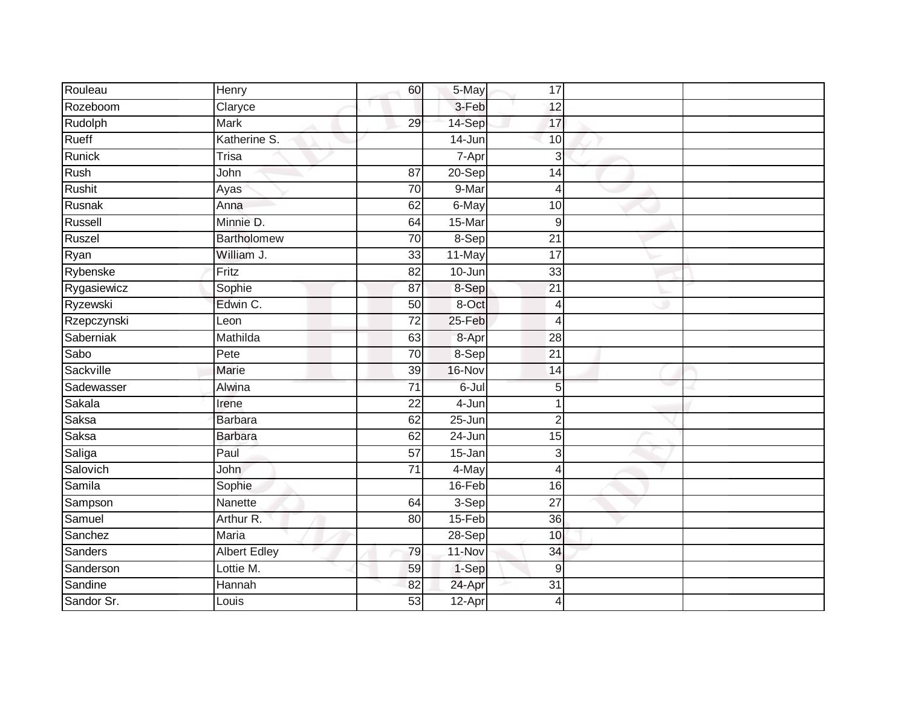| Rouleau     | Henry               | 60              | 5-May      | 17              |  |
|-------------|---------------------|-----------------|------------|-----------------|--|
| Rozeboom    | Claryce             |                 | 3-Feb      | 12              |  |
| Rudolph     | <b>Mark</b>         | 29              | 14-Sep     | 17              |  |
| Rueff       | Katherine S.        |                 | $14 - Jun$ | 10              |  |
| Runick      | <b>Trisa</b>        |                 | 7-Apr      | 3               |  |
| Rush        | John                | 87              | 20-Sep     | 14              |  |
| Rushit      | Ayas                | $\overline{70}$ | 9-Mar      | 4               |  |
| Rusnak      | Anna                | 62              | 6-May      | 10              |  |
| Russell     | Minnie D.           | 64              | 15-Mar     | 9               |  |
| Ruszel      | <b>Bartholomew</b>  | $\overline{70}$ | 8-Sep      | $\overline{21}$ |  |
| Ryan        | William J.          | 33              | 11-May     | 17              |  |
| Rybenske    | Fritz               | 82              | 10-Jun     | 33              |  |
| Rygasiewicz | Sophie              | 87              | 8-Sep      | $\overline{21}$ |  |
| Ryzewski    | Edwin C.            | 50              | 8-Oct      | 4               |  |
| Rzepczynski | Leon                | $\overline{72}$ | 25-Feb     | 4               |  |
| Saberniak   | Mathilda            | 63              | 8-Apr      | 28              |  |
| Sabo        | Pete                | 70              | 8-Sep      | $\overline{21}$ |  |
| Sackville   | Marie               | 39              | 16-Nov     | 14              |  |
| Sadewasser  | Alwina              | 71              | 6-Jul      | 5               |  |
| Sakala      | Irene               | $\overline{22}$ | 4-Jun      |                 |  |
| Saksa       | <b>Barbara</b>      | 62              | 25-Jun     | $\overline{2}$  |  |
| Saksa       | <b>Barbara</b>      | 62              | $24 - Jun$ | $\overline{15}$ |  |
| Saliga      | Paul                | 57              | 15-Jan     | 3               |  |
| Salovich    | <b>John</b>         | $\overline{71}$ | 4-May      | 4               |  |
| Samila      | Sophie              |                 | 16-Feb     | 16              |  |
| Sampson     | Nanette             | 64              | $3-Sep$    | $\overline{27}$ |  |
| Samuel      | Arthur R.           | 80              | 15-Feb     | 36              |  |
| Sanchez     | Maria               |                 | $28-Sep$   | 10              |  |
| Sanders     | <b>Albert Edley</b> | 79              | 11-Nov     | 34              |  |
| Sanderson   | Lottie M.           | 59              | 1-Sep      | 9               |  |
| Sandine     | Hannah              | 82              | 24-Apr     | 31              |  |
| Sandor Sr.  | Louis               | 53              | $12$ -Apr  | 4               |  |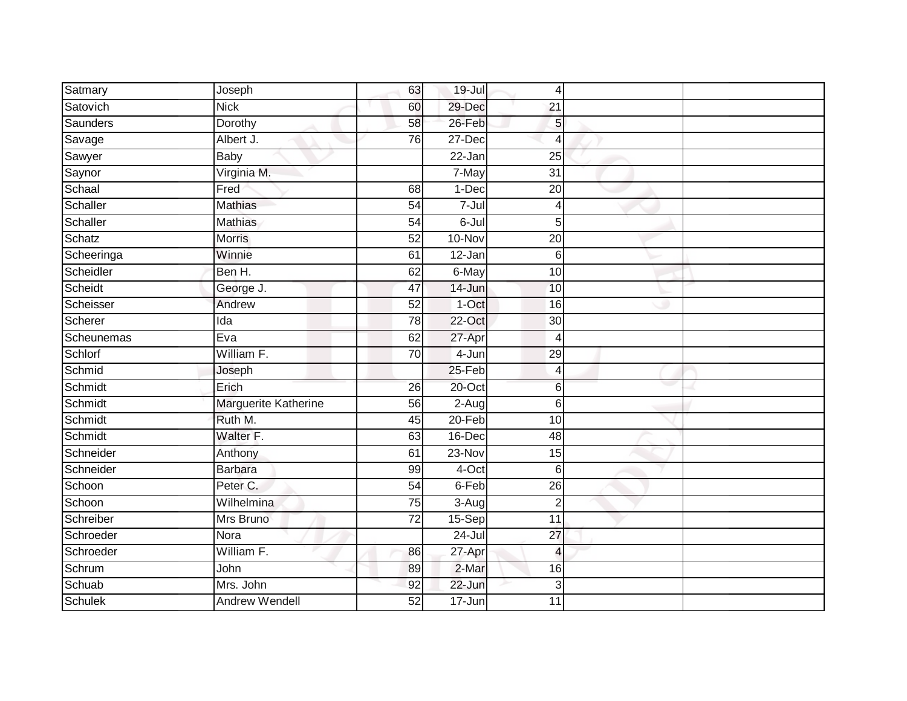| Satmary        | Joseph                | 63              | 19-Jul               | $\overline{4}$  |  |
|----------------|-----------------------|-----------------|----------------------|-----------------|--|
| Satovich       | <b>Nick</b>           | 60              | 29-Dec               | 21              |  |
| Saunders       | Dorothy               | 58              | 26-Feb               | 5               |  |
| Savage         | Albert J.             | 76              | 27-Dec               | $\overline{4}$  |  |
| Sawyer         | <b>Baby</b>           |                 | $22 - Jan$           | $\overline{25}$ |  |
| Saynor         | Virginia M.           |                 | 7-May                | $\overline{31}$ |  |
| Schaal         | Fred                  | 68              | 1-Dec                | $\overline{20}$ |  |
| Schaller       | <b>Mathias</b>        | 54              | $7 -$ Jul            | $\overline{4}$  |  |
| Schaller       | <b>Mathias</b>        | 54              | $6 -$ Jul            | 5               |  |
| Schatz         | Morris                | 52              | 10-Nov               | $\overline{20}$ |  |
| Scheeringa     | Winnie                | 61              | $\overline{12}$ -Jan | $6\phantom{1}6$ |  |
| Scheidler      | Ben H.                | 62              | 6-May                | 10              |  |
| Scheidt        | George J.             | 47              | 14-Jun               | 10              |  |
| Scheisser      | Andrew                | 52              | $1-Oct$              | 16              |  |
| Scherer        | Ida                   | 78              | $22$ -Oct            | $\overline{30}$ |  |
| Scheunemas     | Eva                   | 62              | 27-Apr               | 4               |  |
| Schlorf        | William F.            | 70              | 4-Jun                | 29              |  |
| Schmid         | Joseph                |                 | 25-Feb               | $\overline{4}$  |  |
| Schmidt        | Erich                 | 26              | 20-Oct               | $6\phantom{1}6$ |  |
| Schmidt        | Marguerite Katherine  | 56              | $2-Aug$              | 6               |  |
| Schmidt        | Ruth M.               | 45              | $20 - Feb$           | 10              |  |
| Schmidt        | Walter F.             | 63              | 16-Dec               | $\overline{48}$ |  |
| Schneider      | Anthony               | 61              | 23-Nov               | 15              |  |
| Schneider      | <b>Barbara</b>        | 99              | 4-Oct                | $6 \,$          |  |
| Schoon         | Peter C.              | 54              | 6-Feb                | 26              |  |
| Schoon         | Wilhelmina            | 75              | $3-Aug$              | $\overline{2}$  |  |
| Schreiber      | Mrs Bruno             | $\overline{72}$ | $15-Sep$             | $\overline{11}$ |  |
| Schroeder      | Nora                  |                 | 24-Jul               | 27              |  |
| Schroeder      | William F.            | 86              | $27$ -Apr            | $\overline{4}$  |  |
| Schrum         | John                  | 89              | $2-Mar$              | 16              |  |
| Schuab         | Mrs. John             | 92              | 22-Jun               | 3               |  |
| <b>Schulek</b> | <b>Andrew Wendell</b> | $\overline{52}$ | $17 - Jun$           | 11              |  |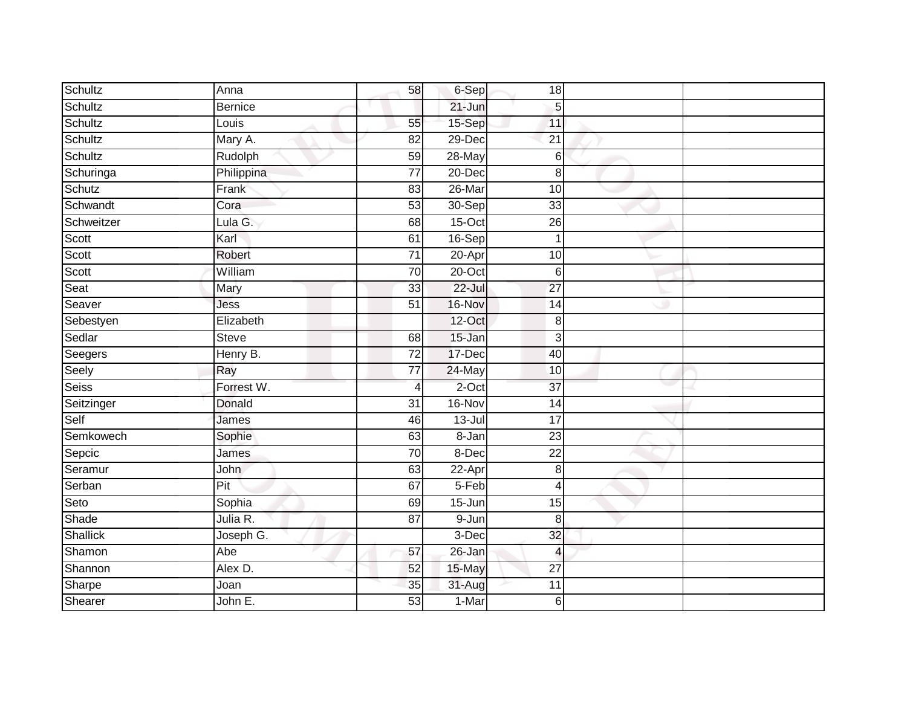| Schultz      | Anna           | 58              | 6-Sep      | 18               |  |
|--------------|----------------|-----------------|------------|------------------|--|
| Schultz      | <b>Bernice</b> |                 | 21-Jun     | 5                |  |
| Schultz      | Louis          | 55              | 15-Sep     | 11               |  |
| Schultz      | Mary A.        | 82              | 29-Dec     | $\overline{21}$  |  |
| Schultz      | Rudolph        | 59              | $28 - May$ | 6                |  |
| Schuringa    | Philippina     | $\overline{77}$ | $20 - Dec$ | $\boldsymbol{8}$ |  |
| Schutz       | Frank          | 83              | 26-Mar     | 10               |  |
| Schwandt     | Cora           | 53              | 30-Sep     | 33               |  |
| Schweitzer   | Lula G.        | 68              | $15$ -Oct  | 26               |  |
| Scott        | Karl           | 61              | 16-Sep     |                  |  |
| Scott        | Robert         | $\overline{71}$ | $20 -$ Apr | 10               |  |
| Scott        | William        | 70              | 20-Oct     | $6\,$            |  |
| Seat         | Mary           | 33              | $22 -$ Jul | $\overline{27}$  |  |
| Seaver       | Jess           | 51              | 16-Nov     | 14               |  |
| Sebestyen    | Elizabeth      |                 | 12-Oct     | 8                |  |
| Sedlar       | <b>Steve</b>   | 68              | 15-Jan     | $\mathbf{3}$     |  |
| Seegers      | Henry B.       | $\overline{72}$ | 17-Dec     | 40               |  |
| Seely        | Ray            | 77              | 24-May     | 10               |  |
| <b>Seiss</b> | Forrest W.     | $\overline{4}$  | $2$ -Oct   | 37               |  |
| Seitzinger   | Donald         | $\overline{31}$ | 16-Nov     | 14               |  |
| Self         | James          | 46              | $13$ -Jul  | 17               |  |
| Semkowech    | Sophie         | 63              | $8 - Jan$  | $\overline{23}$  |  |
| Sepcic       | James          | 70              | 8-Dec      | 22               |  |
| Seramur      | <b>John</b>    | 63              | 22-Apr     | 8                |  |
| Serban       | Pit            | 67              | 5-Feb      | 4                |  |
| Seto         | Sophia         | 69              | 15-Jun     | $\overline{15}$  |  |
| Shade        | Julia R.       | $\overline{87}$ | 9-Jun      | $\boldsymbol{8}$ |  |
| Shallick     | Joseph G.      |                 | 3-Dec      | 32               |  |
| Shamon       | Abe            | 57              | 26-Jan     | $\overline{4}$   |  |
| Shannon      | Alex D.        | 52              | 15-May     | $\overline{27}$  |  |
| Sharpe       | Joan           | 35              | 31-Aug     | 11               |  |
| Shearer      | John E.        | 53              | 1-Mar      | 6                |  |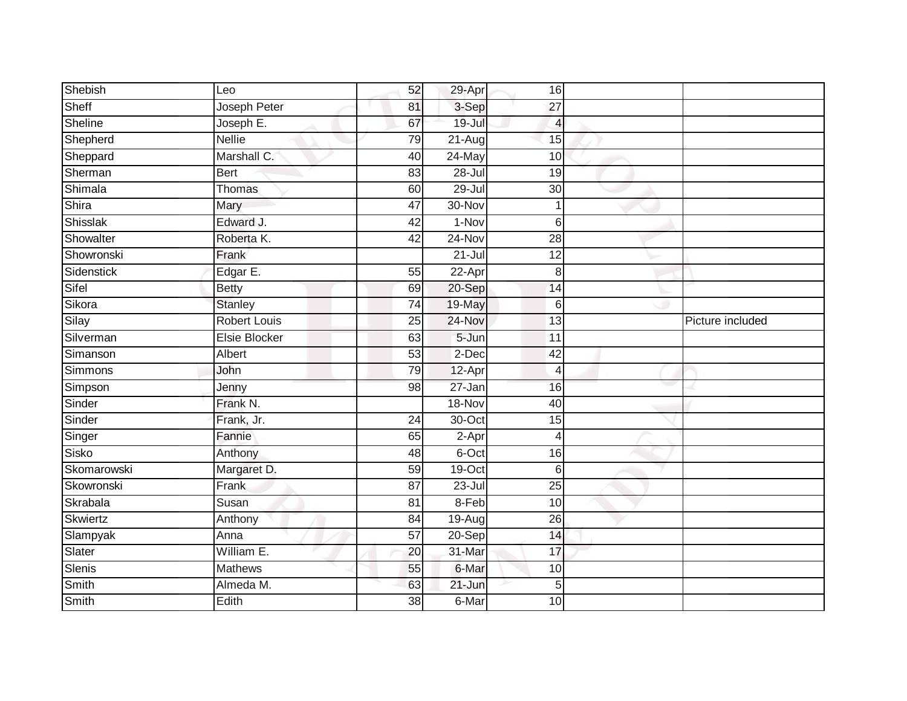| Shebish     | Leo                  | 52              | 29-Apr     | 16              |                  |
|-------------|----------------------|-----------------|------------|-----------------|------------------|
| Sheff       | Joseph Peter         | 81              | 3-Sep      | 27              |                  |
| Sheline     | Joseph E.            | 67              | $19 -$ Jul | $\overline{4}$  |                  |
| Shepherd    | <b>Nellie</b>        | 79              | 21-Aug     | 15              |                  |
| Sheppard    | Marshall C.          | 40              | 24-May     | 10              |                  |
| Sherman     | <b>Bert</b>          | 83              | $28 -$ Jul | 19              |                  |
| Shimala     | Thomas               | 60              | 29-Jul     | 30              |                  |
| Shira       | Mary                 | $\overline{47}$ | 30-Nov     |                 |                  |
| Shisslak    | Edward J.            | 42              | 1-Nov      | 6               |                  |
| Showalter   | Roberta K.           | $\overline{42}$ | $24-Nov$   | $\overline{28}$ |                  |
| Showronski  | Frank                |                 | $21 -$ Jul | 12              |                  |
| Sidenstick  | Edgar E.             | 55              | 22-Apr     | 8               |                  |
| Sifel       | <b>Betty</b>         | 69              | 20-Sep     | 14              |                  |
| Sikora      | <b>Stanley</b>       | $\overline{74}$ | 19-May     | 6               |                  |
| Silay       | <b>Robert Louis</b>  | 25              | 24-Nov     | 13              | Picture included |
| Silverman   | <b>Elsie Blocker</b> | 63              | $5 - Jun$  | 11              |                  |
| Simanson    | Albert               | 53              | 2-Dec      | 42              |                  |
| Simmons     | John                 | 79              | 12-Apr     | Δ               |                  |
| Simpson     | Jenny                | 98              | 27-Jan     | 16              |                  |
| Sinder      | Frank N.             |                 | 18-Nov     | 40              |                  |
| Sinder      | Frank, Jr.           | 24              | 30-Oct     | 15              |                  |
| Singer      | Fannie               | 65              | $2-Apr$    | 4               |                  |
| Sisko       | Anthony              | 48              | 6-Oct      | 16              |                  |
| Skomarowski | Margaret D.          | 59              | 19-Oct     | 6               |                  |
| Skowronski  | Frank                | 87              | 23-Jul     | $\overline{25}$ |                  |
| Skrabala    | Susan                | $\overline{81}$ | 8-Feb      | 10              |                  |
| Skwiertz    | Anthony              | $\overline{84}$ | 19-Aug     | 26              |                  |
| Slampyak    | Anna                 | 57              | 20-Sep     | 14              |                  |
| Slater      | William E.           | 20              | 31-Mar     | 17              |                  |
| Slenis      | <b>Mathews</b>       | 55              | 6-Mar      | 10              |                  |
| Smith       | Almeda M.            | 63              | 21-Jun     | 5               |                  |
| Smith       | Edith                | 38              | 6-Mar      | 10              |                  |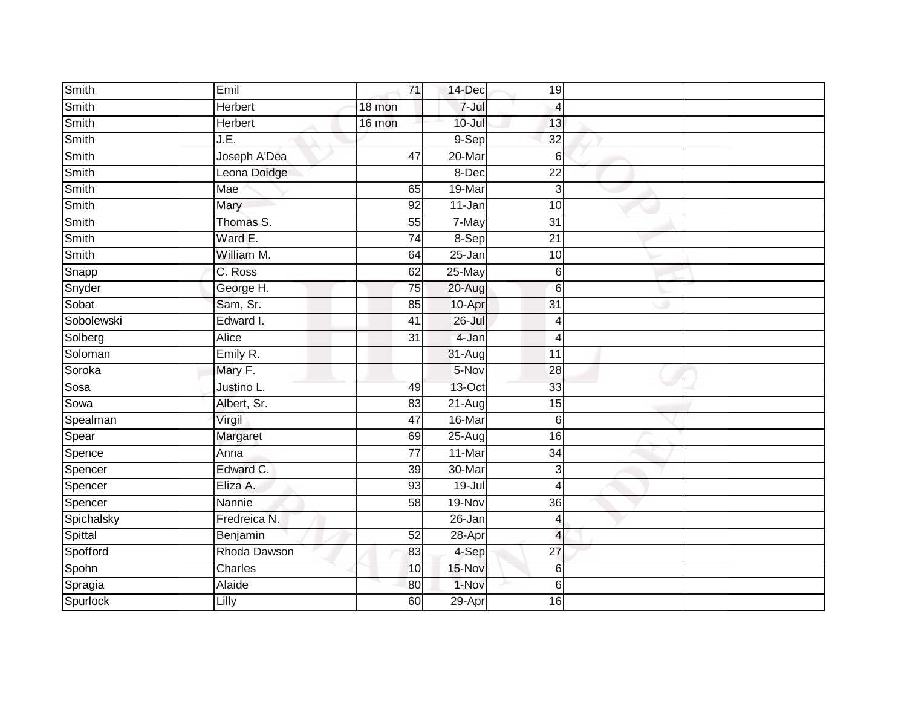| Smith      | Emil         | 71              | 14-Dec     | 19                      |  |
|------------|--------------|-----------------|------------|-------------------------|--|
| Smith      | Herbert      | 18 mon          | 7-Jul      | 4                       |  |
| Smith      | Herbert      | 16 mon          | $10 -$ Jul | 13                      |  |
| Smith      | J.E.         |                 | $9-$ Sep   | $\overline{32}$         |  |
| Smith      | Joseph A'Dea | 47              | $20$ -Mar  | 6                       |  |
| Smith      | Leona Doidge |                 | 8-Dec      | 22                      |  |
| Smith      | Mae          | 65              | 19-Mar     | 3                       |  |
| Smith      | Mary         | 92              | 11-Jan     | 10                      |  |
| Smith      | Thomas S.    | 55              | 7-May      | 31                      |  |
| Smith      | Ward E.      | 74              | 8-Sep      | $\overline{21}$         |  |
| Smith      | William M.   | 64              | 25-Jan     | 10                      |  |
| Snapp      | C. Ross      | 62              | 25-May     | $6 \,$                  |  |
| Snyder     | George H.    | 75              | $20 - Aug$ | 6                       |  |
| Sobat      | Sam, Sr.     | 85              | 10-Apr     | 31                      |  |
| Sobolewski | Edward I.    | $\overline{41}$ | $26 -$ Jul | 4                       |  |
| Solberg    | Alice        | 31              | 4-Jan      | 4                       |  |
| Soloman    | Emily R.     |                 | 31-Aug     | $\overline{11}$         |  |
| Soroka     | Mary F.      |                 | 5-Nov      | 28                      |  |
| Sosa       | Justino L.   | 49              | $13-Oct$   | 33                      |  |
| Sowa       | Albert, Sr.  | 83              | 21-Aug     | $\overline{15}$         |  |
| Spealman   | Virgil       | 47              | 16-Mar     | 6                       |  |
| Spear      | Margaret     | 69              | $25 - Aug$ | 16                      |  |
| Spence     | Anna         | 77              | $11-Mar$   | 34                      |  |
| Spencer    | Edward C.    | 39              | 30-Mar     | 3                       |  |
| Spencer    | Eliza A.     | 93              | 19-Jul     | 4                       |  |
| Spencer    | Nannie       | $\overline{58}$ | 19-Nov     | $\overline{36}$         |  |
| Spichalsky | Fredreica N. |                 | 26-Jan     | 4                       |  |
| Spittal    | Benjamin     | 52              | 28-Apr     | $\overline{\mathbf{A}}$ |  |
| Spofford   | Rhoda Dawson | 83              | 4-Sep      | 27                      |  |
| Spohn      | Charles      | 10              | 15-Nov     | 6                       |  |
| Spragia    | Alaide       | 80              | 1-Nov      | 6                       |  |
| Spurlock   | Lilly        | 60              | 29-Apr     | 16                      |  |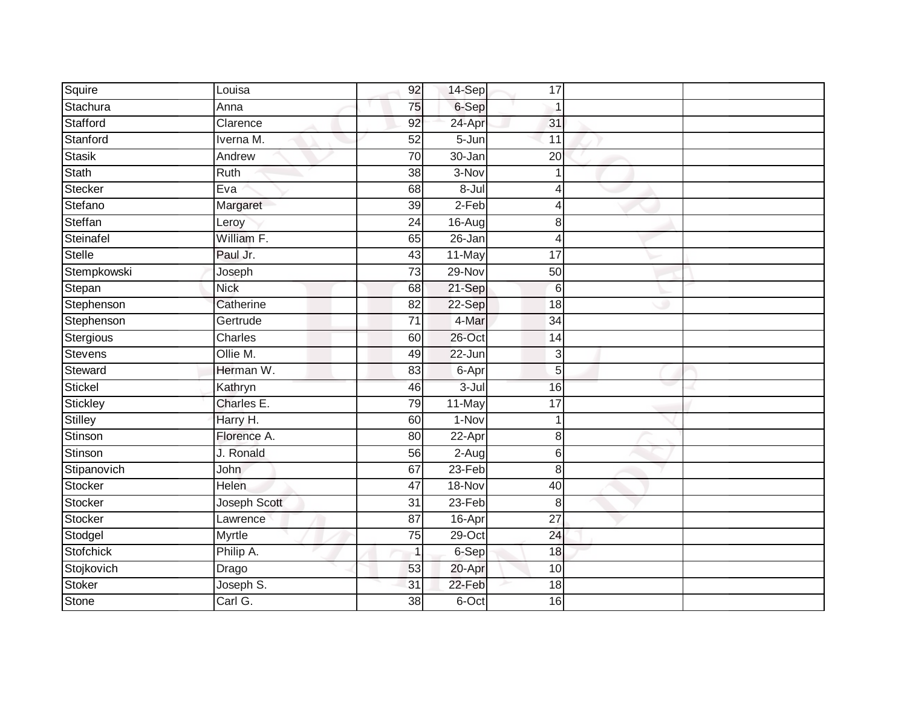| Squire         | Louisa       | 92              | 14-Sep     | 17              |  |
|----------------|--------------|-----------------|------------|-----------------|--|
| Stachura       | Anna         | 75              | 6-Sep      |                 |  |
| Stafford       | Clarence     | 92              | 24-Apr     | 31              |  |
| Stanford       | Iverna M.    | 52              | $5 - Jun$  | 11              |  |
| <b>Stasik</b>  | Andrew       | $\overline{70}$ | $30 - Jan$ | 20              |  |
| Stath          | Ruth         | 38              | $3-Nov$    |                 |  |
| Stecker        | Eva          | 68              | $8 -$ Jul  |                 |  |
| Stefano        | Margaret     | 39              | 2-Feb      | Δ               |  |
| Steffan        | Leroy        | 24              | 16-Aug     | 8               |  |
| Steinafel      | William F.   | 65              | $26 - Jan$ | Δ               |  |
| Stelle         | Paul Jr.     | 43              | 11-May     | 17              |  |
| Stempkowski    | Joseph       | $\overline{73}$ | 29-Nov     | 50              |  |
| Stepan         | <b>Nick</b>  | 68              | 21-Sep     | 6               |  |
| Stephenson     | Catherine    | 82              | 22-Sep     | 18              |  |
| Stephenson     | Gertrude     | $\overline{71}$ | 4-Mar      | $\overline{34}$ |  |
| Stergious      | Charles      | 60              | 26-Oct     | 14              |  |
| Stevens        | Ollie M.     | 49              | $22 - Jun$ | 3               |  |
| Steward        | Herman W.    | 83              | 6-Apr      | 5               |  |
| <b>Stickel</b> | Kathryn      | 46              | $3 -$ Jul  | 16              |  |
| Stickley       | Charles E.   | 79              | 11-May     | $\overline{17}$ |  |
| <b>Stilley</b> | Harry H.     | 60              | 1-Nov      |                 |  |
| Stinson        | Florence A.  | 80              | $22-Apr$   | 8               |  |
| Stinson        | J. Ronald    | 56              | $2-Aug$    | 6               |  |
| Stipanovich    | <b>John</b>  | 67              | $23-Feb$   | 8               |  |
| Stocker        | Helen        | 47              | 18-Nov     | 40              |  |
| Stocker        | Joseph Scott | $\overline{31}$ | 23-Feb     | $\,8\,$         |  |
| Stocker        | Lawrence     | $\overline{87}$ | $16 - Apr$ | $\overline{27}$ |  |
| Stodgel        | Myrtle       | 75              | 29-Oct     | 24              |  |
| Stofchick      | Philip A.    | $\mathbf{1}$    | 6-Sep      | 18              |  |
| Stojkovich     | Drago        | 53              | 20-Apr     | 10              |  |
| <b>Stoker</b>  | Joseph S.    | 31              | 22-Feb     | 18              |  |
| Stone          | Carl G.      | 38              | 6-Oct      | 16              |  |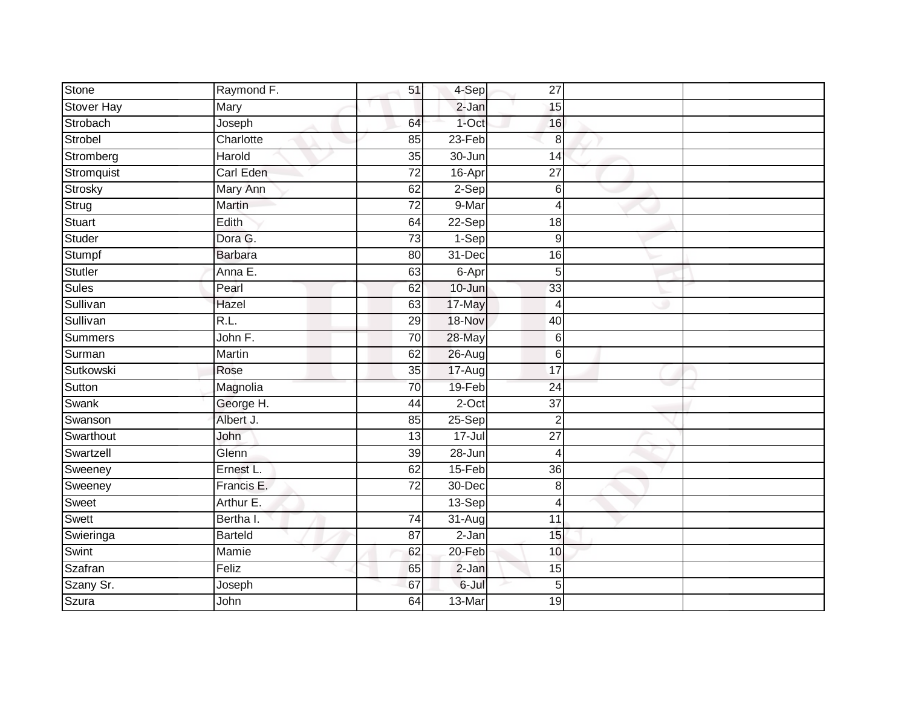| Stone             | Raymond F.     | 51              | $4-Sep$    | 27               |  |
|-------------------|----------------|-----------------|------------|------------------|--|
| <b>Stover Hay</b> | Mary           |                 | 2-Jan      | 15               |  |
| Strobach          | Joseph         | 64              | $1$ -Oct   | 16               |  |
| Strobel           | Charlotte      | 85              | 23-Feb     | 8                |  |
| Stromberg         | Harold         | $\overline{35}$ | $30 - Jun$ | $\overline{14}$  |  |
| Stromquist        | Carl Eden      | 72              | 16-Apr     | 27               |  |
| Strosky           | Mary Ann       | 62              | $2-Sep$    | 6                |  |
| Strug             | Martin         | 72              | 9-Mar      | 4                |  |
| Stuart            | Edith          | 64              | 22-Sep     | 18               |  |
| Studer            | Dora G.        | $\overline{73}$ | $1-Sep$    | $\overline{9}$   |  |
| Stumpf            | <b>Barbara</b> | 80              | 31-Dec     | 16               |  |
| Stutler           | Anna E.        | 63              | 6-Apr      | $5\overline{)}$  |  |
| <b>Sules</b>      | Pearl          | 62              | 10-Jun     | 33               |  |
| Sullivan          | Hazel          | 63              | 17-May     | $\overline{4}$   |  |
| Sullivan          | R.L.           | 29              | 18-Nov     | 40               |  |
| Summers           | John F.        | $\overline{70}$ | 28-May     | $\,6$            |  |
| Surman            | Martin         | 62              | 26-Aug     | $6 \overline{6}$ |  |
| Sutkowski         | Rose           | $\overline{35}$ | 17-Augl    | $\overline{17}$  |  |
| Sutton            | Magnolia       | 70              | 19-Feb     | 24               |  |
| Swank             | George H.      | 44              | $2$ -Oct   | $\overline{37}$  |  |
| Swanson           | Albert J.      | 85              | $25-Sep$   | $\overline{2}$   |  |
| Swarthout         | John           | $\overline{13}$ | $17 -$ Jul | $\overline{27}$  |  |
| Swartzell         | Glenn          | 39              | 28-Jun     | $\overline{4}$   |  |
| Sweeney           | Ernest L.      | 62              | $15-Feb$   | 36               |  |
| Sweeney           | Francis E.     | $\overline{72}$ | 30-Dec     | 8                |  |
| Sweet             | Arthur E.      |                 | $13-Sep$   | $\overline{4}$   |  |
| Swett             | Bertha I.      | 74              | $31 - Aug$ | 11               |  |
| Swieringa         | <b>Barteld</b> | 87              | 2-Jan      | 15               |  |
| Swint             | Mamie          | 62              | 20-Feb     | 10               |  |
| Szafran           | Feliz          | 65              | $2-Jan$    | 15               |  |
| Szany Sr.         | Joseph         | 67              | 6-Jul      | 5                |  |
| Szura             | John           | 64              | 13-Mar     | 19               |  |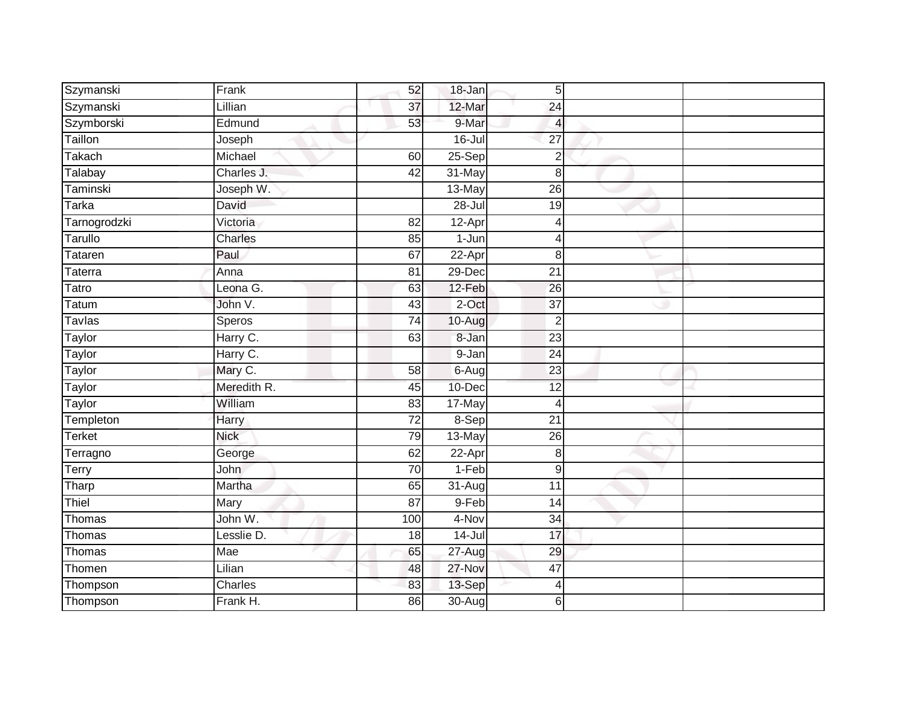| Szymanski     | Frank       | 52              | 18-Jan               | 5 <sup>1</sup>  |  |
|---------------|-------------|-----------------|----------------------|-----------------|--|
| Szymanski     | Lillian     | 37              | 12-Mar               | 24              |  |
| Szymborski    | Edmund      | 53              | 9-Mar                | 4               |  |
| Taillon       | Joseph      |                 | $16 -$ Jul           | 27              |  |
| <b>Takach</b> | Michael     | 60              | $25-Sep$             | $\overline{2}$  |  |
| Talabay       | Charles J.  | 42              | 31-May               | $\bf{8}$        |  |
| Taminski      | Joseph W.   |                 | 13-May               | $\overline{26}$ |  |
| <b>Tarka</b>  | David       |                 | $28 -$ Jul           | 19              |  |
| Tarnogrodzki  | Victoria    | 82              | 12-Apr               | $\overline{4}$  |  |
| Tarullo       | Charles     | 85              | 1-Jun                | 4               |  |
| Tataren       | Paul        | 67              | 22-Apr               | 8               |  |
| Taterra       | Anna        | 81              | 29-Dec               | 21              |  |
| Tatro         | Leona G.    | 63              | 12-Feb               | 26              |  |
| Tatum         | John V.     | 43              | $2$ -Oct             | 37              |  |
| Tavlas        | Speros      | $\overline{74}$ | 10-Aug               | $\overline{2}$  |  |
| Taylor        | Harry C.    | 63              | 8-Jan                | 23              |  |
| Taylor        | Harry C.    |                 | $9 - Jan$            | $\overline{24}$ |  |
| Taylor        | Mary C.     | $\overline{58}$ | $6 - Aug$            | 23              |  |
| Taylor        | Meredith R. | 45              | 10-Dec               | 12              |  |
| <b>Taylor</b> | William     | $\overline{83}$ | 17-May               | $\overline{4}$  |  |
| Templeton     | Harry       | $\overline{72}$ | 8-Sep                | $\overline{21}$ |  |
| <b>Terket</b> | <b>Nick</b> | 79              | $13-May$             | 26              |  |
| Terragno      | George      | 62              | 22-Apr               | 8               |  |
| Terry         | <b>John</b> | 70              | $1-Feb$              | $9\,$           |  |
| Tharp         | Martha      | 65              | $\overline{3}$ 1-Aug | 11              |  |
| Thiel         | Mary        | 87              | $9-Feb$              | 14              |  |
| Thomas        | John W.     | 100             | 4-Nov                | $\overline{34}$ |  |
| Thomas        | Lesslie D.  | 18              | $14 -$ Jul           | 17              |  |
| Thomas        | Mae         | 65              | 27-Aug               | 29              |  |
| Thomen        | Lilian      | 48              | 27-Nov               | 47              |  |
| Thompson      | Charles     | 83              | 13-Sep               | 4               |  |
| Thompson      | Frank H.    | 86              | 30-Aug               | 6               |  |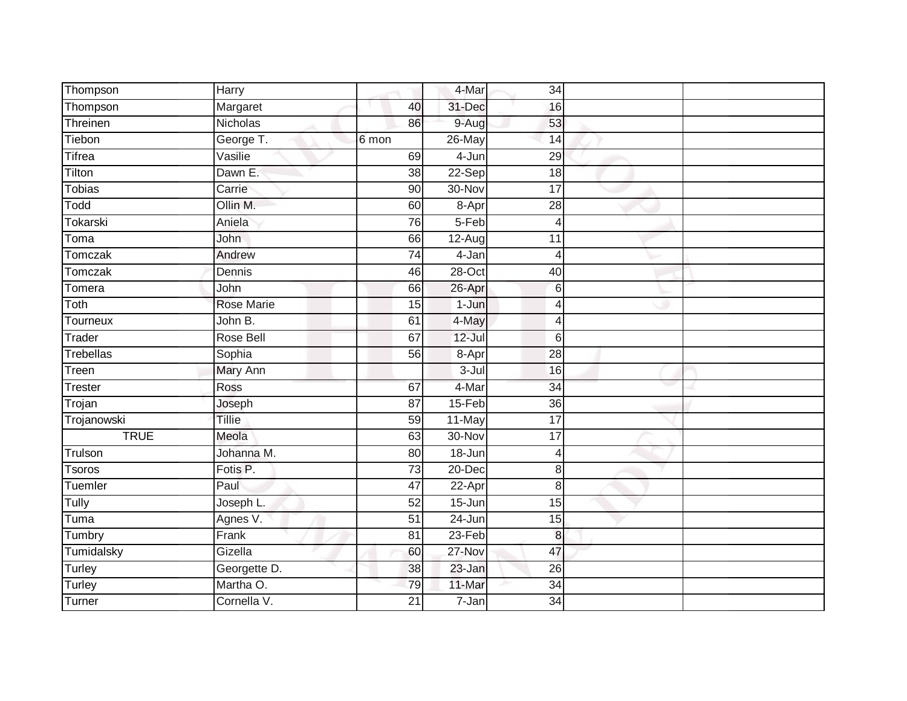| Thompson            | Harry             |                 | 4-Mar      | 34              |  |
|---------------------|-------------------|-----------------|------------|-----------------|--|
| Thompson            | Margaret          | 40              | 31-Dec     | 16              |  |
| Threinen            | Nicholas          | 86              | 9-Aug      | 53              |  |
| Tiebon              | George T.         | 6 mon           | 26-May     | 14              |  |
| <b>Tifrea</b>       | Vasilie           | 69              | 4-Jun      | 29              |  |
| Tilton              | Dawn E.           | $\overline{38}$ | $22-Sep$   | 18              |  |
| Tobias              | Carrie            | 90              | 30-Nov     | 17              |  |
| Todd                | Ollin M.          | 60              | 8-Apr      | 28              |  |
| Tokarski            | Aniela            | 76              | 5-Feb      | 4               |  |
| Toma                | John              | 66              | $12-Aug$   | 11              |  |
| Tomczak             | Andrew            | 74              | 4-Jan      | $\overline{4}$  |  |
| Tomczak             | Dennis            | 46              | 28-Oct     | 40              |  |
| Tomera              | John              | 66              | 26-Apr     | $6\phantom{1}6$ |  |
| Toth                | <b>Rose Marie</b> | 15              | $1-Jun$    | 4               |  |
| Tourneux            | John B.           | 61              | 4-May      | $\overline{4}$  |  |
| Trader              | Rose Bell         | 67              | $12 -$ Jul | 6               |  |
| <b>Trebellas</b>    | Sophia            | 56              | 8-Apr      | $\overline{28}$ |  |
| Treen               | Mary Ann          |                 | $3 -$ Jul  | 16              |  |
| <b>Trester</b>      | Ross              | 67              | 4-Mar      | 34              |  |
| Trojan              | Joseph            | $\overline{87}$ | $15-Feb$   | $\overline{36}$ |  |
| Trojanowski         | Tillie            | 59              | 11-May     | $\overline{17}$ |  |
| <b>TRUE</b>         | Meola             | 63              | 30-Nov     | 17              |  |
| Trulson             | Johanna M.        | $\overline{80}$ | $18 - Jun$ | $\overline{4}$  |  |
| <b>Tsoros</b>       | Fotis P.          | $\overline{73}$ | $20 - Dec$ | 8               |  |
| Tuemler             | Paul              | 47              | 22-Apr     | 8               |  |
| $\overline{T}$ ully | Joseph L.         | 52              | 15-Jun     | 15              |  |
| Tuma                | Agnes V.          | $\overline{51}$ | 24-Jun     | 15              |  |
| Tumbry              | Frank             | 81              | 23-Feb     | 8               |  |
| Tumidalsky          | Gizella           | 60              | 27-Nov     | 47              |  |
| Turley              | Georgette D.      | 38              | 23-Jan     | 26              |  |
| Turley              | Martha O.         | 79              | 11-Mar     | 34              |  |
| Turner              | Cornella V.       | $\overline{21}$ | $7 - Jan$  | $\overline{34}$ |  |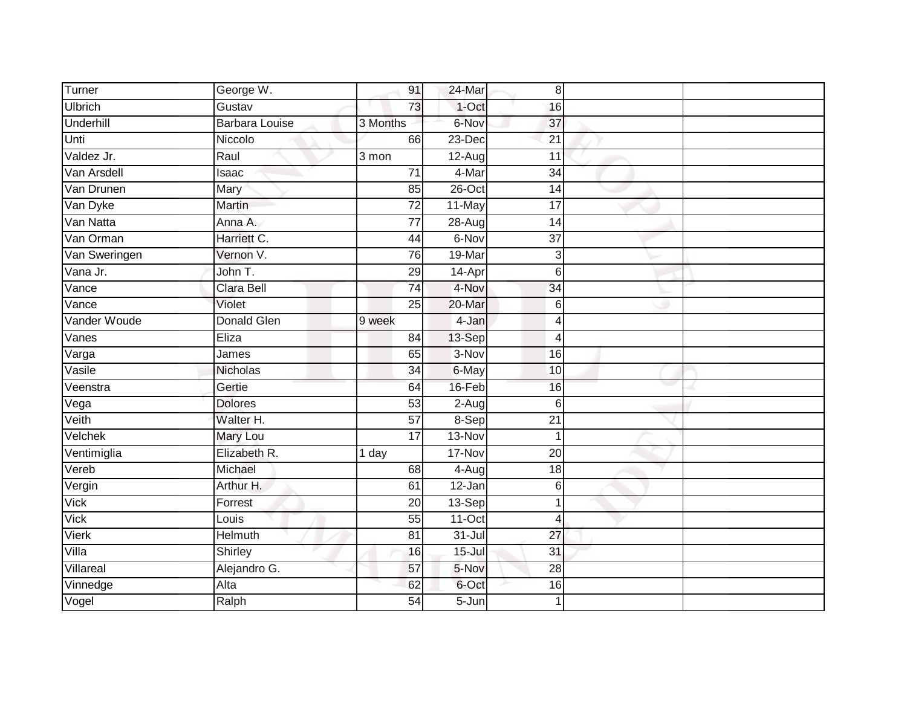| Turner                       | George W.             | 91              | 24-Mar     | 8               |  |
|------------------------------|-----------------------|-----------------|------------|-----------------|--|
| <b>Ulbrich</b>               | Gustav                | 73              | $1-Oct$    | 16              |  |
| Underhill                    | <b>Barbara Louise</b> | 3 Months        | 6-Nov      | 37              |  |
| Unti                         | Niccolo               | 66              | 23-Dec     | 21              |  |
| Valdez Jr.                   | Raul                  | 3 mon           | 12-Aug     | 11              |  |
| Van Arsdell                  | Isaac                 | $\overline{71}$ | 4-Mar      | 34              |  |
| Van Drunen                   | Mary                  | 85              | 26-Oct     | 14              |  |
| Van Dyke                     | Martin                | 72              | 11-May     | 17              |  |
| Van Natta                    | Anna A.               | 77              | 28-Aug     | 14              |  |
| Van Orman                    | Harriett C.           | 44              | 6-Nov      | $\overline{37}$ |  |
| Van Sweringen                | Vernon V.             | 76              | 19-Mar     | 3               |  |
| Vana Jr.                     | John T.               | 29              | 14-Apr     | 6               |  |
| Vance                        | Clara Bell            | $\overline{74}$ | 4-Nov      | 34              |  |
| Vance                        | Violet                | 25              | 20-Mar     | 6               |  |
| Vander Woude                 | <b>Donald Glen</b>    | 9 week          | 4-Jan      | $\overline{4}$  |  |
| Vanes                        | Eliza                 | 84              | 13-Sep     | $\overline{4}$  |  |
| $\overline{\mathsf{V}}$ arga | James                 | 65              | 3-Nov      | 16              |  |
| Vasile                       | Nicholas              | 34              | 6-May      | 10              |  |
| Veenstra                     | Gertie                | 64              | 16-Feb     | 16              |  |
| Vega                         | <b>Dolores</b>        | $\overline{53}$ | $2-Aug$    | $6\phantom{1}6$ |  |
| Veith                        | Walter H.             | 57              | 8-Sep      | 21              |  |
| Velchek                      | <b>Mary Lou</b>       | $\overline{17}$ | 13-Nov     | $\mathbf 1$     |  |
| Ventimiglia                  | Elizabeth R.          | 1 day           | 17-Nov     | 20              |  |
| Vereb                        | Michael               | 68              | 4-Aug      | $\overline{18}$ |  |
| Vergin                       | Arthur H.             | 61              | 12-Jan     | 6               |  |
| <b>Vick</b>                  | Forrest               | 20              | 13-Sep     | 1               |  |
| <b>Vick</b>                  | Louis                 | $\overline{55}$ | $11-Oct$   | $\overline{4}$  |  |
| Vierk                        | Helmuth               | 81              | $31 -$ Jul | 27              |  |
| Villa                        | Shirley               | 16              | $15 -$ Jul | 31              |  |
| Villareal                    | Alejandro G.          | 57              | 5-Nov      | 28              |  |
| Vinnedge                     | Alta                  | 62              | 6-Oct      | 16              |  |
| Vogel                        | Ralph                 | $\overline{54}$ | $5 - Jun$  | 1               |  |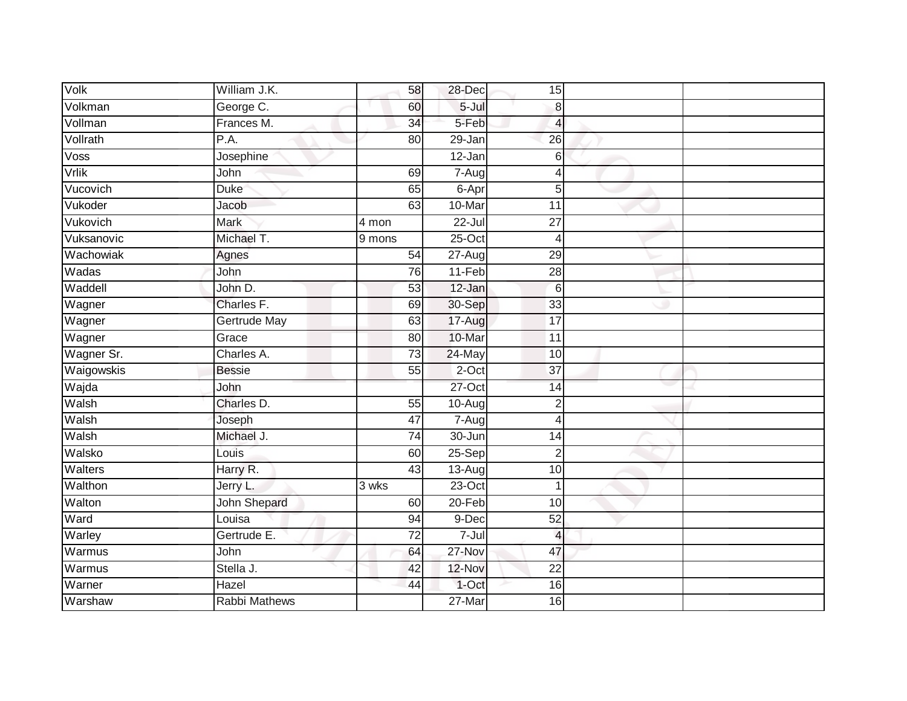| Volk       | William J.K.        | 58              | 28-Dec                 | 15              |  |
|------------|---------------------|-----------------|------------------------|-----------------|--|
| Volkman    | George C.           | 60              | $5 -$ Jul              | 8               |  |
| Vollman    | Frances M.          | $\overline{34}$ | 5-Feb                  | $\overline{4}$  |  |
| Vollrath   | P.A.                | 80              | 29-Jan                 | 26              |  |
| Voss       | Josephine           |                 | $12 - Jan$             | 6               |  |
| Vrlik      | John                | 69              | $7 - \text{Aug}$       | $\overline{4}$  |  |
| Vucovich   | <b>Duke</b>         | 65              | 6-Apr                  | 5               |  |
| Vukoder    | Jacob               | 63              | 10-Mar                 | $\overline{11}$ |  |
| Vukovich   | <b>Mark</b>         | 4 mon           | $22 -$ Jul             | $\overline{27}$ |  |
| Vuksanovic | Michael T.          | 9 mons          | $25$ -Oct              | $\overline{4}$  |  |
| Wachowiak  | Agnes               | 54              | 27-Aug                 | 29              |  |
| Wadas      | John                | 76              | $11-Feb$               | 28              |  |
| Waddell    | John D.             | 53              | 12-Jan                 | $6\phantom{1}6$ |  |
| Wagner     | Charles F.          | 69              | 30-Sep                 | 33              |  |
| Wagner     | <b>Gertrude May</b> | 63              | 17-Aug                 | $\overline{17}$ |  |
| Wagner     | Grace               | 80              | 10-Mar                 | 11              |  |
| Wagner Sr. | Charles A.          | $\overline{73}$ | 24-May                 | 10              |  |
| Waigowskis | <b>Bessie</b>       | 55              | 2-Oct                  | $\overline{37}$ |  |
| Wajda      | John                |                 | $27$ -Oct              | 14              |  |
| Walsh      | Charles D.          | $\overline{55}$ | 10-Aug                 | $\overline{2}$  |  |
| Walsh      | Joseph              | 47              | $7 - \overline{A}$ ugl | $\overline{4}$  |  |
| Walsh      | Michael J.          | 74              | $30 - Jun$             | 14              |  |
| Walsko     | Louis               | 60              | 25-Sep                 | $\overline{2}$  |  |
| Walters    | Harry R.            | 43              | $13-Auq$               | 10              |  |
| Walthon    | Jerry L.            | 3 wks           | 23-Oct                 |                 |  |
| Walton     | John Shepard        | 60              | $20 - Feb$             | 10              |  |
| Ward       | Louisa              | 94              | 9-Dec                  | 52              |  |
| Warley     | Gertrude E.         | $\overline{72}$ | $7 -$ Jul              | $\overline{4}$  |  |
| Warmus     | John                | 64              | 27-Nov                 | 47              |  |
| Warmus     | Stella J.           | 42              | 12-Nov                 | $\overline{22}$ |  |
| Warner     | Hazel               | 44              | 1-Oct                  | 16              |  |
| Warshaw    | Rabbi Mathews       |                 | $27$ -Mar              | 16              |  |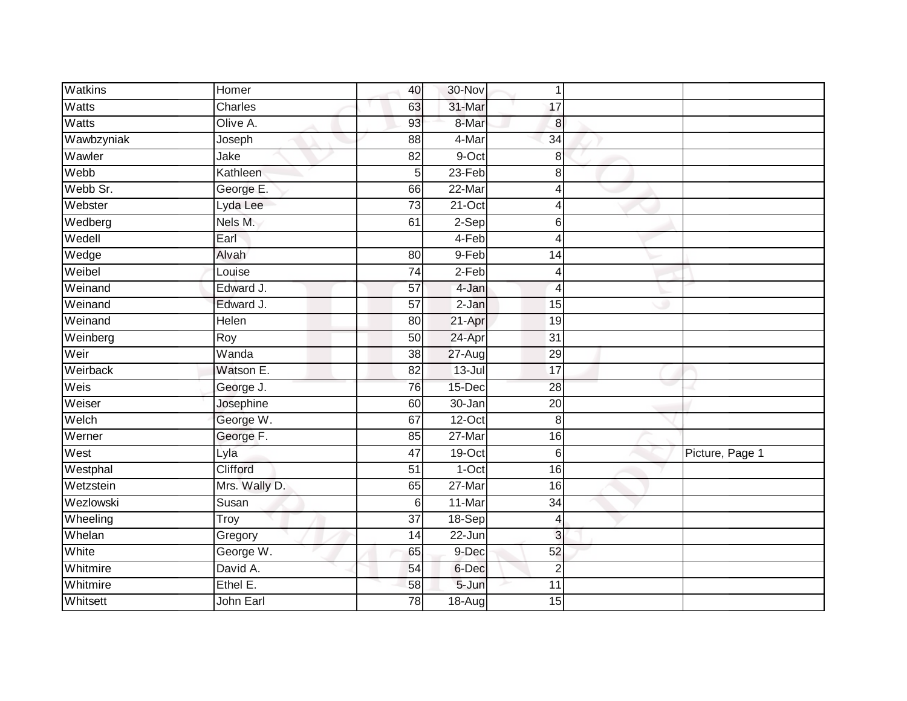| <b>Watkins</b> | Homer          | 40              | 30-Nov     | $\mathbf 1$     |                 |
|----------------|----------------|-----------------|------------|-----------------|-----------------|
| <b>Watts</b>   | <b>Charles</b> | 63              | 31-Mar     | 17              |                 |
| Watts          | Olive A.       | 93              | 8-Mar      | 8               |                 |
| Wawbzyniak     | Joseph         | 88              | 4-Mar      | 34              |                 |
| Wawler         | Jake           | $\overline{82}$ | 9-Oct      | 8               |                 |
| Webb           | Kathleen       | 5               | $23-Feb$   | 8               |                 |
| Webb Sr.       | George E.      | 66              | $22-Mar$   | 4               |                 |
| Webster        | Lyda Lee       | 73              | $21-Oct$   | 4               |                 |
| Wedberg        | Nels M.        | 61              | 2-Sep      | 6               |                 |
| Wedell         | Earl           |                 | 4-Feb      | 4               |                 |
| Wedge          | Alvah          | 80              | 9-Feb      | 14              |                 |
| Weibel         | Louise         | 74              | 2-Feb      | 4               |                 |
| Weinand        | Edward J.      | 57              | 4-Jan      | $\overline{4}$  |                 |
| Weinand        | Edward J.      | 57              | $2-Jan$    | 15              |                 |
| Weinand        | Helen          | 80              | 21-Apr     | 19              |                 |
| Weinberg       | Roy            | 50              | 24-Apr     | 31              |                 |
| Weir           | Wanda          | $\overline{38}$ | 27-Aug     | 29              |                 |
| Weirback       | Watson E.      | 82              | $13 -$ Jul | $\overline{17}$ |                 |
| Weis           | George J.      | 76              | 15-Dec     | 28              |                 |
| Weiser         | Josephine      | 60              | $30 - Jan$ | $\overline{20}$ |                 |
| Welch          | George W.      | 67              | $12-Oct$   | 8               |                 |
| Werner         | George F.      | 85              | 27-Mar     | 16              |                 |
| West           | Lyla           | 47              | 19-Oct     | 6               | Picture, Page 1 |
| Westphal       | Clifford       | 51              | 1-Oct      | 16              |                 |
| Wetzstein      | Mrs. Wally D.  | 65              | 27-Mar     | 16              |                 |
| Wezlowski      | Susan          | 6               | 11-Mar     | 34              |                 |
| Wheeling       | Troy           | $\overline{37}$ | $18-Sep$   | 4               |                 |
| Whelan         | Gregory        | 14              | 22-Jun     | 3               |                 |
| White          | George W.      | 65              | 9-Dec      | 52              |                 |
| Whitmire       | David A.       | 54              | 6-Dec      | $\overline{2}$  |                 |
| Whitmire       | Ethel E.       | 58              | 5-Jun      | 11              |                 |
| Whitsett       | John Earl      | $\overline{78}$ | 18-Aug     | 15              |                 |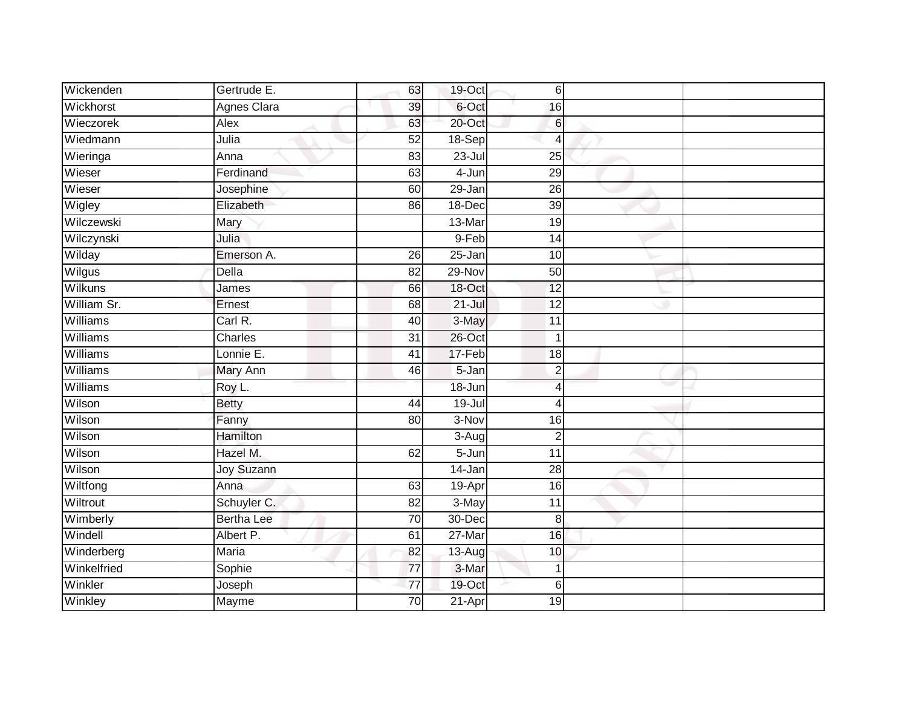| Wickenden   | Gertrude E.        | 63              | 19-Oct               | 6               |  |
|-------------|--------------------|-----------------|----------------------|-----------------|--|
| Wickhorst   | <b>Agnes Clara</b> | 39              | 6-Oct                | 16              |  |
| Wieczorek   | Alex               | 63              | 20-Oct               | 6               |  |
| Wiedmann    | Julia              | 52              | $18-$ Sep            | 4               |  |
| Wieringa    | Anna               | 83              | $23 -$ Jul           | $\overline{25}$ |  |
| Wieser      | Ferdinand          | 63              | 4-Jun                | 29              |  |
| Wieser      | Josephine          | 60              | 29-Jan               | $\overline{26}$ |  |
| Wigley      | Elizabeth          | 86              | $18 - Dec$           | $\overline{39}$ |  |
| Wilczewski  | Mary               |                 | 13-Mar               | 19              |  |
| Wilczynski  | Julia              |                 | 9-Feb                | 14              |  |
| Wilday      | Emerson A.         | 26              | 25-Jan               | 10              |  |
| Wilgus      | Della              | 82              | 29-Nov               | 50              |  |
| Wilkuns     | James              | 66              | 18-Oct               | 12              |  |
| William Sr. | Ernest             | 68              | $21 -$ Jul           | 12              |  |
| Williams    | Carl R.            | 40              | 3-May                | 11              |  |
| Williams    | Charles            | 31              | 26-Oct               | $\overline{1}$  |  |
| Williams    | Lonnie E.          | $\overline{41}$ | 17-Feb               | $\overline{18}$ |  |
| Williams    | Mary Ann           | 46              | 5-Jan                | $\overline{2}$  |  |
| Williams    | Roy L.             |                 | 18-Jun               | $\overline{4}$  |  |
| Wilson      | <b>Betty</b>       | $\overline{44}$ | $19 -$ Jul           | $\overline{4}$  |  |
| Wilson      | Fanny              | 80              | $3-Nov$              | 16              |  |
| Wilson      | Hamilton           |                 | $3 - \overline{Aug}$ | $\overline{2}$  |  |
| Wilson      | Hazel M.           | 62              | 5-Jun                | 11              |  |
| Wilson      | <b>Joy Suzann</b>  |                 | 14-Jan               | 28              |  |
| Wiltfong    | Anna               | 63              | 19-Apr               | 16              |  |
| Wiltrout    | Schuyler C.        | 82              | 3-May                | 11              |  |
| Wimberly    | <b>Bertha Lee</b>  | 70              | 30-Dec               | 8               |  |
| Windell     | Albert P.          | 61              | 27-Mar               | 16              |  |
| Winderberg  | Maria              | 82              | $13-Aug$             | 10              |  |
| Winkelfried | Sophie             | $\overline{77}$ | 3-Mar                | 1               |  |
| Winkler     | Joseph             | $\overline{77}$ | 19-Oct               | 6               |  |
| Winkley     | Mayme              | 70              | $21-Apr$             | 19              |  |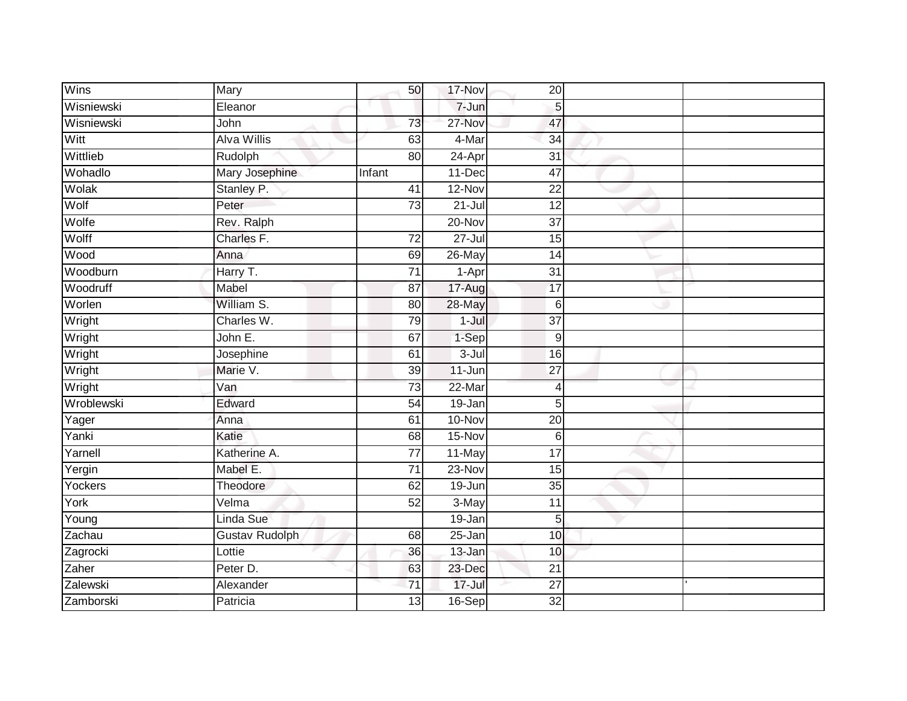| Wins        | Mary                  | 50              | 17-Nov     | 20              |  |
|-------------|-----------------------|-----------------|------------|-----------------|--|
| Wisniewski  | Eleanor               |                 | 7-Jun      | 5               |  |
| Wisniewski  | John                  | 73              | 27-Nov     | 47              |  |
| Witt        | <b>Alva Willis</b>    | 63              | 4-Mar      | 34              |  |
| Wittlieb    | Rudolph               | 80              | $24-Apr$   | $\overline{31}$ |  |
| Wohadlo     | Mary Josephine        | Infant          | 11-Dec     | $\overline{47}$ |  |
| Wolak       | Stanley P.            | 41              | 12-Nov     | 22              |  |
| Wolf        | Peter                 | 73              | $21 -$ Jul | 12              |  |
| Wolfe       | Rev. Ralph            |                 | 20-Nov     | 37              |  |
| Wolff       | Charles F.            | $\overline{72}$ | $27 -$ Jul | 15              |  |
| <b>Wood</b> | Anna                  | 69              | 26-May     | 14              |  |
| Woodburn    | Harry T.              | $\overline{71}$ | 1-Apr      | 31              |  |
| Woodruff    | Mabel                 | 87              | 17-Aug     | 17              |  |
| Worlen      | William S.            | 80              | 28-May     | $6\phantom{1}6$ |  |
| Wright      | Charles W.            | 79              | $1 -$ Jul  | $\overline{37}$ |  |
| Wright      | John E.               | 67              | 1-Sep      | 9               |  |
| Wright      | Josephine             | 61              | $3 -$ Jul  | 16              |  |
| Wright      | Marie V.              | 39              | 11-Jun     | 27              |  |
| Wright      | Van                   | 73              | $22-Mar$   | $\overline{4}$  |  |
| Wroblewski  | Edward                | 54              | $19 - Jan$ | 5               |  |
| Yager       | Anna                  | 61              | $10 - Nov$ | 20              |  |
| Yanki       | Katie                 | 68              | 15-Nov     | $6\phantom{1}6$ |  |
| Yarnell     | Katherine A.          | $\overline{77}$ | 11-May     | $\overline{17}$ |  |
| Yergin      | Mabel E.              | $\overline{71}$ | $23-Nov$   | 15              |  |
| Yockers     | Theodore              | 62              | 19-Jun     | 35              |  |
| York        | Velma                 | 52              | 3-May      | $\overline{11}$ |  |
| Young       | Linda Sue             |                 | $19 - Jan$ | 5               |  |
| Zachau      | <b>Gustav Rudolph</b> | 68              | 25-Jan     | 10              |  |
| Zagrocki    | Lottie                | 36              | 13-Jan     | 10              |  |
| Zaher       | Peter D.              | 63              | 23-Dec     | 21              |  |
| Zalewski    | Alexander             | $\overline{71}$ | $17 -$ Jul | $\overline{27}$ |  |
| Zamborski   | Patricia              | $\overline{13}$ | 16-Sep     | $\overline{32}$ |  |